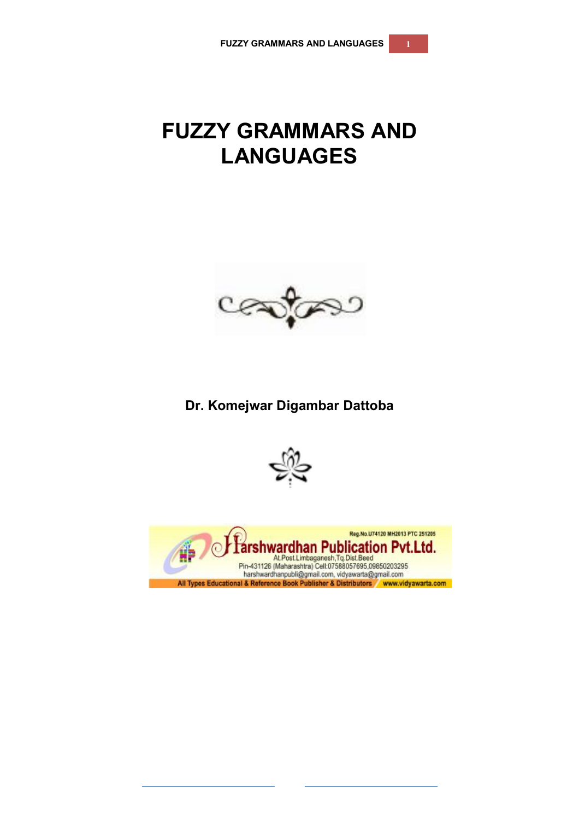# **FUZZY GRAMMARS AND LANGUAGES**



**Dr. Komejwar Digambar Dattoba**



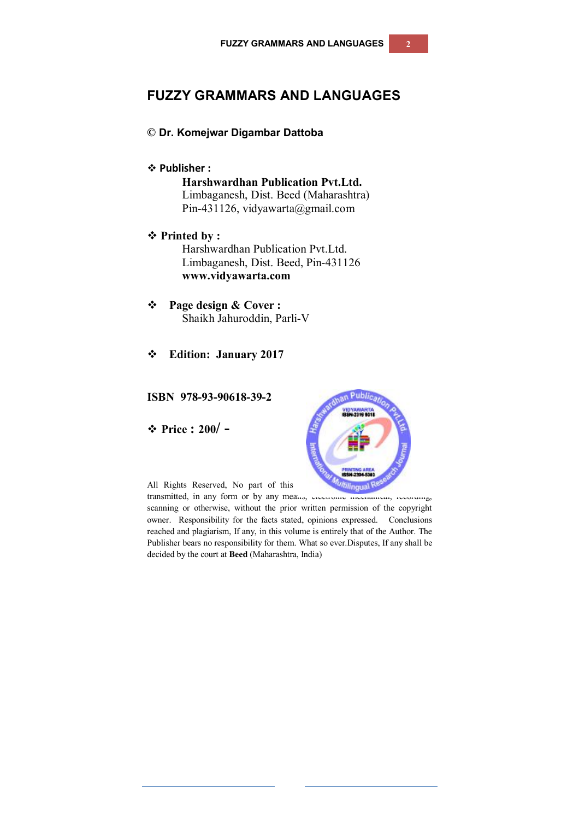## **FUZZY GRAMMARS AND LANGUAGES**

#### **© Dr. Komejwar Digambar Dattoba**

#### **Publisher :**

**Harshwardhan Publication Pvt.Ltd.** Limbaganesh, Dist. Beed (Maharashtra) Pin-431126, vidyawarta@gmail.com

- **Printed by :** Harshwardhan Publication Pvt.Ltd. Limbaganesh, Dist. Beed, Pin-431126 **www.vidyawarta.com**
- **Page design & Cover :** Shaikh Jahuroddin, Parli-V
- **Edition: January 2017**

#### **ISBN 978-93-90618-39-2**

**Price : 200/ -**



All Rights Reserved, No part of this publication may be reproduced R

transmitted, in any form or by any means, electronic mechanical, recording, scanning or otherwise, without the prior written permission of the copyright owner. Responsibility for the facts stated, opinions expressed. Conclusions reached and plagiarism, If any, in this volume is entirely that of the Author. The Publisher bears no responsibility for them. What so ever.Disputes, If any shall be decided by the court at **Beed** (Maharashtra, India)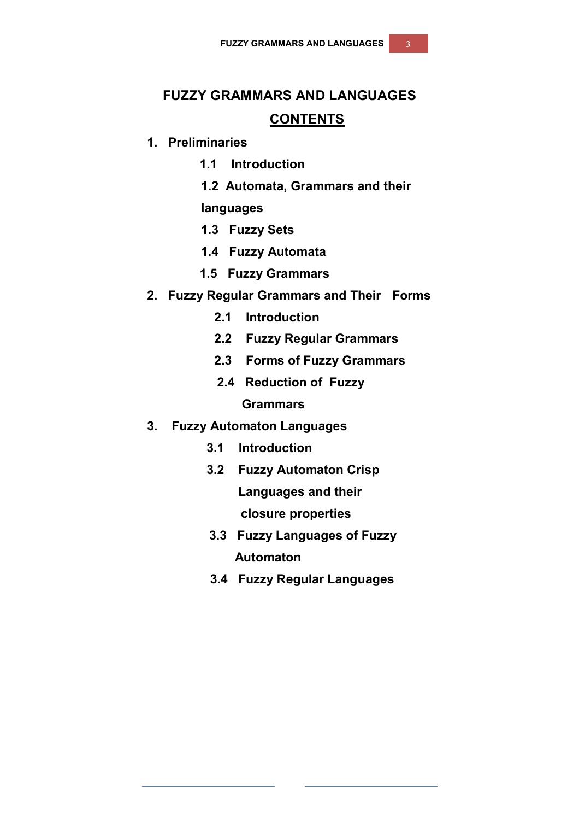# **FUZZY GRAMMARS AND LANGUAGES**

### **CONTENTS**

### **1. Preliminaries**

- **1.1 Introduction**
- **1.2 Automata, Grammars and their**

### **languages**

- **1.3 Fuzzy Sets**
- **1.4 Fuzzy Automata**
- **1.5 Fuzzy Grammars**
- **2. Fuzzy Regular Grammars and Their Forms** 
	- **2.1 Introduction**
	- **2.2 Fuzzy Regular Grammars**
	- **2.3 Forms of Fuzzy Grammars**
	- **2.4 Reduction of Fuzzy**

#### **Grammars**

- **3. Fuzzy Automaton Languages**
	- **3.1 Introduction**
	- **3.2 Fuzzy Automaton Crisp**

 **Languages and their closure properties**

- **3.3 Fuzzy Languages of Fuzzy Automaton**
- **3.4 Fuzzy Regular Languages**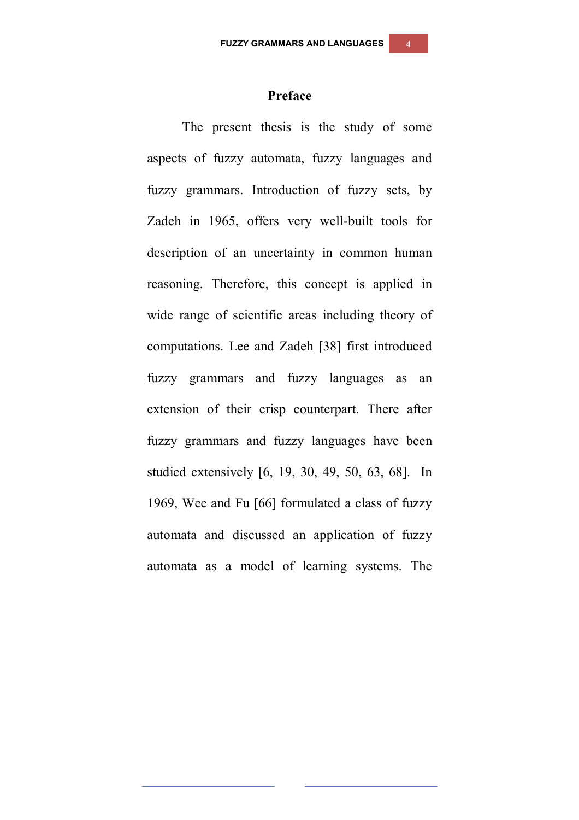#### **Preface**

The present thesis is the study of some aspects of fuzzy automata, fuzzy languages and fuzzy grammars. Introduction of fuzzy sets, by Zadeh in 1965, offers very well-built tools for description of an uncertainty in common human reasoning. Therefore, this concept is applied in wide range of scientific areas including theory of computations. Lee and Zadeh [38] first introduced fuzzy grammars and fuzzy languages as an extension of their crisp counterpart. There after fuzzy grammars and fuzzy languages have been studied extensively [6, 19, 30, 49, 50, 63, 68]. In 1969, Wee and Fu [66] formulated a class of fuzzy automata and discussed an application of fuzzy automata as a model of learning systems. The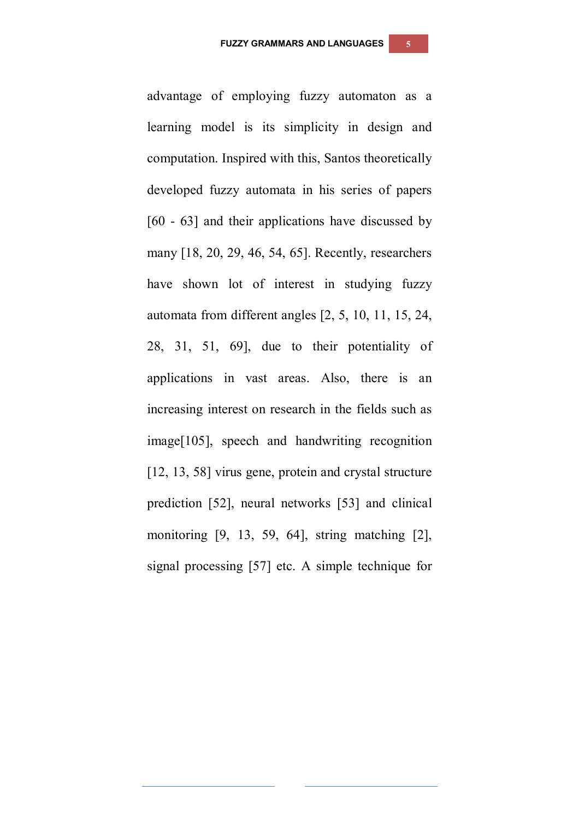advantage of employing fuzzy automaton as a learning model is its simplicity in design and computation. Inspired with this, Santos theoretically developed fuzzy automata in his series of papers [60 - 63] and their applications have discussed by many [18, 20, 29, 46, 54, 65]. Recently, researchers have shown lot of interest in studying fuzzy automata from different angles [2, 5, 10, 11, 15, 24, 28, 31, 51, 69], due to their potentiality of applications in vast areas. Also, there is an increasing interest on research in the fields such as image[105], speech and handwriting recognition [12, 13, 58] virus gene, protein and crystal structure prediction [52], neural networks [53] and clinical monitoring [9, 13, 59, 64], string matching [2], signal processing [57] etc. A simple technique for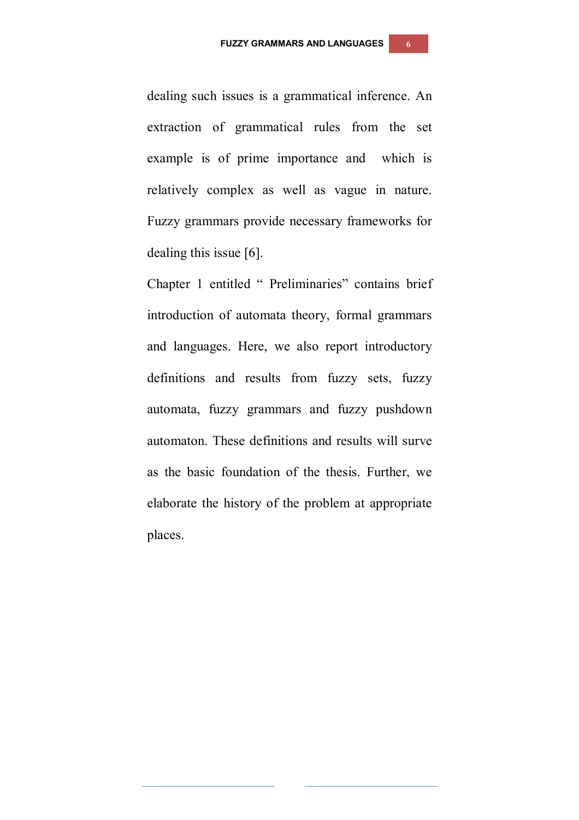dealing such issues is a grammatical inference. An extraction of grammatical rules from the set example is of prime importance and which is relatively complex as well as vague in nature. Fuzzy grammars provide necessary frameworks for dealing this issue [6].

Chapter 1 entitled " Preliminaries" contains brief introduction of automata theory, formal grammars and languages. Here, we also report introductory definitions and results from fuzzy sets, fuzzy automata, fuzzy grammars and fuzzy pushdown automaton. These definitions and results will surve as the basic foundation of the thesis. Further, we elaborate the history of the problem at appropriate places.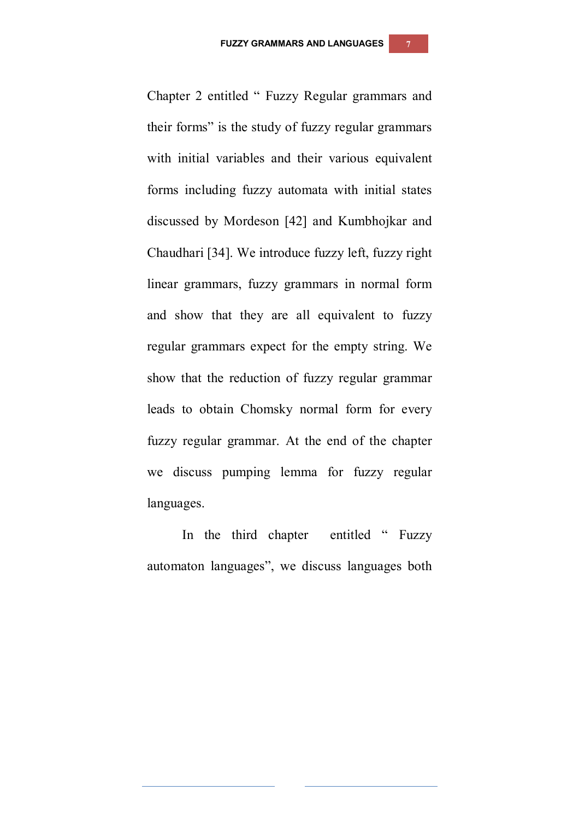Chapter 2 entitled " Fuzzy Regular grammars and their forms" is the study of fuzzy regular grammars with initial variables and their various equivalent forms including fuzzy automata with initial states discussed by Mordeson [42] and Kumbhojkar and Chaudhari [34]. We introduce fuzzy left, fuzzy right linear grammars, fuzzy grammars in normal form and show that they are all equivalent to fuzzy regular grammars expect for the empty string. We show that the reduction of fuzzy regular grammar leads to obtain Chomsky normal form for every fuzzy regular grammar. At the end of the chapter we discuss pumping lemma for fuzzy regular languages.

In the third chapter entitled " Fuzzy automaton languages", we discuss languages both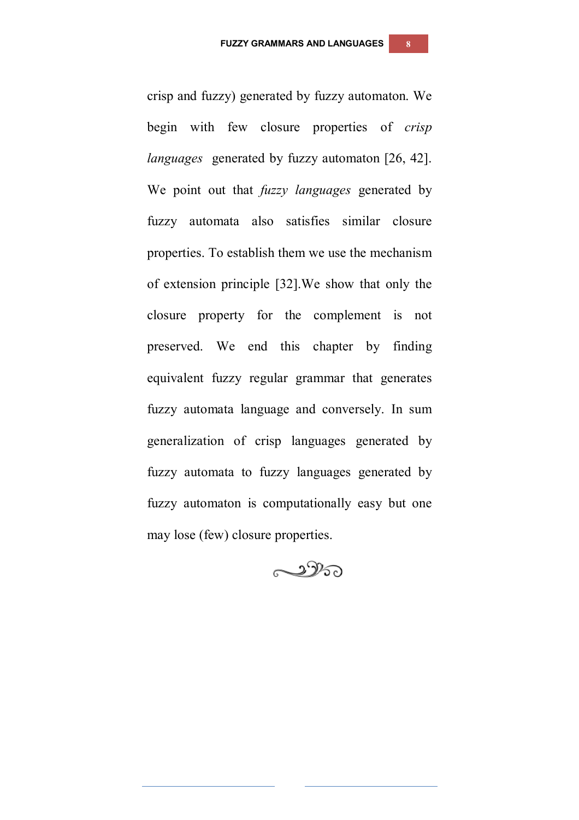crisp and fuzzy) generated by fuzzy automaton. We begin with few closure properties of *crisp languages* generated by fuzzy automaton [26, 42]. We point out that *fuzzy languages* generated by fuzzy automata also satisfies similar closure properties. To establish them we use the mechanism of extension principle [32].We show that only the closure property for the complement is not preserved. We end this chapter by finding equivalent fuzzy regular grammar that generates fuzzy automata language and conversely. In sum generalization of crisp languages generated by fuzzy automata to fuzzy languages generated by fuzzy automaton is computationally easy but one may lose (few) closure properties.

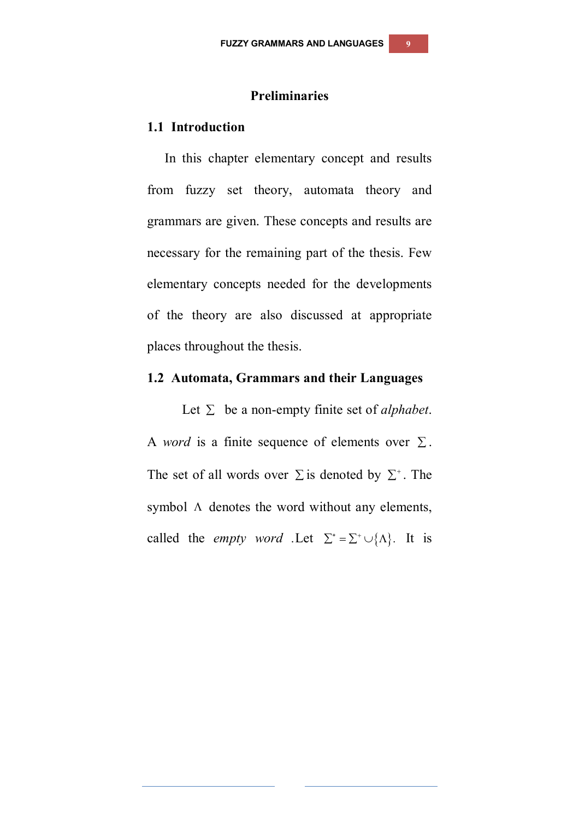### **Preliminaries**

#### **1.1 Introduction**

In this chapter elementary concept and results from fuzzy set theory, automata theory and grammars are given. These concepts and results are necessary for the remaining part of the thesis. Few elementary concepts needed for the developments of the theory are also discussed at appropriate places throughout the thesis.

#### **1.2 Automata, Grammars and their Languages**

Let  $\Sigma$  be a non-empty finite set of *alphabet*. A *word* is a finite sequence of elements over  $\Sigma$ . The set of all words over  $\Sigma$  is denoted by  $\Sigma^*$ . The symbol  $\Lambda$  denotes the word without any elements, called the *empty word* .Let  $\Sigma^* = \Sigma^* \cup \{\Lambda\}$ . It is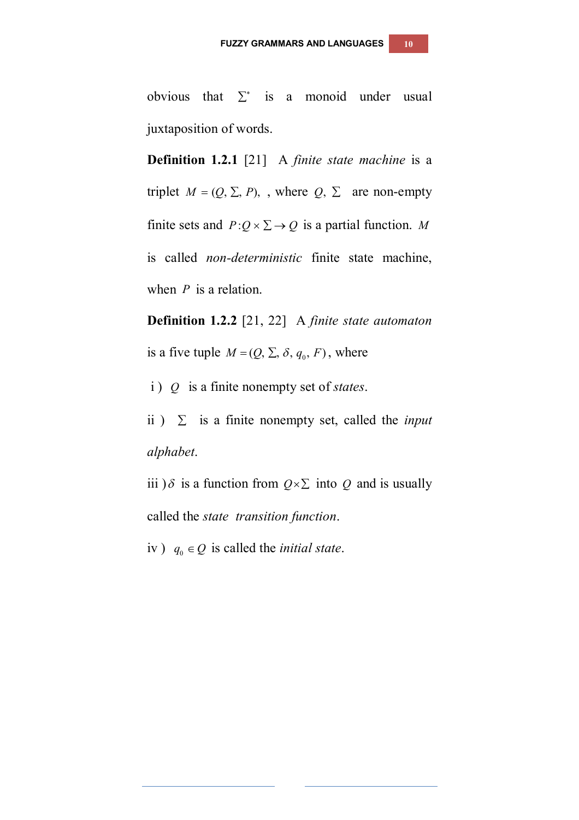obvious that  $\Sigma^*$  is a monoid under usual juxtaposition of words.

**Definition 1.2.1** [21] A *finite state machine* is a triplet  $M = (Q, \Sigma, P)$ , where  $Q, \Sigma$  are non-empty finite sets and  $P:Q\times\Sigma\to Q$  is a partial function. M is called *non-deterministic* finite state machine, when *P* is a relation.

**Definition 1.2.2** [21, 22] A *finite state automaton* is a five tuple  $M = (Q, \Sigma, \delta, q_0, F)$ , where

i ) *Q* is a finite nonempty set of *states*.

ii)  $\Sigma$  is a finite nonempty set, called the *input alphabet*.

iii )  $\delta$  is a function from  $Q \times \Sigma$  into  $Q$  and is usually called the *state transition function*.

iv)  $q_0 \in Q$  is called the *initial state*.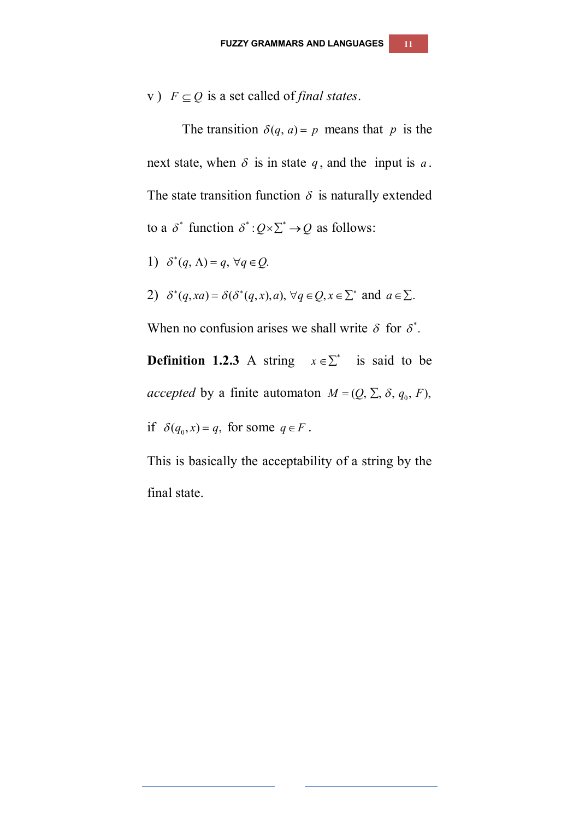v)  $F \subseteq Q$  is a set called of *final states*.

The transition  $\delta(q, a) = p$  means that *p* is the next state, when  $\delta$  is in state  $q$ , and the input is  $a$ . The state transition function  $\delta$  is naturally extended to a  $\delta^*$  function  $\delta^*$ :  $Q \times \Sigma^* \rightarrow Q$  as follows:

1) 
$$
\delta^*(q, \Lambda) = q, \forall q \in Q
$$
.

2) 
$$
\delta^*(q, xa) = \delta(\delta^*(q, x), a), \forall q \in Q, x \in \Sigma^*
$$
 and  $a \in \Sigma$ .

When no confusion arises we shall write  $\delta$  for  $\delta^*$ .

**Definition 1.2.3** A string  $x \in \sum^*$  is said to be *accepted* by a finite automaton  $M = (Q, \Sigma, \delta, q_0, F)$ , if  $\delta(q_0, x) = q$ , for some  $q \in F$ .

This is basically the acceptability of a string by the final state.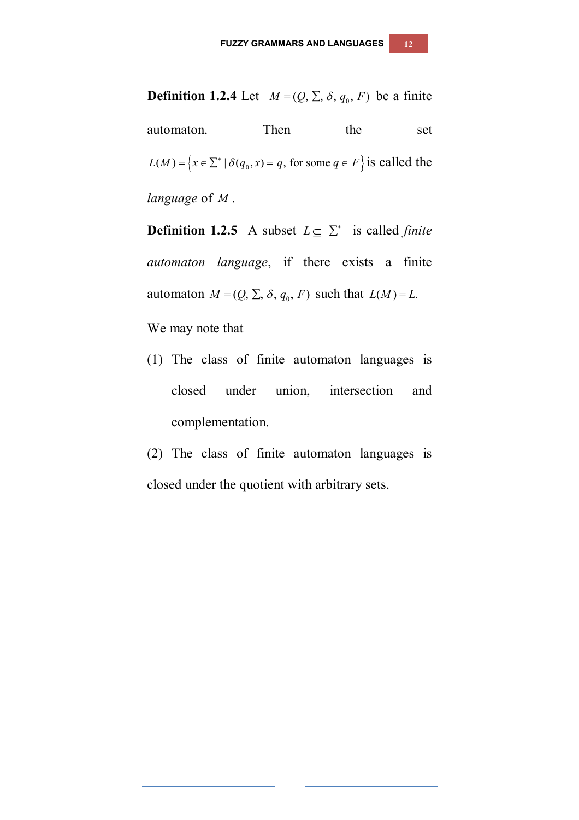automaton. Then the set  $L(M) = \left\{ x \in \Sigma^* \mid \delta(q_0, x) = q, \text{ for some } q \in F \right\}$  is called the *language* of *M* .

**Definition 1.2.5** A subset  $L \subseteq \sum^*$  is called *finite automaton language*, if there exists a finite automaton  $M = (Q, \Sigma, \delta, q_0, F)$  such that  $L(M) = L$ .

We may note that

- (1) The class of finite automaton languages is closed under union, intersection and complementation.
- (2) The class of finite automaton languages is closed under the quotient with arbitrary sets.

## **Definition 1.2.4** Let  $M = (Q, \Sigma, \delta, q_0, F)$  be a finite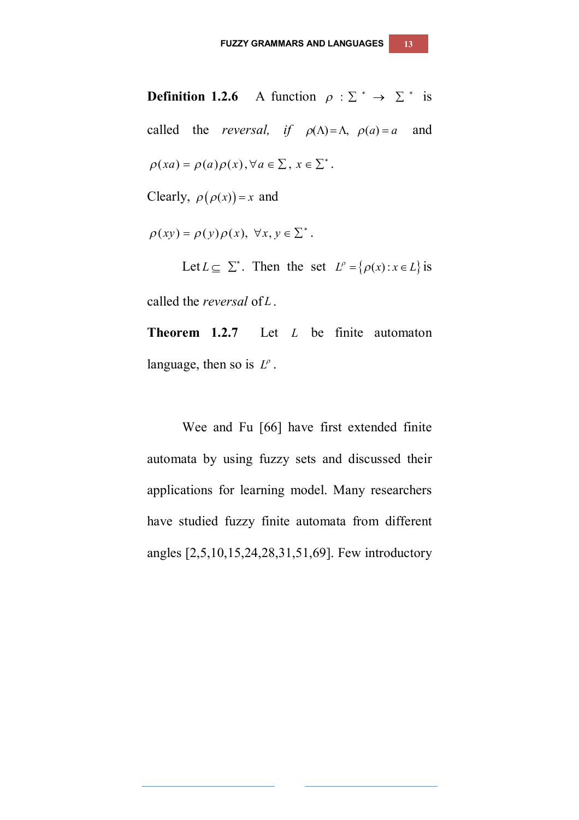**Definition 1.2.6** A function  $\rho : \Sigma^* \to \Sigma^*$  is called the *reversal,* if  $\rho(\Lambda) = \Lambda$ ,  $\rho(a) = a$  and  $\rho(xa) = \rho(a)\rho(x), \forall a \in \sum, x \in \sum^*$ . Clearly,  $\rho(\rho(x)) = x$  and

 $\rho(xy) = \rho(y)\rho(x), \ \forall x, y \in \sum^*$ .

Let  $L \subseteq \sum^*$ . Then the set  $L^{\rho} = \{\rho(x) : x \in L\}$  is called the *reversal* of *L*.

**Theorem 1.2.7** Let *L* be finite automaton language, then so is *L* .

Wee and Fu [66] have first extended finite automata by using fuzzy sets and discussed their applications for learning model. Many researchers have studied fuzzy finite automata from different angles [2,5,10,15,24,28,31,51,69]. Few introductory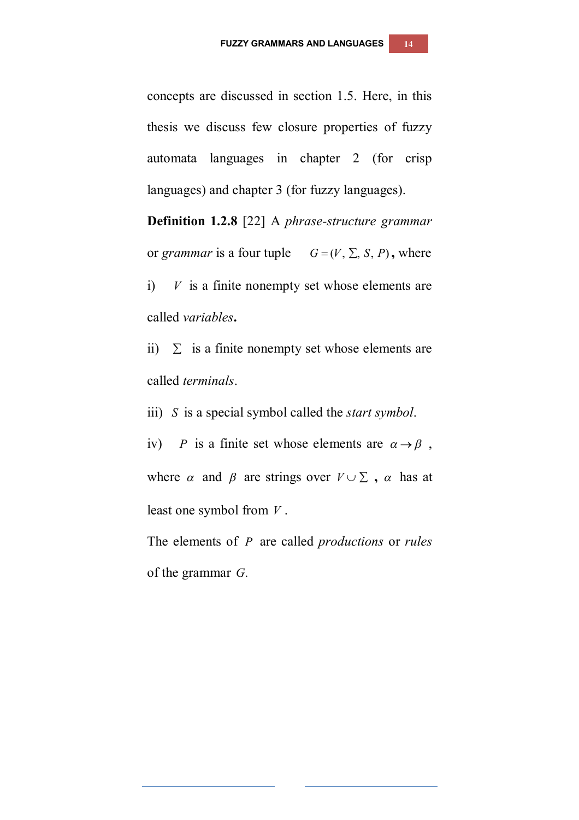concepts are discussed in section 1.5. Here, in this thesis we discuss few closure properties of fuzzy automata languages in chapter 2 (for crisp languages) and chapter 3 (for fuzzy languages).

**Definition 1.2.8** [22] A *phrase-structure grammar* or *grammar* is a four tuple  $G = (V, \Sigma, S, P)$ , where i)  $V$  is a finite nonempty set whose elements are called *variables***.**

ii)  $\Sigma$  is a finite nonempty set whose elements are called *terminals*.

iii) *S* is a special symbol called the *start symbol*.

iv) *P* is a finite set whose elements are  $\alpha \rightarrow \beta$ , where  $\alpha$  and  $\beta$  are strings over  $V \cup \Sigma$ ,  $\alpha$  has at least one symbol from *V* .

The elements of *P* are called *productions* or *rules* of the grammar *G*.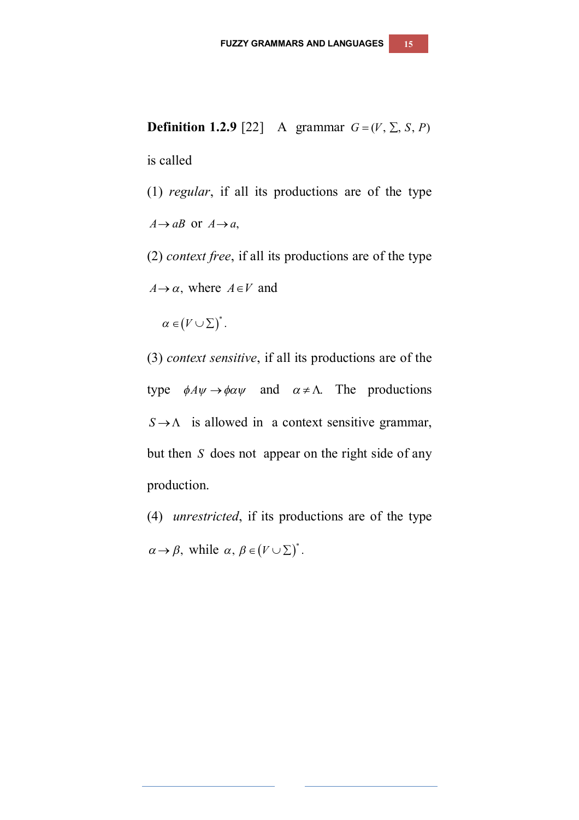**Definition 1.2.9** [22] A grammar  $G = (V, \Sigma, S, P)$ 

is called

- (1) *regular*, if all its productions are of the type  $A \rightarrow aB$  or  $A \rightarrow a$ ,
- (2) *context free*, if all its productions are of the type  $A \rightarrow \alpha$ , where  $A \in V$  and

 $\alpha \in (V \cup \Sigma)^*$ .

(3) *context sensitive*, if all its productions are of the type  $\phi A \psi \rightarrow \phi \alpha \psi$  and  $\alpha \neq \Lambda$ . The productions  $S \rightarrow \Lambda$  is allowed in a context sensitive grammar, but then *S* does not appear on the right side of any production.

(4) *unrestricted*, if its productions are of the type  $\alpha \rightarrow \beta$ , while  $\alpha, \beta \in (V \cup \Sigma)^*$ .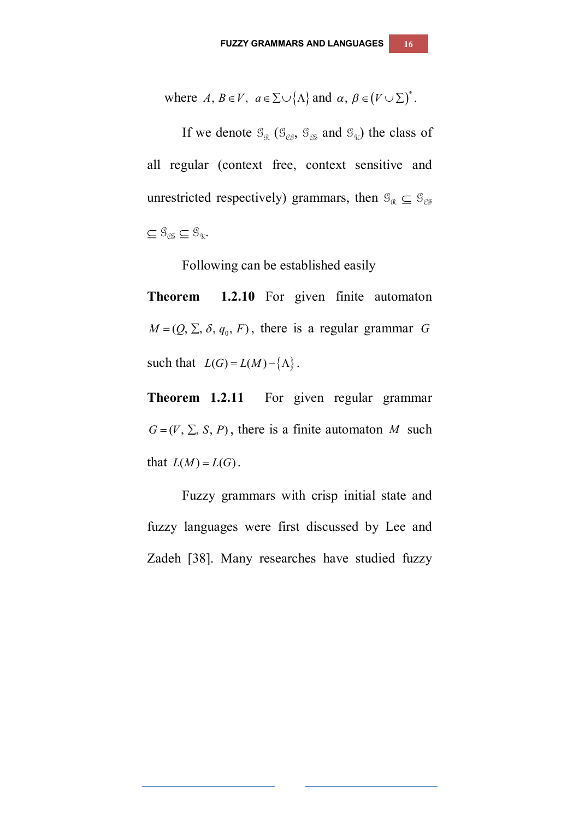where 
$$
A, B \in V
$$
,  $a \in \sum \cup \{\Lambda\}$  and  $\alpha, \beta \in (V \cup \sum)^*$ .

If we denote  $\mathcal{G}_{\mathfrak{K}}$  ( $\mathcal{G}_{\mathcal{C}\mathfrak{F}}$ ,  $\mathcal{G}_{\mathcal{C}\mathfrak{F}}$  and  $\mathcal{G}_{\mathfrak{N}}$ ) the class of all regular (context free, context sensitive and unrestricted respectively) grammars, then  $\mathcal{G}_{\mathcal{R}} \subseteq \mathcal{G}_{\mathcal{C}\mathcal{F}}$  $\subseteq \mathcal{G}_{\mathfrak{G}} \subseteq \mathcal{G}_{\mathfrak{A}}.$ 

Following can be established easily

**Theorem 1.2.10** For given finite automaton  $M = (Q, \Sigma, \delta, q_0, F)$ , there is a regular grammar *G* such that  $L(G) = L(M) - \{\Lambda\}.$ 

**Theorem 1.2.11** For given regular grammar  $G = (V, \Sigma, S, P)$ , there is a finite automaton *M* such that  $L(M) = L(G)$ .

Fuzzy grammars with crisp initial state and fuzzy languages were first discussed by Lee and Zadeh [38]. Many researches have studied fuzzy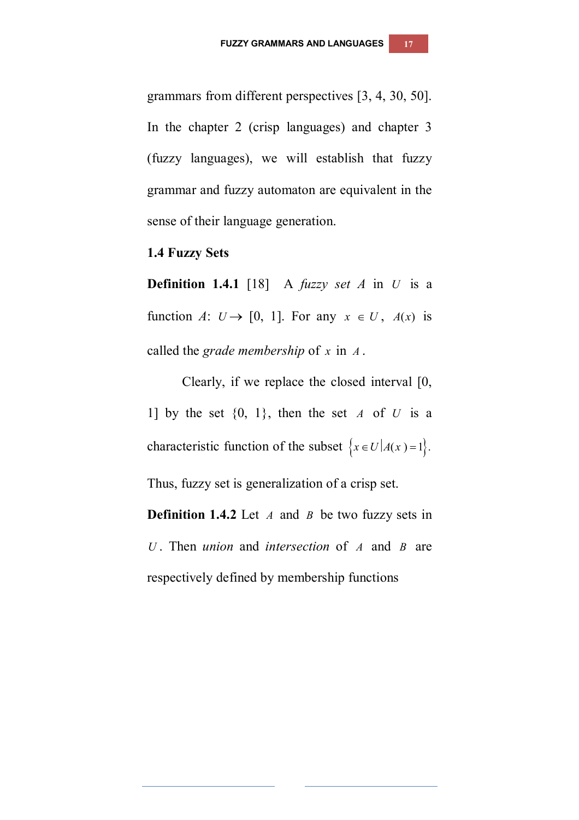grammars from different perspectives [3, 4, 30, 50]. In the chapter 2 (crisp languages) and chapter 3 (fuzzy languages), we will establish that fuzzy grammar and fuzzy automaton are equivalent in the sense of their language generation.

#### **1.4 Fuzzy Sets**

**Definition 1.4.1** [18] A *fuzzy set A* in *U* is a function *A*:  $U \rightarrow [0, 1]$ . For any  $x \in U$ ,  $A(x)$  is called the *grade membership* of *x* in *A* .

Clearly, if we replace the closed interval [0, 1] by the set  $\{0, 1\}$ , then the set *A* of *U* is a characteristic function of the subset  $\{x \in U | A(x) = 1\}.$ 

Thus, fuzzy set is generalization of a crisp set.

**Definition 1.4.2** Let *A* and *B* be two fuzzy sets in *U* . Then *union* and *intersection* of *A* and *B* are respectively defined by membership functions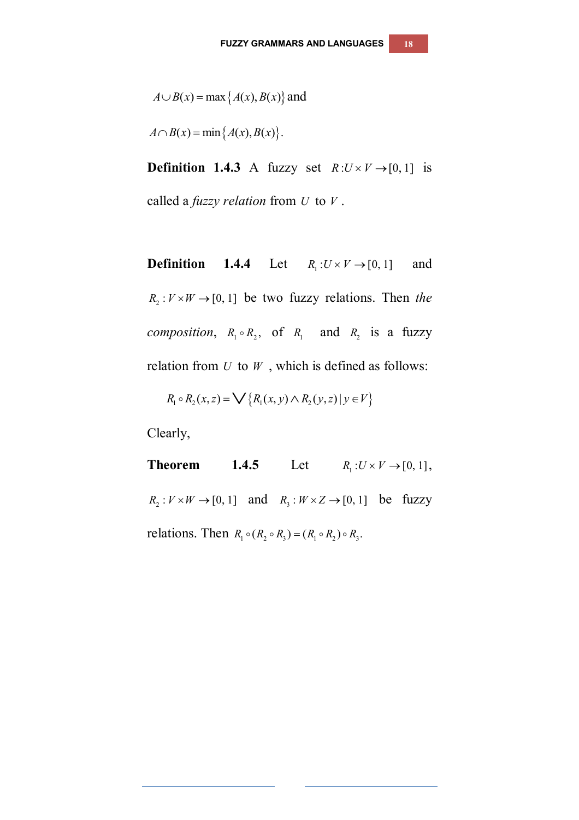$$
A \cup B(x) = \max\{A(x), B(x)\}\text{ and }
$$

 $A \cap B(x) = \min\{A(x), B(x)\}.$ 

**Definition 1.4.3** A fuzzy set  $R:U\times V\rightarrow [0,1]$  is called a *fuzzy relation* from *U* to *V* .

**Definition 1.4.4** Let  $R_i: U \times V \rightarrow [0, 1]$  and  $R_2 : V \times W \rightarrow [0, 1]$  be two fuzzy relations. Then *the composition*,  $R_1 \circ R_2$ , of  $R_1$  and  $R_2$  is a fuzzy relation from *U* to *W* , which is defined as follows:

$$
R_1 \circ R_2(x, z) = \bigvee \{ R_1(x, y) \land R_2(y, z) \mid y \in V \}
$$

Clearly,

**Theorem 1.4.5** Let  $R_1: U \times V \rightarrow [0, 1],$  $R_2: V \times W \to [0, 1]$  and  $R_3: W \times Z \to [0, 1]$  be fuzzy relations. Then  $R_1 \circ (R_2 \circ R_3) = (R_1 \circ R_2) \circ R_3$ .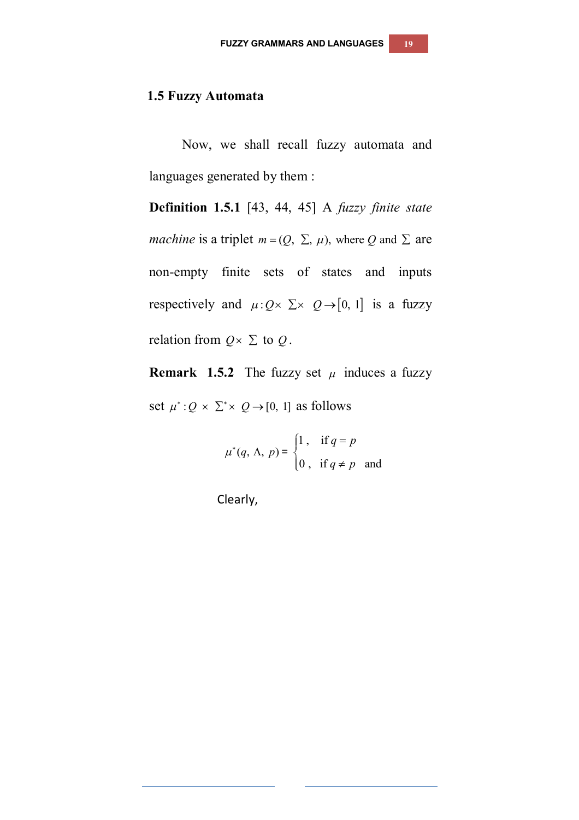## **1.5 Fuzzy Automata**

Now, we shall recall fuzzy automata and languages generated by them :

**Definition 1.5.1** [43, 44, 45] A *fuzzy finite state machine* is a triplet  $m = (Q, \Sigma, \mu)$ , where Q and  $\Sigma$  are non-empty finite sets of states and inputs respectively and  $\mu: Q \times \Sigma \times Q \rightarrow [0, 1]$  is a fuzzy relation from  $Q \times \Sigma$  to  $Q$ .

**Remark 1.5.2** The fuzzy set  $\mu$  induces a fuzzy set  $\mu^*: Q \times \Sigma^* \times Q \rightarrow [0, 1]$  as follows

$$
\mu^*(q, \Lambda, p) = \begin{cases} 1, & \text{if } q = p \\ 0, & \text{if } q \neq p \end{cases}
$$
 and

Clearly,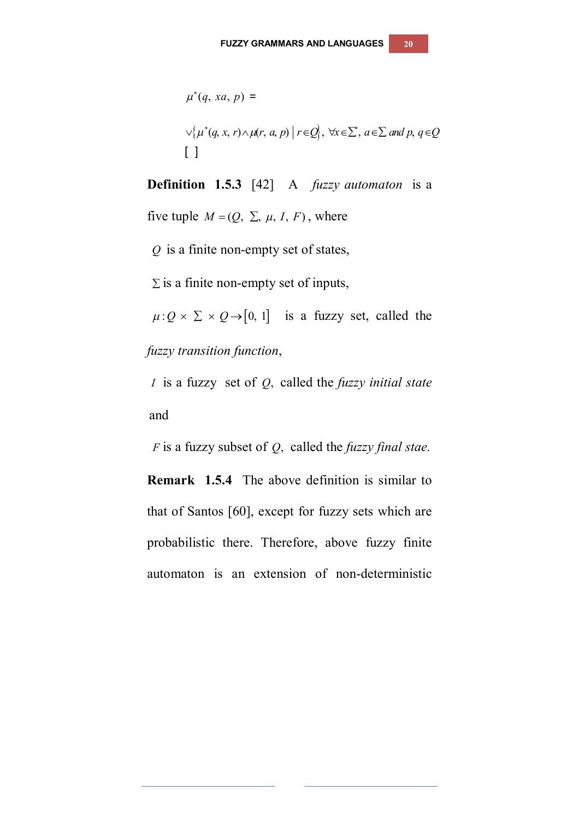$$
\mu^*(q, xa, p) =
$$
  
 
$$
\vee \{\mu^*(q, x, r) \wedge \mu(r, a, p) \mid r \in Q\}, \forall x \in \Sigma, a \in \Sigma \text{ and } p, q \in Q
$$
  
[ ]

**Definition 1.5.3** [42] A *fuzzy automaton* is a

five tuple  $M = (Q, \Sigma, \mu, I, F)$ , where

*Q* is a finite non-empty set of states,

 $\Sigma$  is a finite non-empty set of inputs,

 $\mu: Q \times \Sigma \times Q \rightarrow [0, 1]$  is a fuzzy set, called the *fuzzy transition function*,

*I* is a fuzzy set of *Q*, called the *fuzzy initial state* and

*F* is a fuzzy subset of *Q*, called the *fuzzy final stae.*

**Remark 1.5.4** The above definition is similar to that of Santos [60], except for fuzzy sets which are probabilistic there. Therefore, above fuzzy finite automaton is an extension of non-deterministic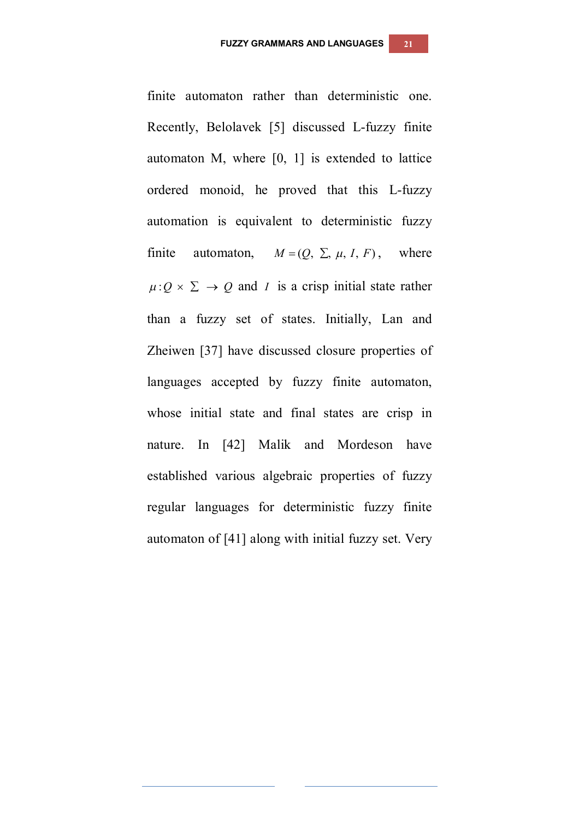finite automaton rather than deterministic one. Recently, Belolavek [5] discussed L-fuzzy finite automaton M, where [0, 1] is extended to lattice ordered monoid, he proved that this L-fuzzy automation is equivalent to deterministic fuzzy finite automaton,  $M = (O, \Sigma, \mu, I, F)$ , where  $\mu: Q \times \Sigma \rightarrow Q$  and *I* is a crisp initial state rather than a fuzzy set of states. Initially, Lan and Zheiwen [37] have discussed closure properties of languages accepted by fuzzy finite automaton, whose initial state and final states are crisp in nature. In [42] Malik and Mordeson have established various algebraic properties of fuzzy regular languages for deterministic fuzzy finite automaton of [41] along with initial fuzzy set. Very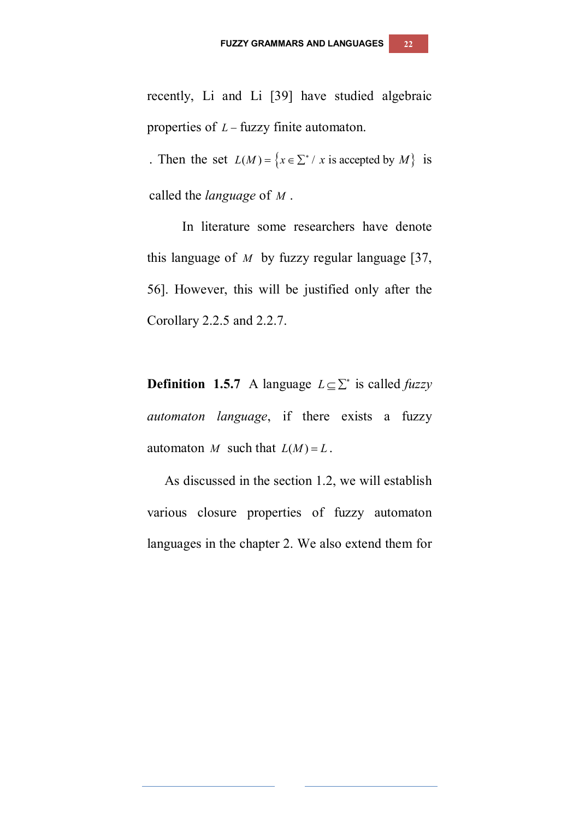recently, Li and Li [39] have studied algebraic properties of  $L$  – fuzzy finite automaton.

. Then the set  $L(M) = \{x \in \sum^* / x \text{ is accepted by } M \}$  is called the *language* of *M* .

In literature some researchers have denote this language of *M* by fuzzy regular language [37, 56]. However, this will be justified only after the Corollary 2.2.5 and 2.2.7.

**Definition 1.5.7** A language  $L \subseteq \sum^*$  is called *fuzzy automaton language*, if there exists a fuzzy automaton *M* such that  $L(M) = L$ .

As discussed in the section 1.2, we will establish various closure properties of fuzzy automaton languages in the chapter 2. We also extend them for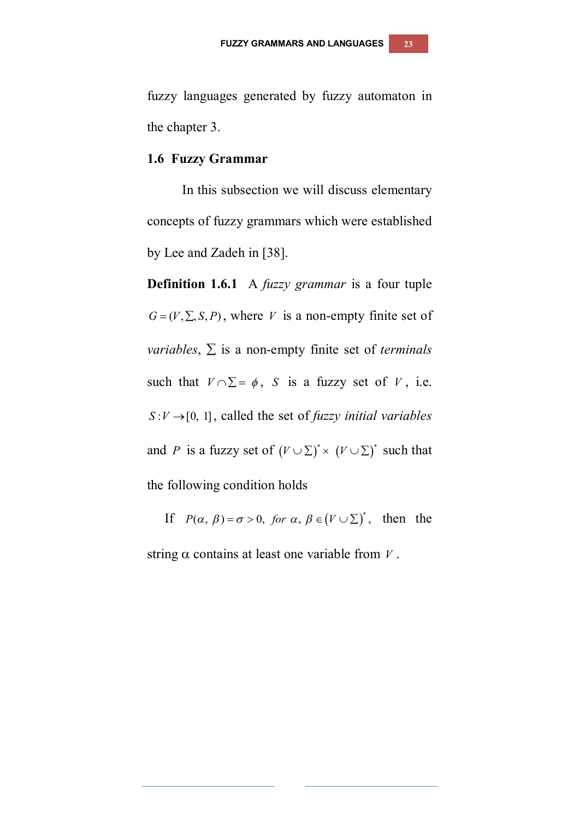fuzzy languages generated by fuzzy automaton in the chapter 3.

#### **1.6 Fuzzy Grammar**

In this subsection we will discuss elementary concepts of fuzzy grammars which were established by Lee and Zadeh in [38].

**Definition 1.6.1** A *fuzzy grammar* is a four tuple  $G = (V, \Sigma, S, P)$ , where *V* is a non-empty finite set of *variables*,  $\Sigma$  is a non-empty finite set of *terminals* such that  $V \cap \Sigma = \phi$ , *S* is a fuzzy set of *V*, i.e.  $S: V \rightarrow [0, 1]$ , called the set of *fuzzy initial variables* and *P* is a fuzzy set of  $(V \cup \Sigma)^* \times (V \cup \Sigma)^*$  such that the following condition holds

If  $P(\alpha, \beta) = \sigma > 0$ , for  $\alpha, \beta \in (V \cup \Sigma)^*$ , then the

string  $\alpha$  contains at least one variable from *V*.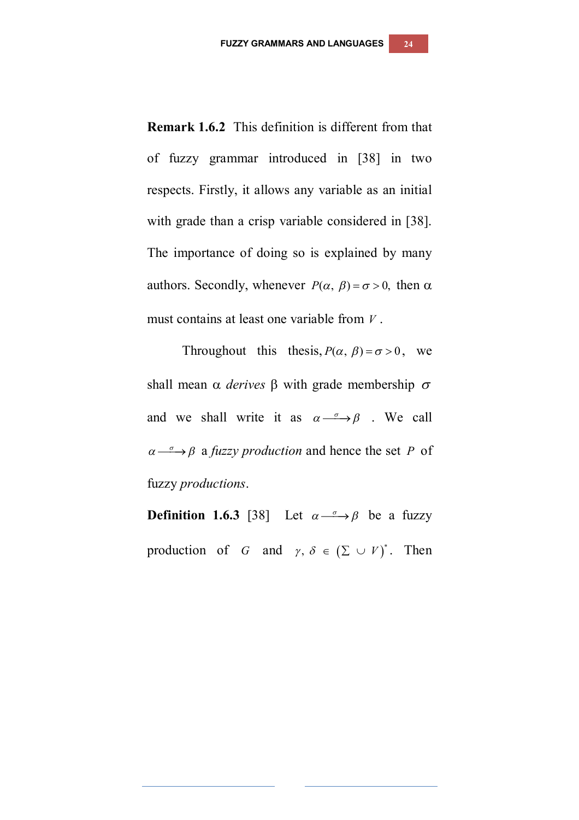**Remark 1.6.2** This definition is different from that of fuzzy grammar introduced in [38] in two respects. Firstly, it allows any variable as an initial with grade than a crisp variable considered in [38]. The importance of doing so is explained by many authors. Secondly, whenever  $P(\alpha, \beta) = \sigma > 0$ , then  $\alpha$ must contains at least one variable from *V* .

Throughout this thesis,  $P(\alpha, \beta) = \sigma > 0$ , we shall mean  $\alpha$  *derives*  $\beta$  with grade membership  $\sigma$ and we shall write it as  $\alpha \rightarrow \beta$ . We call  $\alpha \rightarrow \beta$  a *fuzzy production* and hence the set *P* of fuzzy *productions*.

**Definition 1.6.3** [38] Let  $\alpha \stackrel{\sigma}{\longrightarrow} \beta$  be a fuzzy production of *G* and  $\gamma$ ,  $\delta \in (\Sigma \cup V)^*$ . Then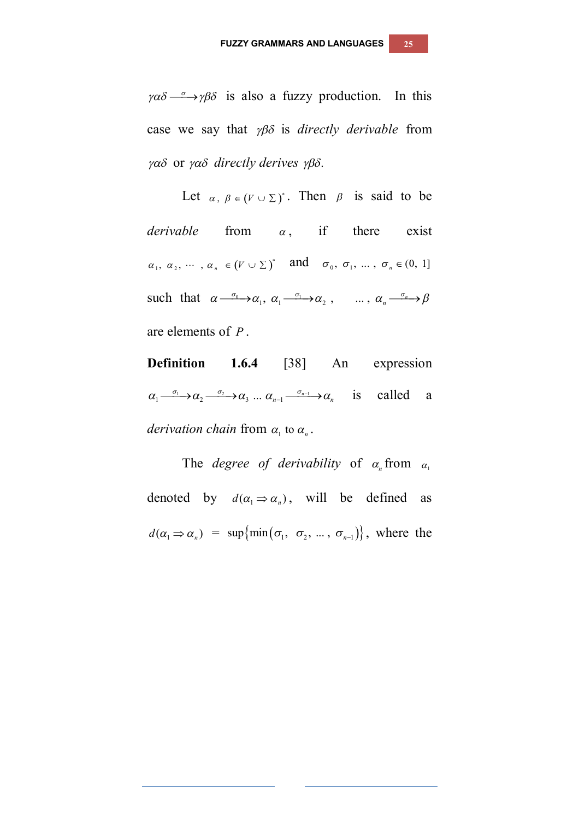$\gamma \alpha \delta \rightarrow \gamma \beta \delta$  is also a fuzzy production. In this case we say that  $\gamma\beta\delta$  is *directly derivable* from  $\gamma\alpha\delta$  or  $\gamma\alpha\delta$  directly derives  $\gamma\beta\delta$ .

Let  $\alpha$ ,  $\beta \in (V \cup \Sigma)^*$ . Then  $\beta$  is said to be *derivable* from  $\alpha$ , if there exist  $\alpha_1, \ \alpha_2, \ \cdots, \ \alpha_n \ \in (V \cup \Sigma)^*$  and  $\sigma_0, \ \sigma_1, \ \ldots, \ \sigma_n \in (0, 1]$ such that  $\alpha \rightarrow \infty_1$ ,  $\alpha_1 \rightarrow \infty_2$ , ...,  $\alpha_n \rightarrow \infty$ are elements of *P* .

**Definition 1.6.4** [38] An expression  $\alpha_1 \xrightarrow{\sigma_1} \alpha_2 \xrightarrow{\sigma_2} \alpha_3 \dots \alpha_{n-1} \xrightarrow{\sigma_{n-1}} \alpha_n$  is called a *derivation chain* from  $\alpha_1$  to  $\alpha_n$ .

The *degree of derivability* of  $\alpha_n$  from  $\alpha_1$ denoted by  $d(\alpha_1 \Rightarrow \alpha_n)$ , will be defined as  $d(\alpha_1 \Rightarrow \alpha_n) = \sup \{\min(\sigma_1, \sigma_2, \dots, \sigma_{n-1})\},\$  where the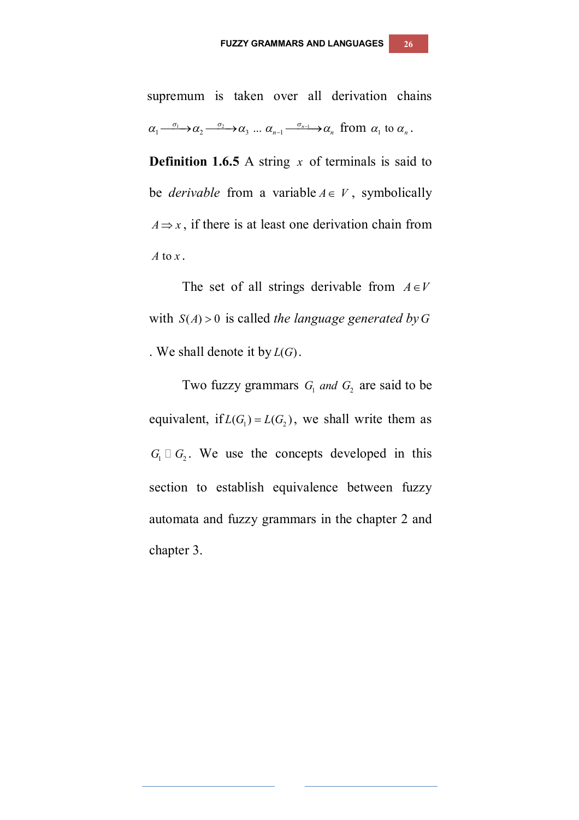supremum is taken over all derivation chains  $\alpha_1 \xrightarrow{\sigma_1} \alpha_2 \xrightarrow{\sigma_2} \alpha_3 \dots \alpha_{n-1} \xrightarrow{\sigma_{n-1}} \alpha_n$  from  $\alpha_1$  to  $\alpha_n$ .

**Definition 1.6.5** A string *x* of terminals is said to be *derivable* from a variable  $A \in V$ , symbolically  $A \Rightarrow x$ , if there is at least one derivation chain from *A* to *x*.

The set of all strings derivable from  $A \in V$ with  $S(A) > 0$  is called *the language generated by* G . We shall denote it by  $L(G)$ .

Two fuzzy grammars  $G_1$  *and*  $G_2$  are said to be equivalent, if  $L(G_1) = L(G_2)$ , we shall write them as  $G_1 \square G_2$ . We use the concepts developed in this section to establish equivalence between fuzzy automata and fuzzy grammars in the chapter 2 and chapter 3.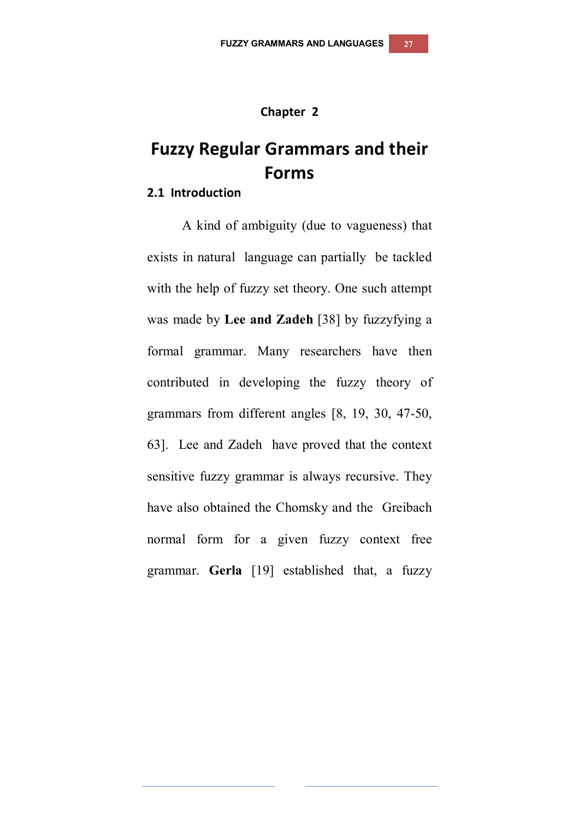#### **Chapter 2**

# **Fuzzy Regular Grammars and their Forms**

#### **2.1 Introduction**

A kind of ambiguity (due to vagueness) that exists in natural language can partially be tackled with the help of fuzzy set theory. One such attempt was made by **Lee and Zadeh** [38] by fuzzyfying a formal grammar. Many researchers have then contributed in developing the fuzzy theory of grammars from different angles [8, 19, 30, 47-50, 63]. Lee and Zadeh have proved that the context sensitive fuzzy grammar is always recursive. They have also obtained the Chomsky and the Greibach normal form for a given fuzzy context free grammar. **Gerla** [19] established that, a fuzzy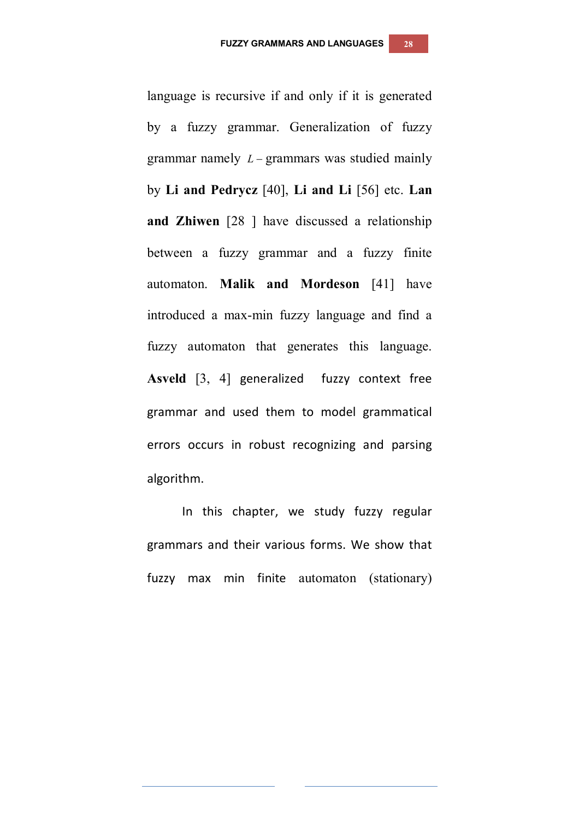language is recursive if and only if it is generated by a fuzzy grammar. Generalization of fuzzy grammar namely  $L$  – grammars was studied mainly by **Li and Pedrycz** [40], **Li and Li** [56] etc. **Lan and Zhiwen** [28 ] have discussed a relationship between a fuzzy grammar and a fuzzy finite automaton. **Malik and Mordeson** [41] have introduced a max-min fuzzy language and find a fuzzy automaton that generates this language. **Asveld** [3, 4] generalized fuzzy context free grammar and used them to model grammatical errors occurs in robust recognizing and parsing algorithm.

In this chapter, we study fuzzy regular grammars and their various forms. We show that fuzzy max min finite automaton (stationary)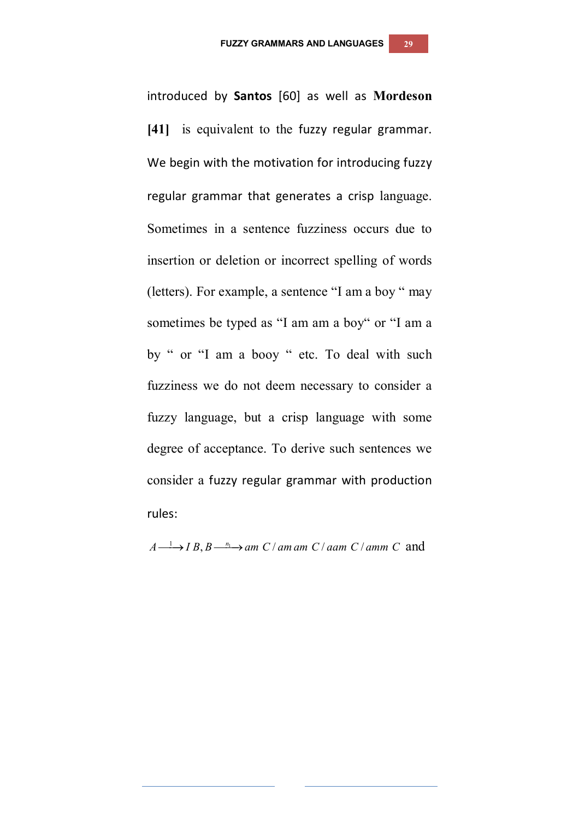introduced by **Santos** [60] as well as **Mordeson**  [41] is equivalent to the fuzzy regular grammar. We begin with the motivation for introducing fuzzy regular grammar that generates a crisp language. Sometimes in a sentence fuzziness occurs due to insertion or deletion or incorrect spelling of words (letters). For example, a sentence "I am a boy " may sometimes be typed as "I am am a boy" or "I am a by " or "I am a booy " etc. To deal with such fuzziness we do not deem necessary to consider a fuzzy language, but a crisp language with some degree of acceptance. To derive such sentences we consider a fuzzy regular grammar with production rules:

 $A \longrightarrow IB, B \longrightarrow am C / am am C / aam C / aam C$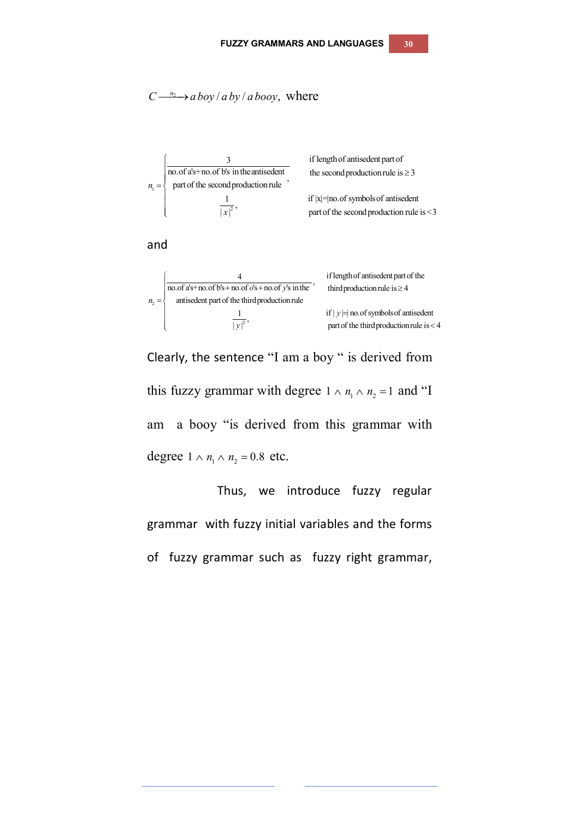$$
C \xrightarrow{n_2} a \text{ boy}/a \text{ by}/a \text{ booy}
$$
, where



and

$$
n_2 = \begin{cases}\n & 4 \quad \text{if length of antisedent part of the} \\
\hline\nno. \text{of a's + no. of b's + no. of o's + no. of o's + no. of y's in the} \\
 & \text{antisedent part of the third production rule} \\
 & \text{if } |y| = \text{no. of symbols of antisedent} \\
 & \text{part of the third production rule} \\
 & \text{if } |y| = \text{no. of symbols of antisedent}\n\end{cases}
$$

Clearly, the sentence "I am a boy " is derived from this fuzzy grammar with degree  $1 \wedge n_1 \wedge n_2 = 1$  and "I am a booy "is derived from this grammar with degree  $1 \wedge n_1 \wedge n_2 = 0.8$  etc.

Thus, we introduce fuzzy regular grammar with fuzzy initial variables and the forms of fuzzy grammar such as fuzzy right grammar,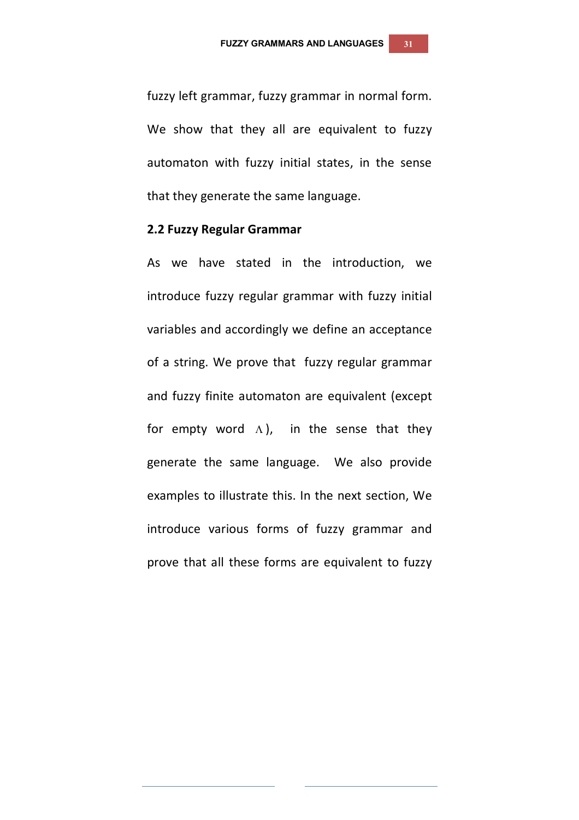fuzzy left grammar, fuzzy grammar in normal form. We show that they all are equivalent to fuzzy automaton with fuzzy initial states, in the sense that they generate the same language.

#### **2.2 Fuzzy Regular Grammar**

As we have stated in the introduction, we introduce fuzzy regular grammar with fuzzy initial variables and accordingly we define an acceptance of a string. We prove that fuzzy regular grammar and fuzzy finite automaton are equivalent (except for empty word  $\Lambda$ ), in the sense that they generate the same language. We also provide examples to illustrate this. In the next section, We introduce various forms of fuzzy grammar and prove that all these forms are equivalent to fuzzy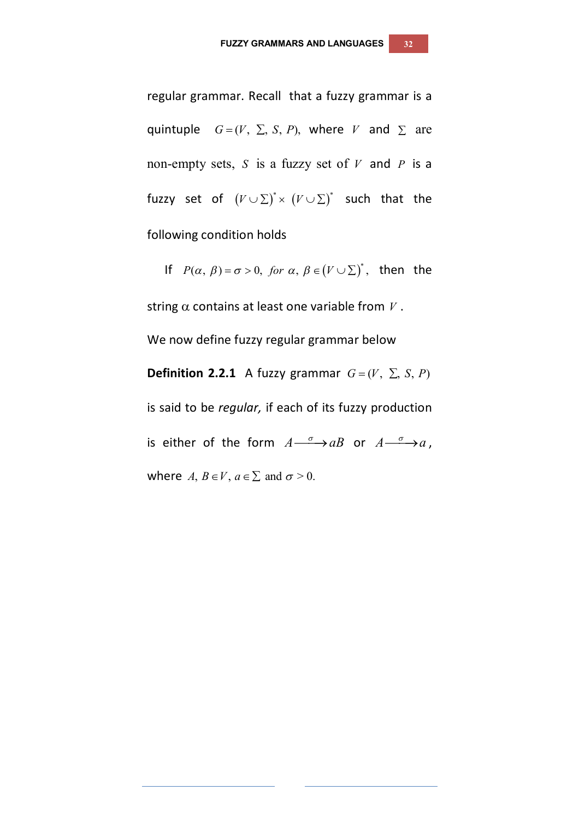regular grammar. Recall that a fuzzy grammar is a quintuple  $G = (V, \Sigma, S, P)$ , where *V* and  $\Sigma$  are non-empty sets, *S* is a fuzzy set of *V* and *P* is a fuzzy set of  $(V \cup \Sigma)^* \times (V \cup \Sigma)^*$  such that the following condition holds

If  $P(\alpha, \beta) = \sigma > 0$ , for  $\alpha, \beta \in (V \cup \Sigma)^*$ , then the string  $\alpha$  contains at least one variable from  $V$ . We now define fuzzy regular grammar below **Definition 2.2.1** A fuzzy grammar  $G = (V, \Sigma, S, P)$ is said to be *regular,* if each of its fuzzy production is either of the form  $A \xrightarrow{\sigma} aB$  or  $A \xrightarrow{\sigma} a$ , where  $A, B \in V, a \in \Sigma$  and  $\sigma > 0$ .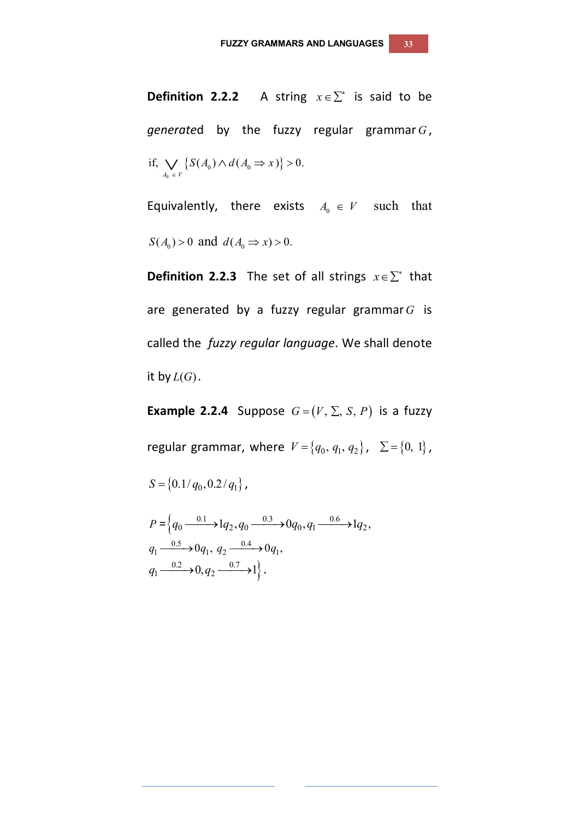**Definition 2.2.2** A string  $x \in \sum^*$  is said to be *generate*d by the fuzzy regular grammar *G* ,  $\{S(A_0) \wedge d(A_0 \Rightarrow x)\}\$  $\bf{0}$  $\bigvee_{y \in V} \mathcal{O}(A_0) \wedge u \in A_0$ if,  $\bigvee \{ S(A_0) \wedge d(A_0 \Rightarrow x) \} > 0.$  $A_0 \in V$  $\bigvee_{A_0 \in V} \left\{ S(A_0) \wedge d(A_0 \Rightarrow x) \right\} > 0$ 

Equivalently, there exists  $A_0 \in V$  such that  $S(A_0) > 0$  and  $d(A_0 \Rightarrow x) > 0$ .

**Definition 2.2.3** The set of all strings  $x \in \sum^*$  that are generated by a fuzzy regular grammar*G* is called the *fuzzy regular language*. We shall denote it by  $L(G)$ .

**Example 2.2.4** Suppose  $G = (V, \Sigma, S, P)$  is a fuzzy regular grammar, where  $V = \{q_0, q_1, q_2\}$ ,  $\Sigma = \{0, 1\}$ ,

 $S = \{0.1/q_0, 0.2/q_1\},\$ 

$$
P = \left\{ q_0 \xrightarrow{0.1} 1 q_2, q_0 \xrightarrow{0.3} 0 q_0, q_1 \xrightarrow{0.6} 1 q_2, q_1 \xrightarrow{0.5} 0 q_1, q_2 \xrightarrow{0.4} 0 q_1, q_2 \xrightarrow{0.7} 1 \right\}.
$$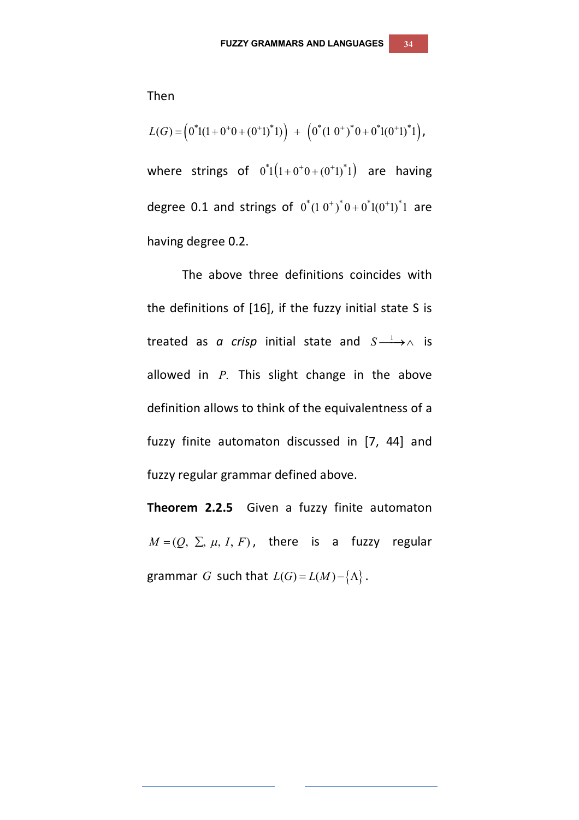$$
L(G) = \left(0^*1(1+0^+0+(0^+1))^*1\right) + \left(0^*(1\ 0^+)^*0+0^*1(0^+1)^*1\right),
$$

where strings of  $0^*1(1+0^+0+(0^+1)^*1)$  are having degree 0.1 and strings of  $0^*(1 0^+)^* 0 + 0^* 1 (0^+ 1)^* 1$  are having degree 0.2.

The above three definitions coincides with the definitions of [16], if the fuzzy initial state S is treated as *a crisp* initial state and  $S \longrightarrow \wedge$  is allowed in *P*. This slight change in the above definition allows to think of the equivalentness of a fuzzy finite automaton discussed in [7, 44] and fuzzy regular grammar defined above.

**Theorem 2.2.5** Given a fuzzy finite automaton  $M = (Q, \Sigma, \mu, I, F)$ , there is a fuzzy regular grammar *G* such that  $L(G) = L(M) - \{\Lambda\}$ .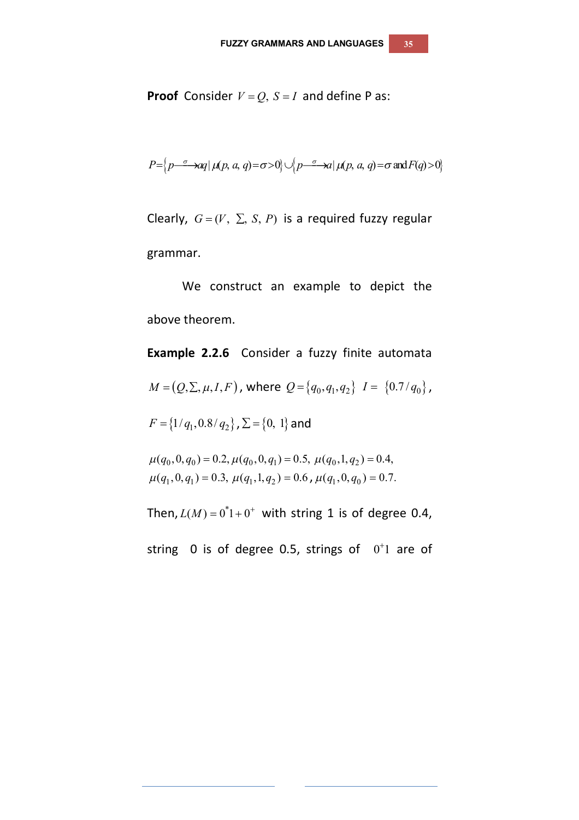**Proof** Consider  $V = Q$ ,  $S = I$  and define P as:

$$
P=\left\{p\stackrel{\sigma}{\longrightarrow}aq \mid \mu(p,a,q)=\sigma>0\right\} \cup \left\{p\stackrel{\sigma}{\longrightarrow}aq \mid \mu(p,a,q)=\sigma \text{ and } F(q)>0\right\}
$$

Clearly,  $G = (V, \Sigma, S, P)$  is a required fuzzy regular grammar.

We construct an example to depict the above theorem.

**Example 2.2.6** Consider a fuzzy finite automata  $M = (Q, \Sigma, \mu, I, F)$ , where  $Q = \{q_0, q_1, q_2\}$   $I = \{0.7/q_0\}$ ,  $F = \{1/q_1, 0.8/q_2\}$ ,  $\Sigma = \{0, 1\}$  and  $\mu(q_0, 0, q_0) = 0.2, \mu(q_0, 0, q_1) = 0.5, \mu(q_0, 1, q_2) = 0.4,$  $\mu(q_1, 0, q_1) = 0.3, \ \mu(q_1, 1, q_2) = 0.6$ ,  $\mu(q_1, 0, q_0) = 0.7$ . Then,  $L(M) = 0^*1 + 0^+$  with string 1 is of degree 0.4, string 0 is of degree 0.5, strings of  $0<sup>+</sup>1$  are of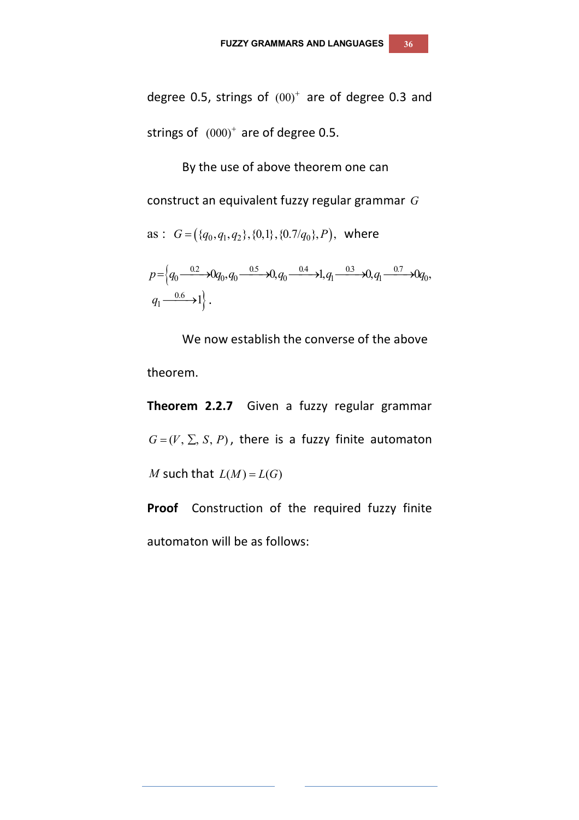degree 0.5, strings of  $(00)^+$  are of degree 0.3 and strings of  $(000)^+$  are of degree 0.5.

By the use of above theorem one can construct an equivalent fuzzy regular grammar *G* as :  $G = (\{q_0, q_1, q_2\}, \{0, 1\}, \{0.7/q_0\}, P)$ , where  $p = \left\{q_0 \frac{0.2}{0.67} \right\} Q_0, q_0 \frac{0.5}{0.67} \right\} Q_0, q_0 \frac{0.4}{0.47} \right\} Q_1 \frac{0.3}{0.67} \right\} Q_0,$  $\longrightarrow 1$ .  $q_1 \stackrel{0.6}{\longrightarrow} 1$ .

We now establish the converse of the above theorem.

**Theorem 2.2.7** Given a fuzzy regular grammar  $G = (V, \Sigma, S, P)$ , there is a fuzzy finite automaton *M* such that  $L(M) = L(G)$ 

**Proof** Construction of the required fuzzy finite automaton will be as follows: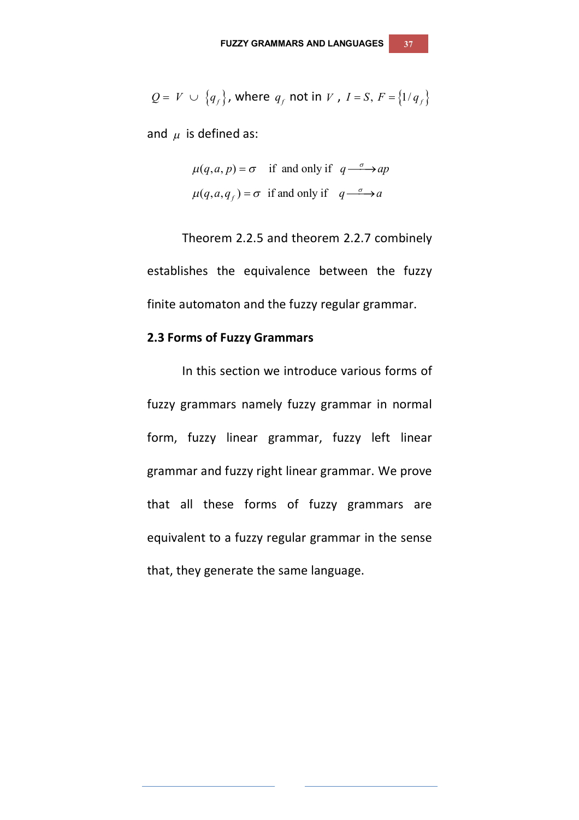$$
Q = V \cup \{q_f\}, \text{ where } q_f \text{ not in } V \text{ , } I = S \text{ , } F = \{1/q_f\}
$$

and  $\mu$  is defined as:

$$
\mu(q, a, p) = \sigma
$$
 if and only if  $q \xrightarrow{\sigma} ap$   
 $\mu(q, a, q_f) = \sigma$  if and only if  $q \xrightarrow{\sigma} a$ 

Theorem 2.2.5 and theorem 2.2.7 combinely establishes the equivalence between the fuzzy finite automaton and the fuzzy regular grammar.

#### **2.3 Forms of Fuzzy Grammars**

 In this section we introduce various forms of fuzzy grammars namely fuzzy grammar in normal form, fuzzy linear grammar, fuzzy left linear grammar and fuzzy right linear grammar. We prove that all these forms of fuzzy grammars are equivalent to a fuzzy regular grammar in the sense that, they generate the same language.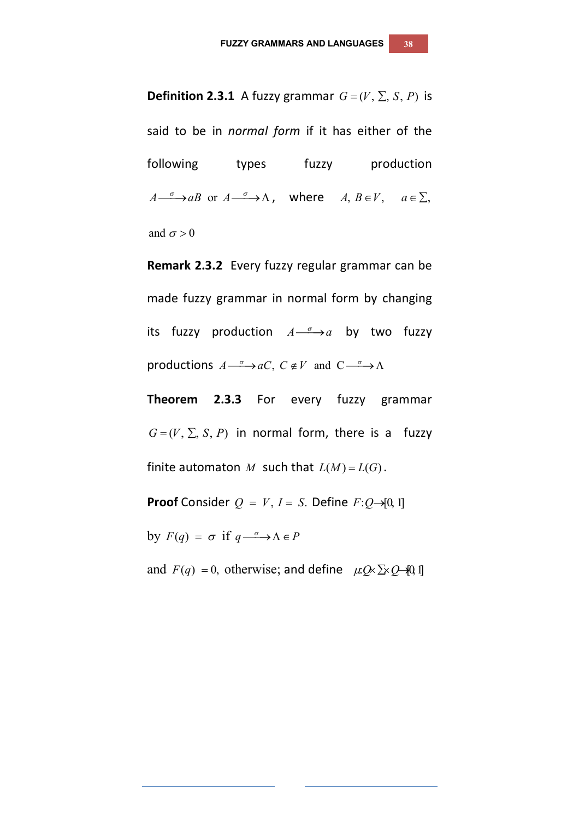said to be in *normal form* if it has either of the following types fuzzy production  $A \xrightarrow{\sigma} aB$  or  $A \xrightarrow{\sigma} \Lambda$ , where  $A, B \in V$ ,  $a \in \Sigma$ , and  $\sigma > 0$ 

**Definition 2.3.1** A fuzzy grammar  $G = (V, \Sigma, S, P)$  is

**Remark 2.3.2** Every fuzzy regular grammar can be made fuzzy grammar in normal form by changing its fuzzy production  $A \xrightarrow{\sigma} a$  by two fuzzy productions  $A \xrightarrow{\sigma} aC$ ,  $C \notin V$  and  $C \xrightarrow{\sigma} \Lambda$ 

**Theorem 2.3.3** For every fuzzy grammar  $G = (V, \Sigma, S, P)$  in normal form, there is a fuzzy finite automaton *M* such that  $L(M) = L(G)$ .

**Proof** Consider  $Q = V$ ,  $I = S$ . Define  $F:Q \rightarrow [0, 1]$ 

by  $F(q) = \sigma$  if  $q \rightarrow \Lambda \in P$ 

and  $F(q) = 0$ , otherwise; and define  $\mu Q \propto \sum Q \rightarrow 0$  *I*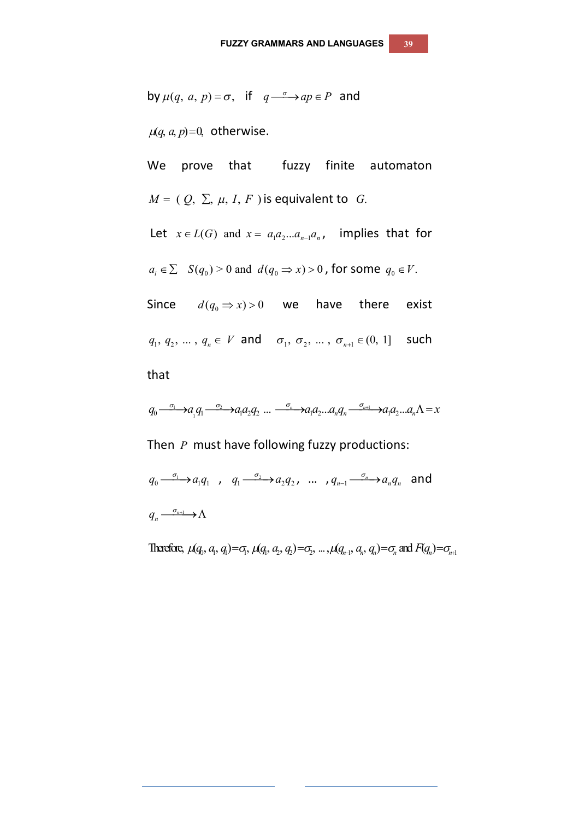by 
$$
\mu(q, a, p) = \sigma
$$
, if  $q \xrightarrow{\sigma} ap \in P$  and

 $\mu(q, a, p) = 0$ , otherwise.

We prove that fuzzy finite automaton  $M = (Q, \Sigma, \mu, I, F)$  is equivalent to *G*. Let  $x \in L(G)$  and  $x = a_1 a_2 ... a_{n-1} a_n$ , implies that for

$$
a_i \in \Sigma
$$
  $S(q_0) > 0$  and  $d(q_0 \Rightarrow x) > 0$ , for some  $q_0 \in V$ .

Since  $d(q_0 \Rightarrow x) > 0$  we have there exist  $q_1, q_2, ..., q_n \in V$  and  $\sigma_1, \sigma_2, ..., \sigma_{n+1} \in (0, 1]$  such that

$$
q_0 \xrightarrow{\sigma_1} a_1 q_1 \xrightarrow{\sigma_2} a_1 a_2 q_2 \dots \xrightarrow{\sigma_n} a_1 a_2 \dots a_n q_n \xrightarrow{\sigma_{n+1}} a_1 a_2 \dots a_n \Lambda = x
$$

Then *P* must have following fuzzy productions:

$$
q_0 \xrightarrow{\sigma_1} a_1 q_1 , q_1 \xrightarrow{\sigma_2} a_2 q_2 , \dots , q_{n-1} \xrightarrow{\sigma_n} a_n q_n \text{ and}
$$
  

$$
q_n \xrightarrow{\sigma_{n+1}} \Lambda
$$

Therefore,  $\mu(q, a, q) = \sigma$ ,  $\mu(q, a, q) = \sigma$ , ...,  $\mu(q_{n+1}, a_n, q_n) = \sigma$  and  $F(q_n) = \sigma_{n+1}$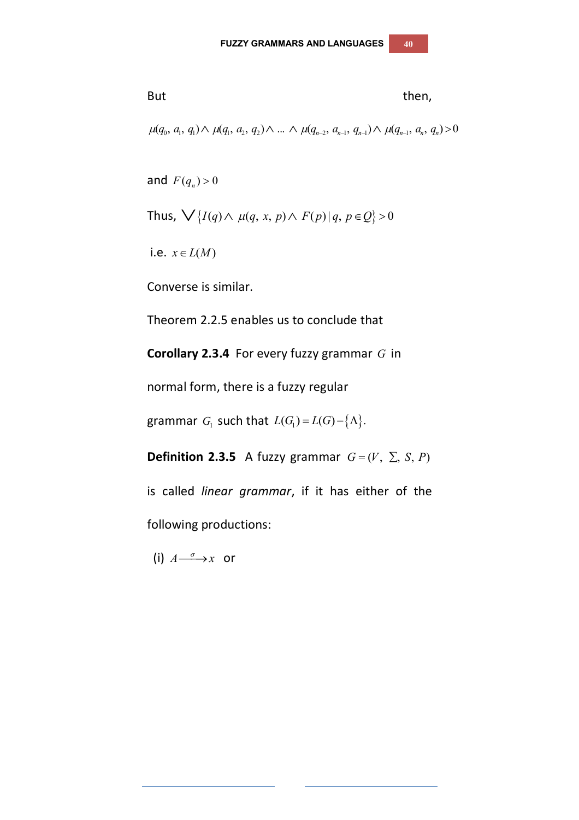But  
\n
$$
\mu(q_0, a_1, q_1) \wedge \mu(q_1, a_2, q_2) \wedge ... \wedge \mu(q_{n-2}, a_{n-1}, q_{n-1}) \wedge \mu(q_{n-1}, a_n, q_n) > 0
$$

and  $F(q_n) > 0$ 

Thus, 
$$
\bigvee
$$
 { $I(q) \wedge \mu(q, x, p) \wedge F(p) | q, p \in Q$ } > 0

i.e.  $x \in L(M)$ 

Converse is similar.

Theorem 2.2.5 enables us to conclude that

**Corollary 2.3.4** For every fuzzy grammar *G* in

normal form, there is a fuzzy regular

grammar  $G_1$  such that  $L(G_1) = L(G) - \{\Lambda\}$ .

**Definition 2.3.5** A fuzzy grammar  $G = (V, \Sigma, S, P)$ 

is called *linear grammar*, if it has either of the following productions:

(i)  $A \xrightarrow{\sigma} x$  or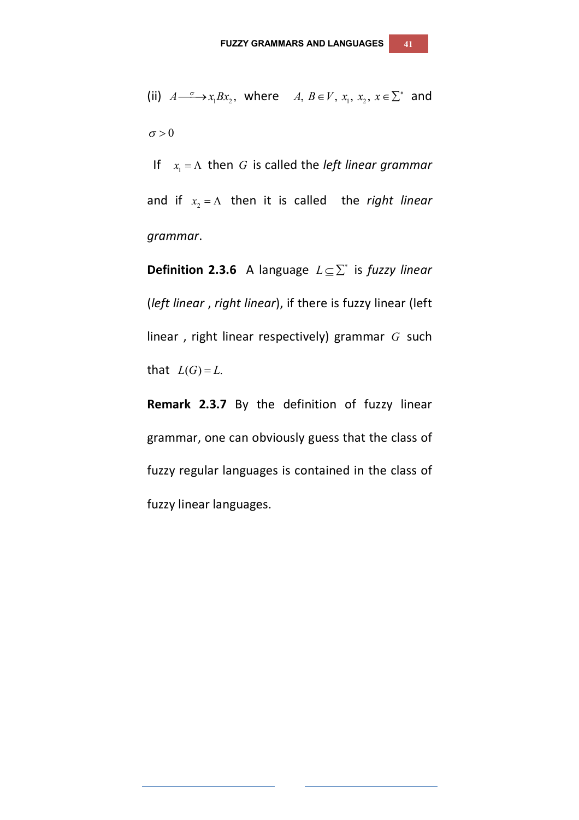(ii)  $A \xrightarrow{\sigma} x_1 B x_2$ , where  $A, B \in V$ ,  $x_1, x_2, x \in \Sigma^*$  and  $\sigma > 0$ 

If  $x_1 = \Lambda$  then *G* is called the *left linear grammar* and if  $x_2 = \Lambda$  then it is called the *right linear grammar*.

**Definition 2.3.6** A language *L* is *fuzzy linear* (*left linear* , *right linear*), if there is fuzzy linear (left linear , right linear respectively) grammar *G* such that  $L(G) = L$ .

**Remark 2.3.7** By the definition of fuzzy linear grammar, one can obviously guess that the class of fuzzy regular languages is contained in the class of fuzzy linear languages.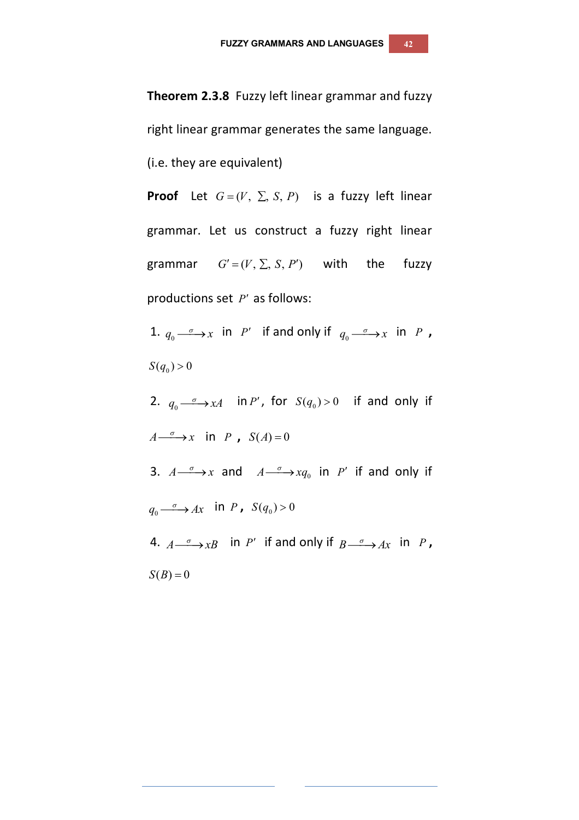**Theorem 2.3.8** Fuzzy left linear grammar and fuzzy right linear grammar generates the same language. (i.e. they are equivalent)

**Proof** Let  $G = (V, \Sigma, S, P)$  is a fuzzy left linear grammar. Let us construct a fuzzy right linear grammar  $G' = (V, \Sigma, S, P')$  with the fuzzy productions set *P'* as follows:

1.  $q_0 \stackrel{\sigma}{\longrightarrow} x$  in *P'* if and only if  $q_0 \stackrel{\sigma}{\longrightarrow} x$  in *P*,  $S(q_0) > 0$ 

2.  $q_0 \longrightarrow xA$  in *P'*, for  $S(q_0) > 0$  if and only if  $A \xrightarrow{\sigma} x$  in *P*,  $S(A) = 0$ 3.  $A \xrightarrow{\sigma} x$  and  $A \xrightarrow{\sigma} xq_0$  in *P'* if and only if  $q_0 \xrightarrow{\sigma} Ax$  in *P*,  $S(q_0) > 0$ 4.  $A \xrightarrow{\sigma} xB$  in *P'* if and only if  $B \xrightarrow{\sigma} Ax$  in *P*,  $S(B) = 0$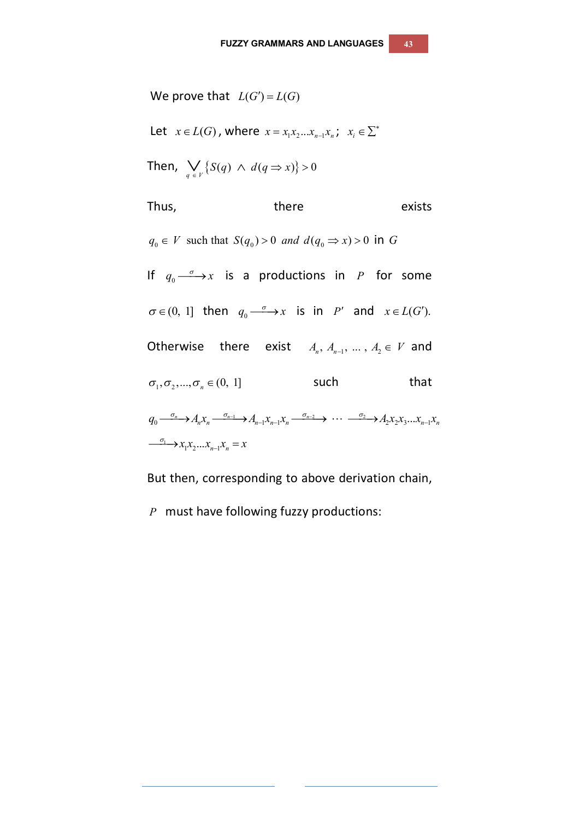We prove that  $L(G') = L(G)$ Let  $x \in L(G)$ , where  $x = x_1 x_2 ... x_{n-1} x_n$ ;  $x_i \in \Sigma^*$ Then,  $\bigvee_{q \in V} \{ S(q) \land d(q \Rightarrow x) \} > 0$ Thus, there exists  $q_0 \in V$  such that  $S(q_0) > 0$  and  $d(q_0 \Rightarrow x) > 0$  in G If  $q_0 \stackrel{\sigma}{\longrightarrow} x$  is a productions in *P* for some  $\sigma \in (0, 1]$  then  $q_0 \xrightarrow{\sigma} x$  is in *P'* and  $x \in L(G')$ . Otherwise there exist  $A_n, A_{n-1}, \ldots, A_2 \in V$  and  $\sigma_1, \sigma_2, ..., \sigma_n \in (0, 1]$  *such* that  $q_0 \xrightarrow{\sigma_n} A_n x_n \xrightarrow{\sigma_{n-1}} A_{n-1} x_{n-1} x_n \xrightarrow{\sigma_{n-2}} \cdots \xrightarrow{\sigma_2} A_2 x_2 x_3 \dots x_{n-1} x_n$  $\overrightarrow{a_1}$   $\rightarrow$   $x_1x_2...x_{n-1}x_n = x$ 

But then, corresponding to above derivation chain,

*P* must have following fuzzy productions: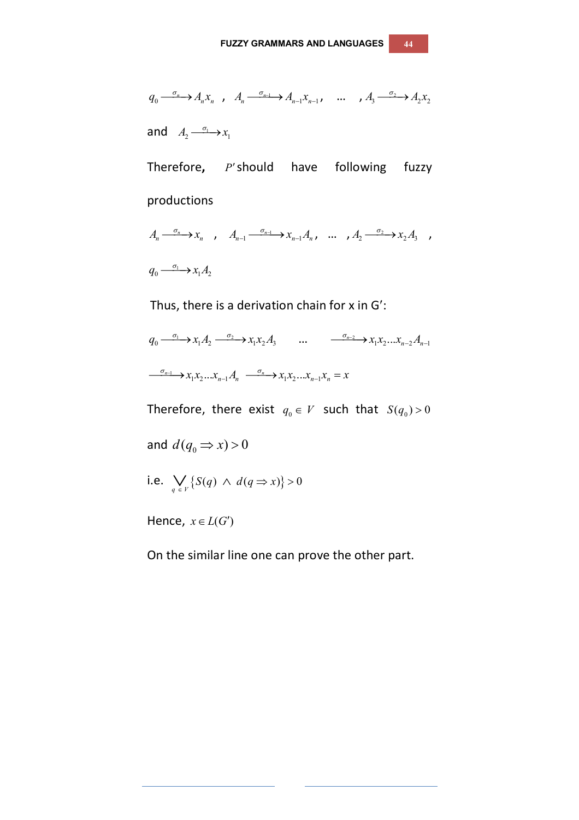$$
q_0 \xrightarrow{\sigma_n} A_n x_n \quad , \quad A_n \xrightarrow{\sigma_{n-1}} A_{n-1} x_{n-1} \quad \dots \quad , \quad A_3 \xrightarrow{\sigma_2} A_2 x_2
$$

and  $A_2 \xrightarrow{\sigma_1} x_1$ 

Therefore, P'should have following fuzzy productions

$$
A_n \xrightarrow{\sigma_n} x_n, \quad A_{n-1} \xrightarrow{\sigma_{n-1}} x_{n-1} A_n, \quad \dots \quad A_2 \xrightarrow{\sigma_2} x_2 A_3 \quad ,
$$

 $q_0 \xrightarrow{\sigma_1} x_1 A_2$ 

Thus, there is a derivation chain for  $x$  in  $G'$ :

 $q_0 \xrightarrow{\sigma_1} x_1 A_2 \xrightarrow{\sigma_2} x_1 x_2 A_3 \qquad \dots \qquad \xrightarrow{\sigma_{n-2}} x_1 x_2 \dots x_{n-2} A_{n-1}$  $\longrightarrow x_1 x_2 ... x_{n-1} A_n \longrightarrow x_1 x_2 ... x_{n-1} x_n = x$ 

Therefore, there exist  $q_0 \in V$  such that  $S(q_0) > 0$ 

and  $d(q_0 \Rightarrow x) > 0$ 

i.e. 
$$
\bigvee_{q \in V} \{S(q) \land d(q \Rightarrow x)\} > 0
$$

Hence,  $x \in L(G')$ 

On the similar line one can prove the other part.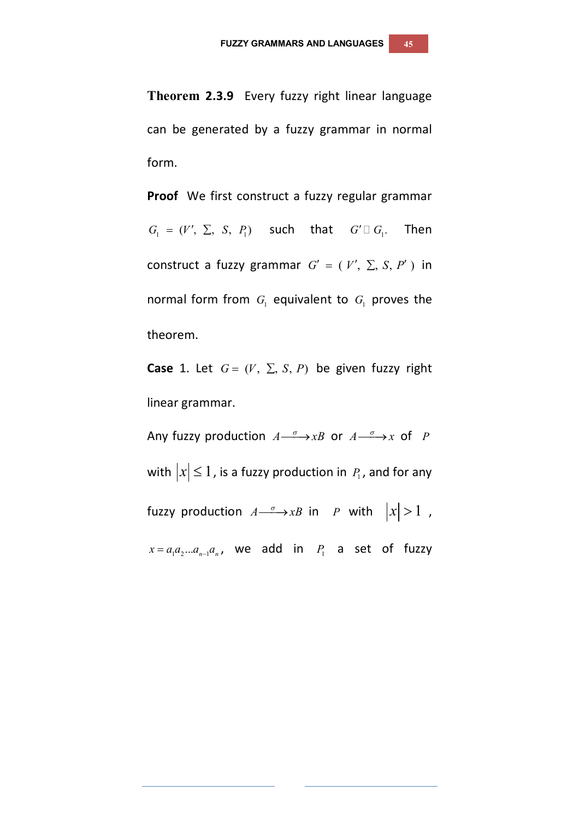**Theorem 2.3.9** Every fuzzy right linear language can be generated by a fuzzy grammar in normal form.

**Proof** We first construct a fuzzy regular grammar  $G_1 = (V', \Sigma, S, P_1)$  such that  $G' \square G_1$ . Then construct a fuzzy grammar  $G' = (V', \Sigma, S, P')$  in normal form from  $G_1$  equivalent to  $G_1$  proves the theorem.

**Case** 1. Let  $G = (V, \Sigma, S, P)$  be given fuzzy right linear grammar.

Any fuzzy production  $A \xrightarrow{\sigma} xB$  or  $A \xrightarrow{\sigma} x$  of *P* with  $|x|\leq 1$  , is a fuzzy production in  $P_{\scriptscriptstyle \rm I}$  , and for any fuzzy production  $A \xrightarrow{\sigma} xB$  in *P* with  $|x| > 1$  ,  $x = a_1 a_2 ... a_{n-1} a_n$ , we add in  $P_1$  a set of fuzzy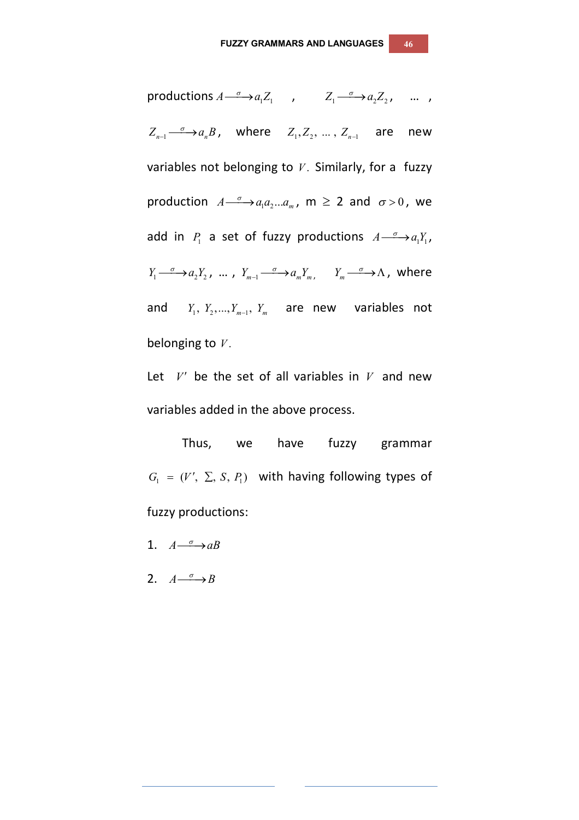productions  $A \xrightarrow{\sigma} a_1 Z_1$ ,  $Z_1 \xrightarrow{\sigma} a_2 Z_2$ , ...,  $Z_{n-1} \xrightarrow{\sigma} a_n B$ , where  $Z_1, Z_2, \dots, Z_{n-1}$  are new variables not belonging to  $V$ . Similarly, for a fuzzy production  $A \longrightarrow a_1 a_2 ... a_m$ ,  $m \ge 2$  and  $\sigma > 0$ , we add in  $P_1$  a set of fuzzy productions  $A \xrightarrow{\sigma} a_1 Y_1$ ,  $Y_1 \xrightarrow{\sigma} a_2 Y_2$ , ...,  $Y_{m-1} \xrightarrow{\sigma} a_m Y_m$ ,  $Y_m \xrightarrow{\sigma} \Lambda$ , where and  $Y_1, Y_2, ..., Y_{m-1}, Y_m$  are new variables not belonging to *V* .

Let  $V'$  be the set of all variables in  $V$  and new variables added in the above process.

Thus, we have fuzzy grammar  $G_1 = (V', \Sigma, S, P_1)$  with having following types of fuzzy productions:

1.  $A \xrightarrow{\sigma} aB$ 

2.  $A \xrightarrow{\sigma} B$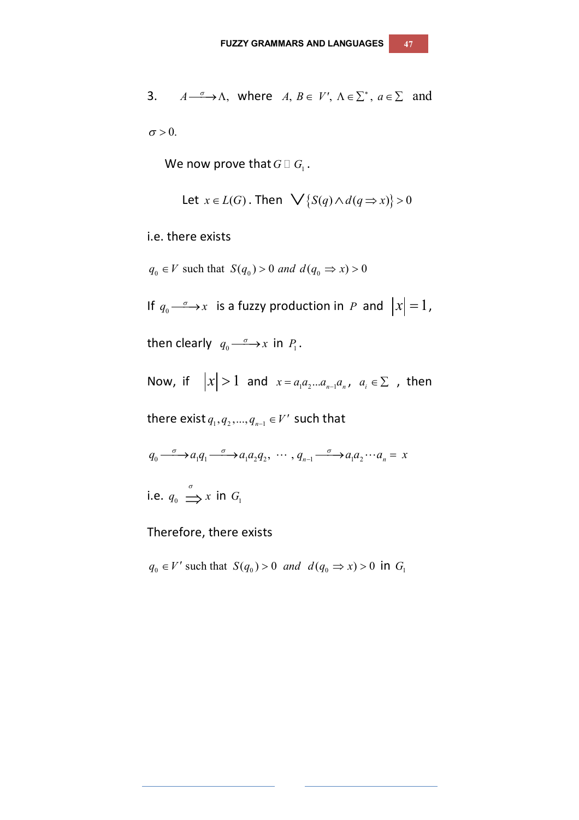3. 
$$
A \xrightarrow{\sigma} \Lambda
$$
, where  $A, B \in V'$ ,  $\Lambda \in \Sigma^*$ ,  $a \in \Sigma$  and

 $\sigma > 0$ .

We now prove that  $G \, \Box \, G_1$  .

Let 
$$
x \in L(G)
$$
. Then  $\bigvee \{S(q) \land d(q \Rightarrow x)\} > 0$ 

i.e. there exists

 $q_0 \in V$  such that  $S(q_0) > 0$  and  $d(q_0 \implies x) > 0$ 

If  $q_0 \stackrel{\sigma}{\longrightarrow} x$  is a fuzzy production in *P* and  $|x|=1$ ,

then clearly  $q_0 \stackrel{\sigma}{\longrightarrow} x$  in  $P_1$ .

Now, if  $|x| > 1$  and  $x = a_1 a_2 ... a_{n-1} a_n$ ,  $a_i \in \Sigma$ , then

there exist  $q_{_1}, q_{_2},..., q_{_{n-1}} \in V'$  such that

$$
q_0 \xrightarrow{\sigma} a_1 q_1 \xrightarrow{\sigma} a_1 a_2 q_2, \cdots, q_{n-1} \xrightarrow{\sigma} a_1 a_2 \cdots a_n = x
$$

i.e.  $q_0 \stackrel{\sigma}{\Longrightarrow} x$  in  $G_1$ 

Therefore, there exists

 $q_0 \in V'$  such that  $S(q_0) > 0$  and  $d(q_0 \Rightarrow x) > 0$  in  $G_1$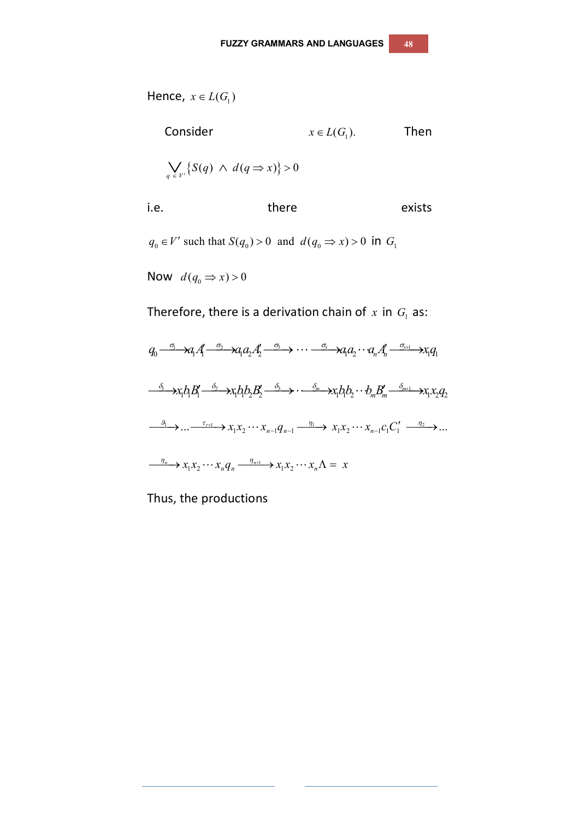Hence,  $x \in L(G_1)$ 

Consider 
$$
x \in L(G_1)
$$
. Then  
\n
$$
\bigvee_{q \in V'} \{S(q) \land d(q \Rightarrow x)\} > 0
$$
\ni.e. there exists

 $q_0 \in V'$  such that  $S(q_0) > 0$  and  $d(q_0 \Rightarrow x) > 0$  in  $G_1$ 

Now  $d(q_0 \Rightarrow x) > 0$ 

Therefore, there is a derivation chain of  $x$  in  $G_1$  as:

$$
q_0 \xrightarrow{\sigma_1} a_1 A_1 \xrightarrow{\sigma_2} a_1 a_2 A_2' \xrightarrow{\sigma_3} \cdots \xrightarrow{\sigma_s} a_1 a_2 \cdots a_n A_n' \xrightarrow{\sigma_{s+1}} x_1 q_1
$$
  

$$
\xrightarrow{\delta_1} x_1 b_1 B_1' \xrightarrow{\delta_2} x_1 b_1 b_2 B_2' \xrightarrow{\delta_3} \cdots \xrightarrow{\delta_m} x_1 b_1 b_2 \cdots b_m B_m' \xrightarrow{\delta_{m+1}} x_1 x_2 q_2
$$
  

$$
\xrightarrow{\theta_1} \cdots \xrightarrow{\tau_{r+1}} x_1 x_2 \cdots x_{n-1} q_{n-1} \xrightarrow{\eta_1} x_1 x_2 \cdots x_{n-1} c_1 C_1' \xrightarrow{\eta_2} \cdots
$$
  

$$
\xrightarrow{\eta_n} x_1 x_2 \cdots x_n q_n \xrightarrow{\eta_{n+1}} x_1 x_2 \cdots x_n \Lambda = x
$$

Thus, the productions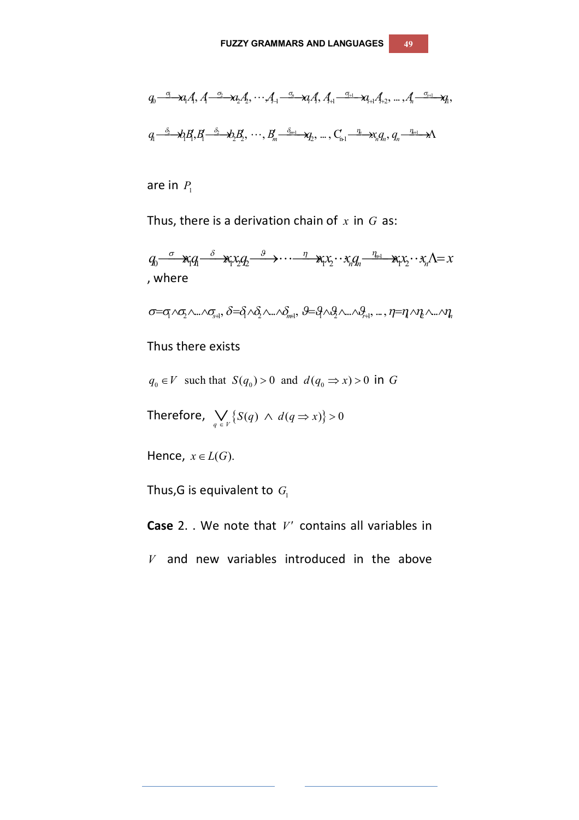$$
q_0 \xrightarrow{\sigma_1} \mathcal{A}_1 A, A \xrightarrow{\sigma_2} \mathcal{A}_2 A'_2, \cdots, A_{-1} \xrightarrow{\sigma_n} \mathcal{A}_1 A'_{+1} \xrightarrow{\sigma_{i+1}} \mathcal{A}_{i+1} A'_{+2}, \ldots, A_{n} \xrightarrow{\sigma_{s+1}} \mathcal{A}_1,
$$
  

$$
q_1 \xrightarrow{\delta_2} \mathcal{A}_1 A'_1, A_2 \xrightarrow{\delta_2} \mathcal{A}_2 A'_2, \cdots, B'_{n} \xrightarrow{\delta_{n+1}} \mathcal{A}_2, \ldots, C_{n-1} \xrightarrow{\eta_n} \mathcal{X}_n A_n, q_n \xrightarrow{\eta_{n+1}} \mathcal{A}_1
$$

are in  $P_1$ 

Thus, there is a derivation chain of *x* in *G* as:

 $q_0 \stackrel{\sigma}{\longrightarrow} \mathbf{x}_i q_1 \stackrel{\delta}{\longrightarrow} \mathbf{x}_i x_2 q_2 \stackrel{g}{\longrightarrow} \cdots \stackrel{\eta}{\longrightarrow} \mathbf{x}_i x_2 \cdots x_n q_n \stackrel{\eta_{n+1}}{\longrightarrow} \mathbf{x}_i x_2 \cdots x_n \Lambda = x$ , where

 $\sigma = \sigma_1 \wedge \sigma_2 \wedge \ldots \wedge \sigma_{n+1}$ ,  $\delta = \delta_1 \wedge \delta_2 \wedge \ldots \wedge \delta_{n+1}$ ,  $\theta = \theta_1 \wedge \theta_2 \wedge \ldots \wedge \theta_{n+1}$ , ...,  $\eta = \eta \wedge \eta_2 \wedge \ldots \wedge \eta_n$ 

#### Thus there exists

 $q_0 \in V$  such that  $S(q_0) > 0$  and  $d(q_0 \implies x) > 0$  in G

Therefore,  $\bigvee_{q \in V} \{ S(q) \land d(q \Rightarrow x) \} > 0$ 

Hence,  $x \in L(G)$ .

Thus,G is equivalent to  $G_{\!\scriptscriptstyle 1}$ 

**Case** 2. . We note that *V'* contains all variables in

*V* and new variables introduced in the above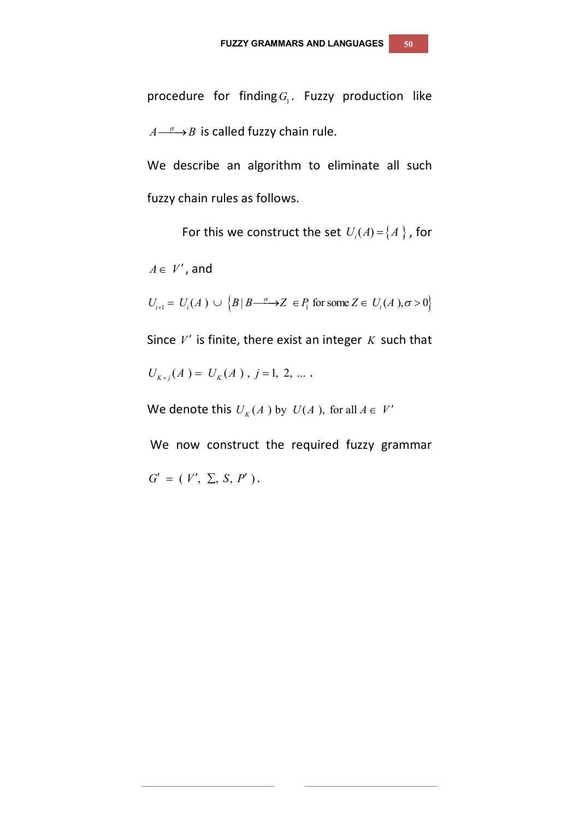procedure for finding $G_{\!\scriptscriptstyle 1}$ . Fuzzy production like  $A \longrightarrow B$  is called fuzzy chain rule.

We describe an algorithm to eliminate all such fuzzy chain rules as follows.

For this we construct the set  $U_i(A)$  =  $\{A\}$  , for

 $A \in V'$ , and

 $U_{i+1} = U_i(A) \cup \{B | B \longrightarrow Z \in P_i \text{ for some } Z \in U_i(A), \sigma > 0\}$ 

Since *V'* is finite, there exist an integer *K* such that

 $U_{K+j}(A) = U_K(A)$ ,  $j = 1, 2, ...$ 

We denote this  $U_K(A)$  by  $U(A)$ , for all  $A \in V'$ 

We now construct the required fuzzy grammar  $G' = (V', \Sigma, S, P')$ .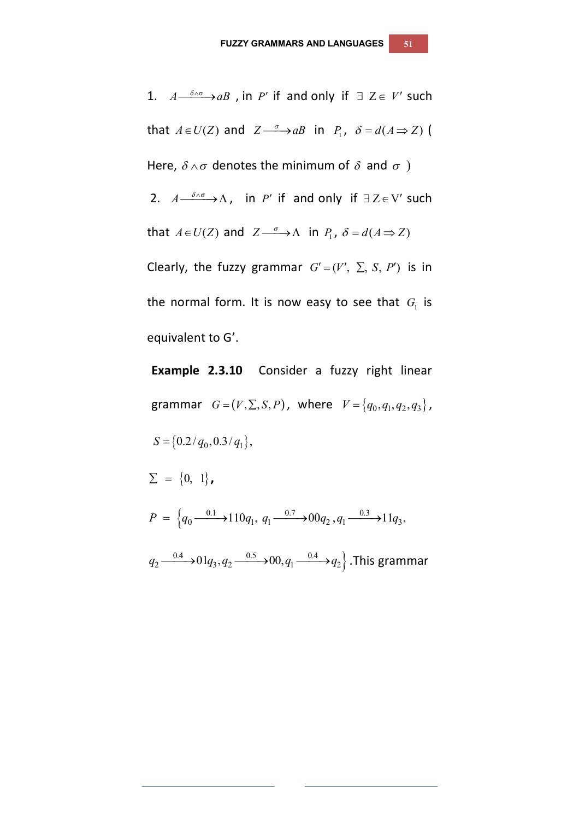1.  $A \xrightarrow{\delta \wedge \sigma} AB$ , in *P'* if and only if  $\exists Z \in V'$  such that  $A \in U(Z)$  and  $Z \xrightarrow{\sigma} aB$  in  $P_1$ ,  $\delta = d(A \Rightarrow Z)$ Here,  $\delta \wedge \sigma$  denotes the minimum of  $\delta$  and  $\sigma$ ) 2.  $A \xrightarrow{\delta \wedge \sigma} A$ , in *P'* if and only if  $\exists Z \in V'$  such that  $A \in U(Z)$  and  $Z \xrightarrow{\sigma} \Lambda$  in  $P_1$ ,  $\delta = d(A \Rightarrow Z)$ Clearly, the fuzzy grammar  $G' = (V', \Sigma, S, P')$  is in the normal form. It is now easy to see that  $G_{\text{I}}$  is equivalent to G'.

**Example 2.3.10** Consider a fuzzy right linear grammar  $G = (V, \Sigma, S, P)$ , where  $V = \{q_0, q_1, q_2, q_3\}$ ,  $S = \{0.2/q_0, 0.3/q_1\},\$  $\Sigma = \{0, 1\}$ ,  $P = \left\{q_0 \xrightarrow{0.1} 110q_1, q_1 \xrightarrow{0.7} 0.0q_2, q_1 \xrightarrow{0.3} 11q_3, \right\}$  $q_2 {\longrightarrow} 0.4 \rightarrow$   $01 q_3, q_2 {\longrightarrow} 0.5 \rightarrow$   $00, q_1 {\longrightarrow} 0.4 \rightarrow$   $q_2$  . This grammar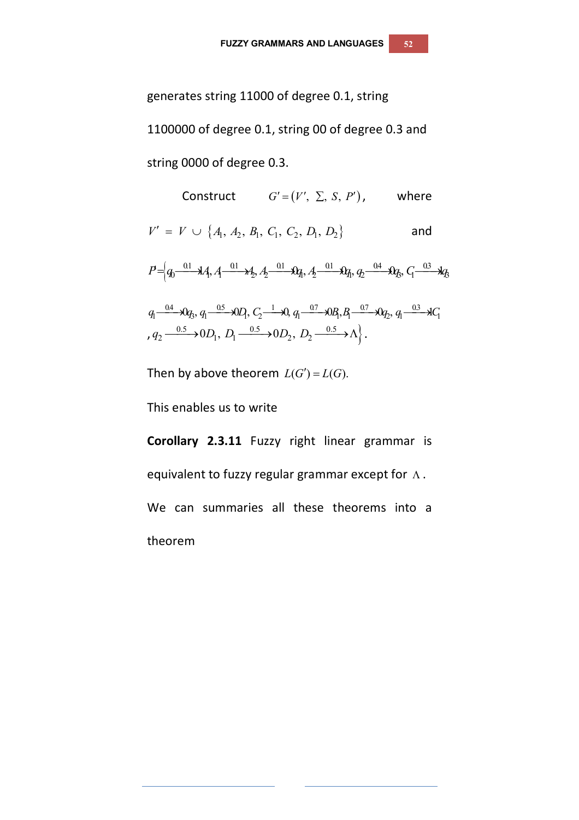generates string 11000 of degree 0.1, string 1100000 of degree 0.1, string 00 of degree 0.3 and string 0000 of degree 0.3.

Construct 
$$
G' = (V', \Sigma, S, P')
$$
, where  
\n $V' = V \cup \{A_1, A_2, B_1, C_1, C_2, D_1, D_2\}$  and  
\n $P = \left(q_0 \frac{0.1}{0.1} \lambda A_1, A_1 \frac{0.1}{0.1} \lambda A_2, A_2 \frac{0.1}{0.1} \lambda A_1, A_2 \frac{0.1}{0.1} \lambda A_1, A_2 \frac{0.1}{0.1} \lambda A_1, A_2 \frac{0.1}{0.1} \lambda A_1, A_2 \frac{0.1}{0.1} \lambda A_1, A_2 \frac{0.1}{0.1} \lambda A_1, A_2 \frac{0.1}{0.1} \lambda A_1, A_2 \frac{0.1}{0.1} \lambda A_1, A_2 \frac{0.1}{0.1} \lambda A_1, A_2 \frac{0.1}{0.1} \lambda A_1, A_2 \frac{0.1}{0.1} \lambda A_1, A_2 \frac{0.1}{0.1} \lambda A_1, A_2 \frac{0.1}{0.1} \lambda A_1, A_2 \frac{0.1}{0.1} \lambda A_1, A_2 \frac{0.1}{0.1} \lambda A_1, A_2 \frac{0.1}{0.1} \lambda A_1, A_2 \frac{0.1}{0.1} \lambda A_1, A_2 \frac{0.1}{0.1} \lambda A_1, A_2 \frac{0.1}{0.1} \lambda A_1, A_2 \frac{0.1}{0.1} \lambda A_1, A_2 \frac{0.1}{0.1} \lambda A_1, A_2 \frac{0.1}{0.1} \lambda A_1, A_2 \frac{0.1}{0.1} \lambda A_1, A_2 \frac{0.1}{0.1} \lambda A_1, A_2 \frac{0.1}{0.1} \lambda A_1, A_2 \frac{0.1}{0.1} \lambda A_1, A_2 \frac{0.1}{0.1} \lambda A_1, A_2 \frac{0.1}{0.1} \lambda A_1, A_2 \frac{0.1}{0.1} \lambda A_1, A_2 \frac{0.1}{0.1} \lambda A_1, A_2 \frac{0.1}{0.1} \lambda A_1, A_2 \frac{0.1}{0.1} \lambda A_1, A_2 \frac{0.1}{0.$ 

Then by above theorem  $L(G') = L(G)$ .

This enables us to write

**Corollary 2.3.11** Fuzzy right linear grammar is equivalent to fuzzy regular grammar except for  $\Lambda$ . We can summaries all these theorems into a theorem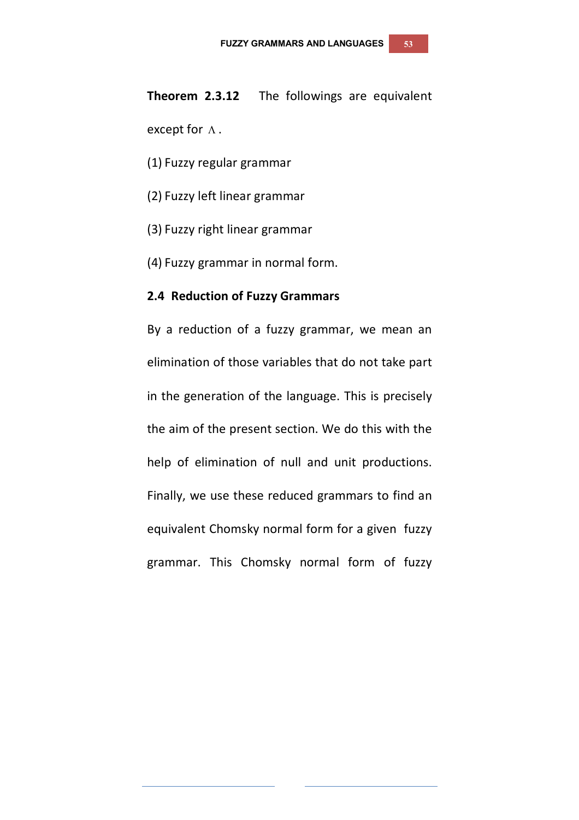# **Theorem 2.3.12** The followings are equivalent except for  $\Lambda$ .

- (1) Fuzzy regular grammar
- (2) Fuzzy left linear grammar
- (3) Fuzzy right linear grammar
- (4) Fuzzy grammar in normal form.

#### **2.4 Reduction of Fuzzy Grammars**

By a reduction of a fuzzy grammar, we mean an elimination of those variables that do not take part in the generation of the language. This is precisely the aim of the present section. We do this with the help of elimination of null and unit productions. Finally, we use these reduced grammars to find an equivalent Chomsky normal form for a given fuzzy grammar. This Chomsky normal form of fuzzy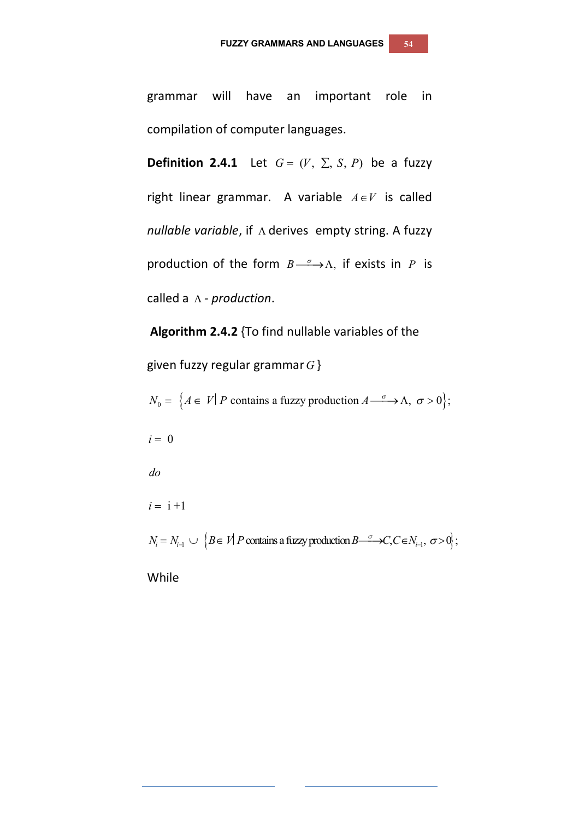grammar will have an important role in compilation of computer languages.

**Definition 2.4.1** Let  $G = (V, \Sigma, S, P)$  be a fuzzy right linear grammar. A variable  $A \in V$  is called *nullable variable*, if  $\Lambda$  derives empty string. A fuzzy production of the form  $B \longrightarrow \Lambda$ , if exists in *P* is called a *- production*.

**Algorithm 2.4.2** {To find nullable variables of the

given fuzzy regular grammar*G* }

 $N_0 = \{ A \in V | P \text{ contains a fuzzy production } A \longrightarrow \Lambda, \sigma > 0 \};$ 

 $i = 0$ 

*do*

 $i = i + 1$ 

 $N_i = N_{i-1} \cup \{B \in V | P \text{ contains a fuzzy production } B \longrightarrow C, C \in N_{i-1}, \sigma > 0 \};$ 

While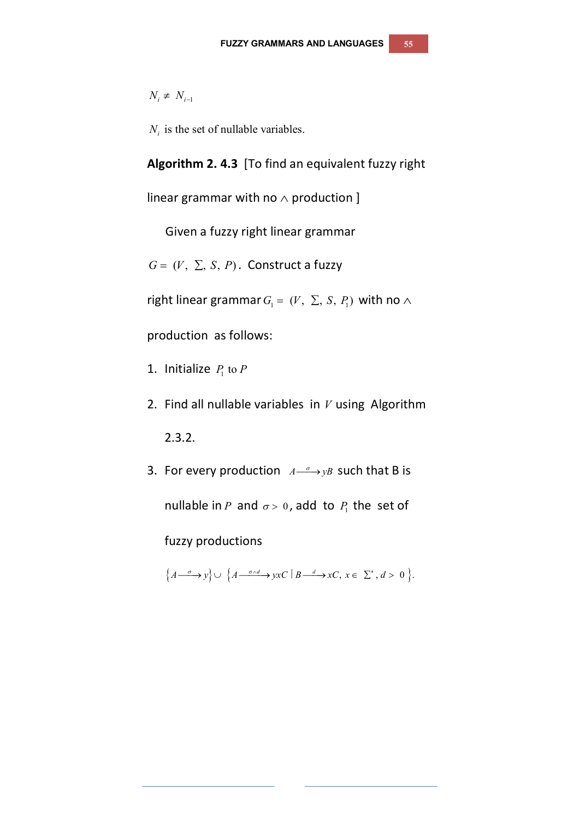$N_i \neq N_{i-1}$ 

 $N<sub>i</sub>$  is the set of nullable variables.

**Algorithm 2. 4.3** [To find an equivalent fuzzy right

linear grammar with no  $\wedge$  production ]

Given a fuzzy right linear grammar

 $G = (V, \Sigma, S, P)$ . Construct a fuzzy

right linear grammar  $G_1 = (V, \Sigma, S, P_1)$  with no  $\wedge$ 

production as follows:

- 1. Initialize  $P_1$  to  $P_2$
- 2. Find all nullable variables in *V* using Algorithm

2.3.2.

3. For every production  $A \rightarrow yB$  such that B is nullable in P and  $\sigma$  > 0, add to  $P_1$  the set of

fuzzy productions

 $\{A \xrightarrow{\sigma} y\} \cup \{A \xrightarrow{\sigma \wedge d} yxc \mid B \xrightarrow{d} xC, x \in \Sigma^*, d > 0\}.$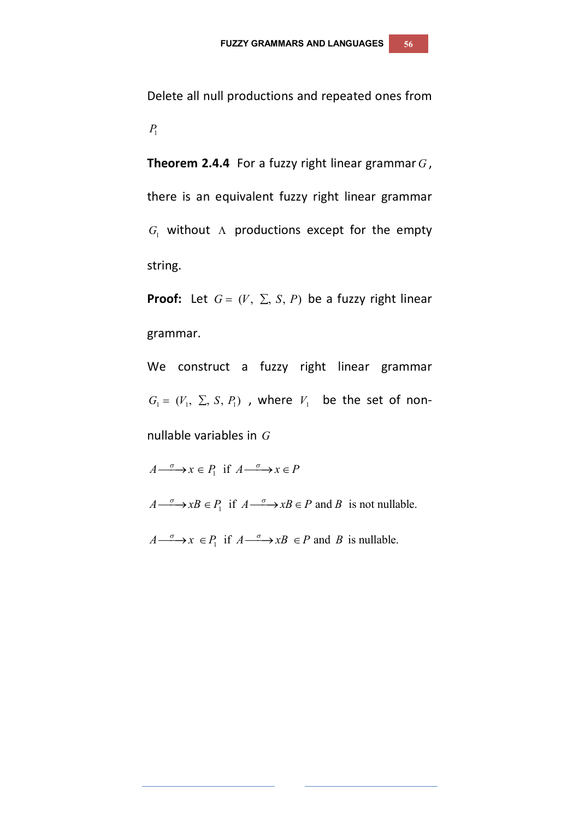Delete all null productions and repeated ones from  $P_1$ 

**Theorem 2.4.4** For a fuzzy right linear grammar *G* , there is an equivalent fuzzy right linear grammar  $G_1$  without  $\Lambda$  productions except for the empty string.

**Proof:** Let  $G = (V, \Sigma, S, P)$  be a fuzzy right linear grammar.

We construct a fuzzy right linear grammar  $G_1 = (V_1, \Sigma, S, P_1)$ , where  $V_1$  be the set of nonnullable variables in *G*

 $A \xrightarrow{\sigma} x \in P_1$  if  $A \xrightarrow{\sigma} x \in P$ 

 $A \longrightarrow xB \in P_1$  if  $A \longrightarrow xB \in P$  and B is not nullable.

 $A \xrightarrow{\sigma} x \in P_1$  if  $A \xrightarrow{\sigma} xB \in P$  and B is nullable.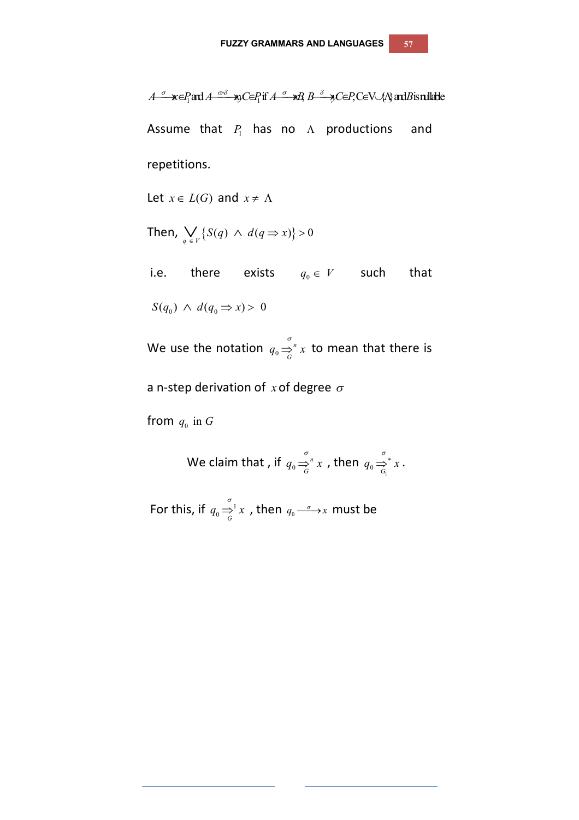$A \xrightarrow{\sigma} \mathbf{x} \in P_1$  and  $A \xrightarrow{\sigma \cdot \delta} \mathbf{x}$ ,  $C \in P_1$  if  $A \xrightarrow{\sigma} \mathbf{x}$ ,  $B \xrightarrow{\delta} \mathbf{y}$ ,  $C \in P$ ,  $C \in V \cup \{N\}$  and  $B$  is nullable Assume that  $P_1$  has no  $\Lambda$  productions and repetitions. Let  $x \in L(G)$  and  $x \neq \Lambda$ Then,  $\bigvee_{q \in V} \{ S(q) \land d(q \Rightarrow x) \} > 0$ i.e. there exists  $q_0 \in V$  such that  $S(q_0) \wedge d(q_0 \Rightarrow x) > 0$ 

We use the notation  $q_0 \Rightarrow p$  $q_0 \Rightarrow_{G}^{q} x$  to mean that there is

a n-step derivation of  $x$  of degree  $\sigma$ 

from  $q_0$  in  $G$ 

We claim that , if  $q_0 \Rightarrow r$  $q_0 \Rightarrow_{G}^{n} x$ , then  $q_0 \Rightarrow_{G_1}^{g} x$ .

For this, if  $q_0 \Rightarrow_0^1 x$ , then  $q_0 \stackrel{\sigma}{\longrightarrow} x$  must be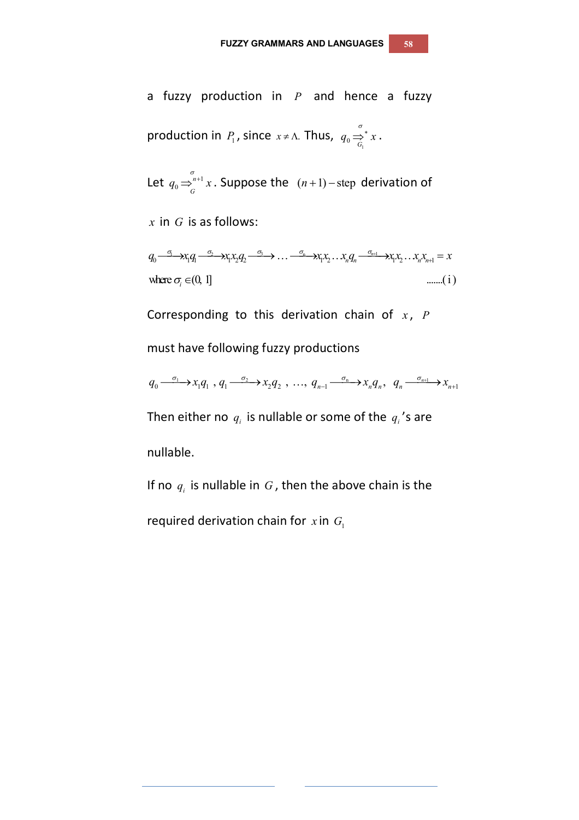a fuzzy production in *P* and hence a fuzzy production in *P*<sub>1</sub>, since 
$$
x \neq \Lambda
$$
. Thus,  $q_0 \stackrel{\sigma}{\Rightarrow}^* x$ .

Let  $q_0 \Rightarrow^{n+1}_{C}$ *n*  $q_0 \Rightarrow_{G}^{\sigma_{n+1}} x$ . Suppose the  $(n+1)$ -step derivation of

*x* in *G* is as follows:

 $q_0 \stackrel{\sigma_1}{\longrightarrow} x_1 q_1 \stackrel{\sigma_2}{\longrightarrow} x_1 x_2 q_2 \stackrel{\sigma_3}{\longrightarrow} \dots \stackrel{\sigma_n}{\longrightarrow} x_1 x_2 \dots x_n q_n \stackrel{\sigma_{n+1}}{\longrightarrow} x_1 x_2 \dots x_n x_{n+1} = x$ where  $\sigma_i \in (0, 1]$  ........( i )

Corresponding to this derivation chain of *x*, *P* 

must have following fuzzy productions

required derivation chain for  $x$  in  $G_1$ 

$$
q_0 \xrightarrow{\sigma_1} x_1 q_1, q_1 \xrightarrow{\sigma_2} x_2 q_2, \ldots, q_{n-1} \xrightarrow{\sigma_n} x_n q_n, q_n \xrightarrow{\sigma_{n+1}} x_{n+1}
$$

Then either no  $q_i$  is nullable or some of the  $q_i$ 's are nullable.

If no  $q_i$  is nullable in  $G$ , then the above chain is the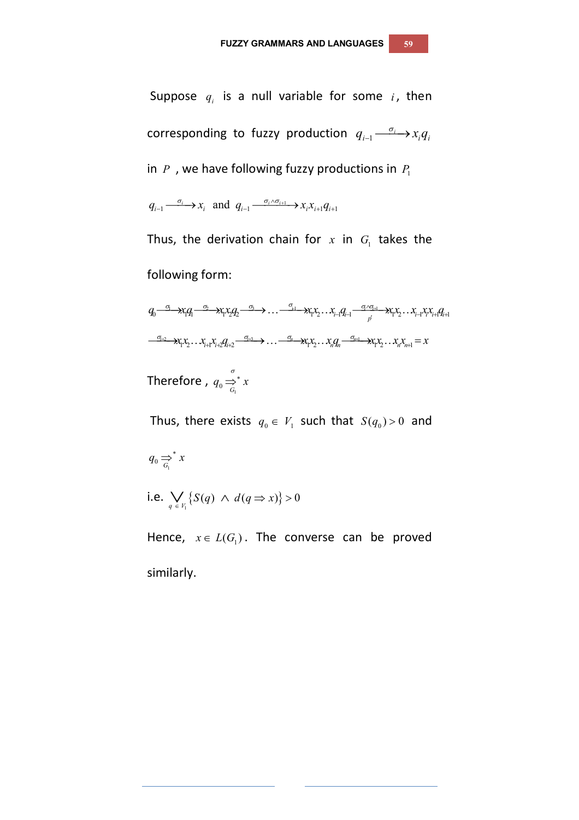Suppose  $q_i$  is a null variable for some  $i$ , then corresponding to fuzzy production  $q_{_{i-1}} {\xrightarrow{\sigma_i} } x_i q_i$ in  $P$ , we have following fuzzy productions in  $P_1$ 

 $q_{i-1} \xrightarrow{\sigma_i} x_i$  and  $q_{i-1} \xrightarrow{\sigma_i \wedge \sigma_{i+1}} x_i x_{i+1} q_{i+1}$ 

Thus, the derivation chain for  $x$  in  $G_{\rm l}$  takes the following form:

$$
q_0 \xrightarrow{\sigma_1} x_1 q_1 \xrightarrow{\sigma_2} x_1 x_2 q_2 \xrightarrow{\sigma_3} \dots \xrightarrow{\sigma_{i}} x_i x_2 \dots x_{i-1} q_{i-1} \xrightarrow{\sigma_i \sigma_{i+1}} x_1 x_2 \dots x_{i-1} x_i x_{i+1} q_{i+1}
$$
  

$$
\xrightarrow{\sigma_{i+2}} x_1 x_2 \dots x_{i+1} x_{i+2} q_{i+2} \xrightarrow{\sigma_{i+3}} \dots \xrightarrow{\sigma_n} x_1 x_2 \dots x_n q_n \xrightarrow{\sigma_{i+1}} x_1 x_2 \dots x_n x_{n+1} = x
$$
  
Therefore,  $q_0 \xrightarrow{\sigma}_{G_1}^{\sigma} x$ 

Thus, there exists  $q_0 \in V_1$  such that  $S(q_0) > 0$  and

 $q_0 \Rightarrow^* x$ 

i.e.  $\bigvee_{q \in V_1} \{ S(q) \land d(q \Rightarrow x) \} > 0$ 

Hence,  $x \in L(G_1)$ . The converse can be proved similarly.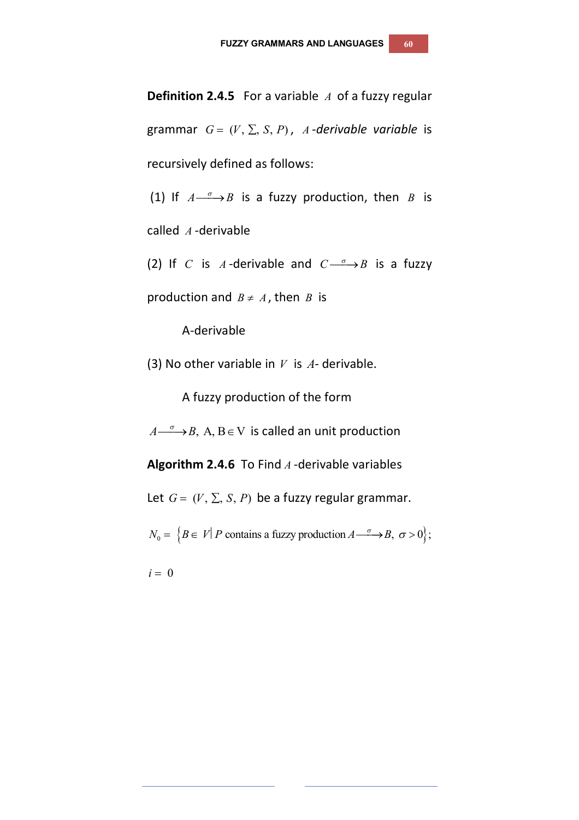**Definition 2.4.5** For a variable *A* of a fuzzy regular grammar  $G = (V, \Sigma, S, P)$ , *A*-*derivable variable* is recursively defined as follows:

(1) If  $A \xrightarrow{\sigma} B$  is a fuzzy production, then *B* is

called *A* -derivable

(2) If *C* is *A*-derivable and  $C \rightarrow B$  is a fuzzy

production and  $B \neq A$ , then *B* is

A-derivable

(3) No other variable in *V* is *A*- derivable.

A fuzzy production of the form

 $A \longrightarrow B$ , A, B  $\in$  V is called an unit production

**Algorithm 2.4.6** To Find *A* -derivable variables

Let  $G = (V, \Sigma, S, P)$  be a fuzzy regular grammar.

 $N_0 = \{ B \in V | P \text{ contains a fuzzy production } A \longrightarrow B, \sigma > 0 \};$ 

 $i = 0$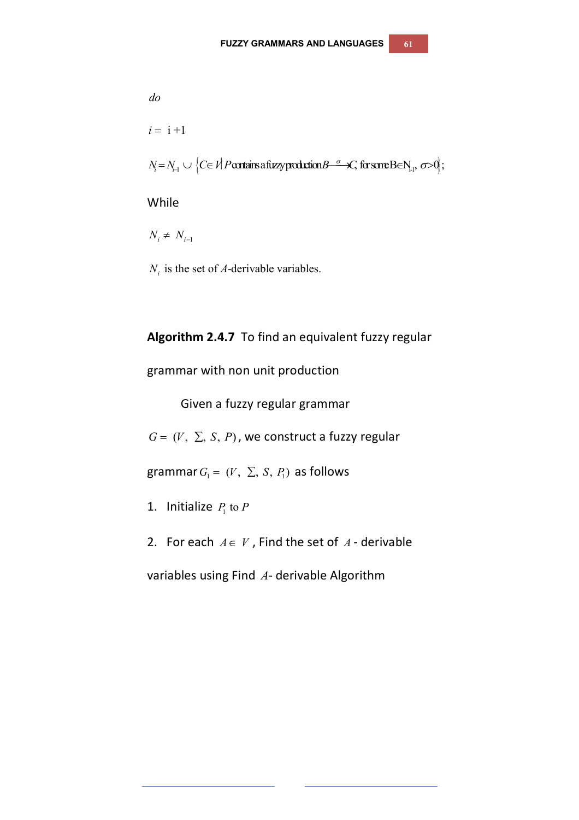*do*  $i = i + 1$  $N_{\scriptscriptstyle \!f}=N_{\scriptscriptstyle \!f\!-\!1} \cup \left\{C\!\in\mathit{Vl}~\mathit{P}\right.$  contains a fuzzy production  $B\!\!-\!\!^\sigma\!\!\!\!\!-\mathcal{K}\!,$  for some  $\mathrm{BeN}_{\scriptscriptstyle \!f\!-\!1}$  ,  $\sigma\!\!>\!\!0\!\!\!/\,;$ 

#### While

 $N_i \neq N_{i-1}$ 

 $N_i$  is the set of A-derivable variables.

#### **Algorithm 2.4.7** To find an equivalent fuzzy regular

grammar with non unit production

Given a fuzzy regular grammar

 $G = (V, \Sigma, S, P)$ , we construct a fuzzy regular

grammar  $G_1 = (V, \Sigma, S, P_1)$  as follows

- 1. Initialize  $P_1$  to  $P_2$
- 2. For each  $A \in V$ , Find the set of  $A$ -derivable

variables using Find *A*- derivable Algorithm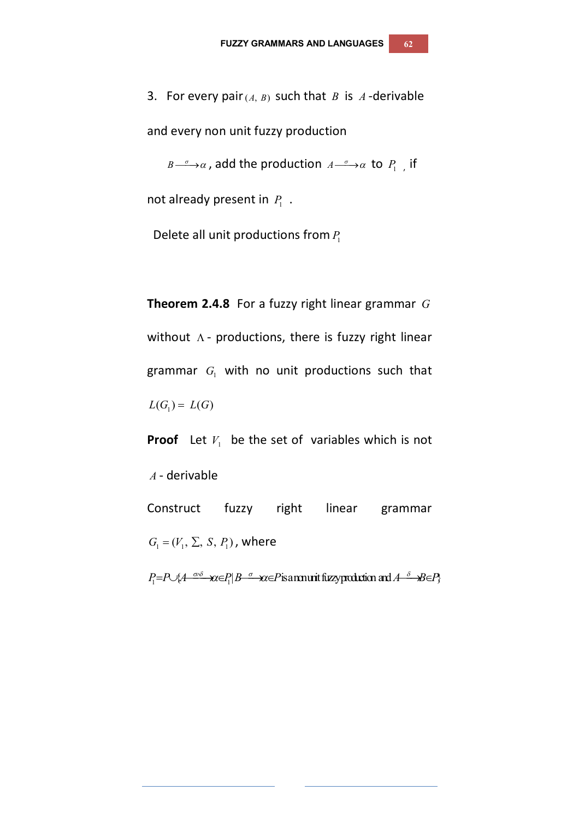3. For every pair $(A, B)$  such that *B* is *A*-derivable and every non unit fuzzy production

 $B \longrightarrow \alpha$ , add the production  $A \longrightarrow \alpha$  to  $P_1$ , if

not already present in  $P_1$ .

Delete all unit productions from *P*<sup>1</sup>

**Theorem 2.4.8** For a fuzzy right linear grammar *G* without  $\Lambda$  - productions, there is fuzzy right linear grammar  $G_1$  with no unit productions such that  $L(G_1) = L(G)$ 

**Proof** Let  $V_1$  be the set of variables which is not *A* - derivable Construct fuzzy right linear grammar  $G_1 = (V_1, \Sigma, S, P_1)$ , where

 $P_1 = P \cup \{A \xrightarrow{\sigma \cdot \delta} \mathcal{X} \in P | B \xrightarrow{\sigma} \mathcal{X} \in P \}$  is a munit fuzy production and  $A \xrightarrow{\delta} B \in P \}$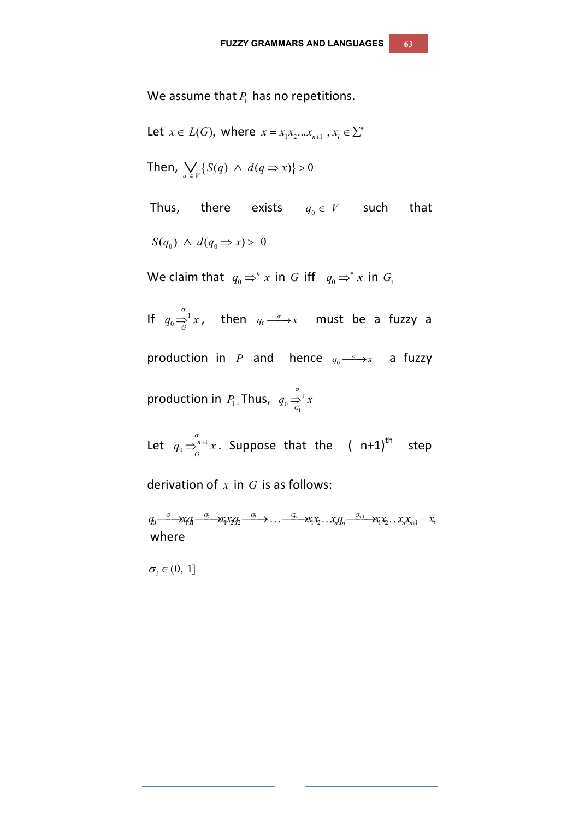We assume that  $P_1$  has no repetitions.

Let  $x \in L(G)$ , where  $x = x_1 x_2 ... x_{n+1}$ ,  $x_i \in \sum^*$ Then,  $\bigvee_{q \in V} \{ S(q) \land d(q \Rightarrow x) \} > 0$ Thus, there exists  $q_0 \in V$  such that  $S(q_0) \wedge d(q_0 \Rightarrow x) > 0$ We claim that  $q_0 \Rightarrow^n x$  in *G* iff  $q_0 \Rightarrow^* x$  in  $G_1$ If  $q_0 \Rightarrow_0^{\sigma} x$ , then  $q_0 \stackrel{\sigma}{\longrightarrow} x$  must be a fuzzy a production in P and hence  $q_0 \stackrel{\sigma}{\longrightarrow} x$  a fuzzy production in  $\textit{ P}_{\!\scriptscriptstyle 1}$  . Thus,  $\textit{ q}_{\scriptscriptstyle 0} \!\Rightarrow_{\textit{ G}_{\!\scriptscriptstyle 1}}$ 1  $q_0 \Rightarrow_{G_1}^{\sigma_1} x$ Let  $q_0 \Rightarrow^{n+1}_{C}$ *n*  $q_0 \Rightarrow_{G}^{\sigma_{n+1}} x$ . Suppose that the ( n+1)<sup>th</sup> step

derivation of *x* in *G* is as follows:

 $q_0 \stackrel{\sigma_1}{\longrightarrow} x_1 q_1 \stackrel{\sigma_2}{\longrightarrow} x_1 x_2 q_2 \stackrel{\sigma_3}{\longrightarrow} \dots \stackrel{\sigma_n}{\longrightarrow} x_1 x_2 \dots x_n q_n \stackrel{\sigma_{n+1}}{\longrightarrow} x_1 x_2 \dots x_n x_{n+1} = x,$ where

 $\sigma_i \in (0, 1]$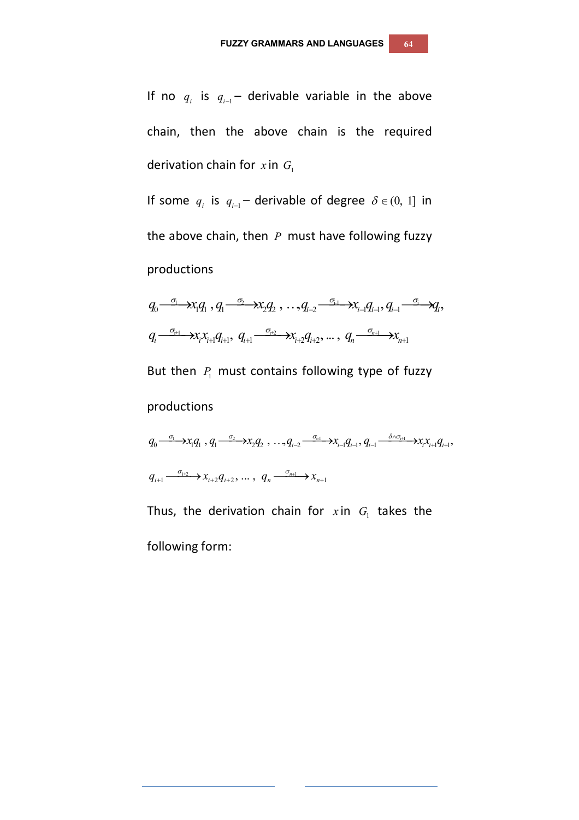If no  $q_i$  is  $q_{i-1}$  derivable variable in the above chain, then the above chain is the required derivation chain for  $x$  in  $G_1$ 

If some  $q_i$  is  $q_{i-1}$  derivable of degree  $\delta \in (0, 1]$  in the above chain, then *P* must have following fuzzy productions

$$
q_0 \xrightarrow{\sigma_1} x_1 q_1, q_1 \xrightarrow{\sigma_2} x_2 q_2, \ldots, q_{i-2} \xrightarrow{\sigma_{i-1}} x_{i-1} q_{i-1}, q_{i-1} \xrightarrow{\sigma_i} q_i,
$$
  

$$
q_i \xrightarrow{\sigma_{i+1}} x_i x_{i+1} q_{i+1}, q_{i+1} \xrightarrow{\sigma_{i+2}} x_{i+2} q_{i+2}, \ldots, q_n \xrightarrow{\sigma_{n+1}} x_{n+1}
$$

But then  $P_1$  must contains following type of fuzzy

productions

$$
q_0 \xrightarrow{\sigma_1} x_1 q_1, q_1 \xrightarrow{\sigma_2} x_2 q_2, \dots, q_{i-2} \xrightarrow{\sigma_{i-1}} x_{i-1} q_{i-1}, q_{i-1} \xrightarrow{\delta \wedge \sigma_{i+1}} x_i x_{i+1} q_{i+1},
$$
  

$$
q_{i+1} \xrightarrow{\sigma_{i+2}} x_{i+2} q_{i+2}, \dots, q_n \xrightarrow{\sigma_{n+1}} x_{n+1}
$$

Thus, the derivation chain for  $x$  in  $G<sub>1</sub>$  takes the following form: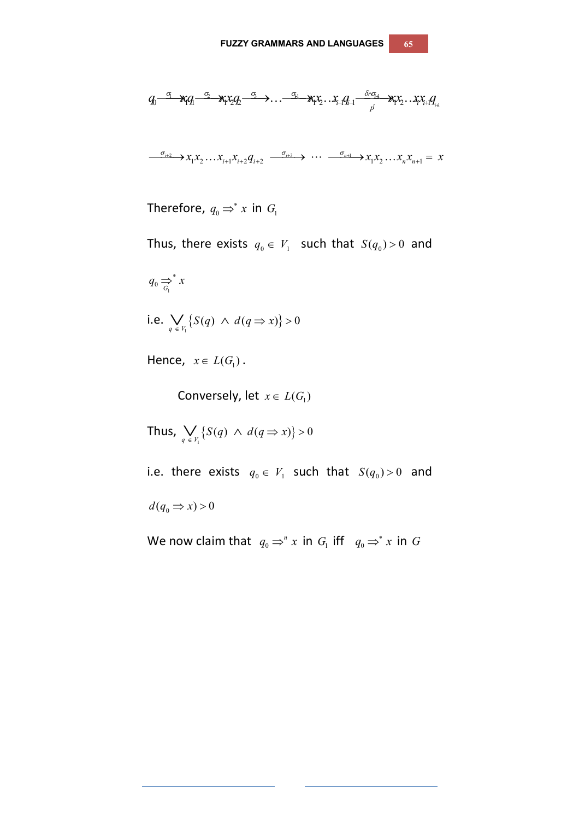$$
q_0 \xrightarrow{\sigma_1} x_i q_1 \xrightarrow{\sigma_2} x_i x_2 q_2 \xrightarrow{\sigma_3} \dots \xrightarrow{\sigma_{i}} x_i x_2 \dots x_{i-1} q_{i-1} \xrightarrow{\delta \wedge \sigma_{i+1}} x_i x_2 \dots x_i x_{i+1} q_{i+1}
$$
  

$$
\xrightarrow{\sigma_{i+2}} x_1 x_2 \dots x_{i+1} x_{i+2} q_{i+2} \xrightarrow{\sigma_{i+3}} \dots \xrightarrow{\sigma_{n+1}} x_1 x_2 \dots x_n x_{n+1} = x
$$

Therefore,  $q_0 \Rightarrow^* x$  in  $G_1$ 

Thus, there exists  $q_0 \in V_1$  such that  $S(q_0) > 0$  and

 $q_0 \Rightarrow^* x$ 

i.e. 
$$
\bigvee_{q \in V_1} \{ S(q) \land d(q \Rightarrow x) \} > 0
$$

Hence,  $x \in L(G_1)$ .

Conversely, let  $x \in L(G_1)$ 

Thus,  $\bigvee_{q \in V_1} \{ S(q) \land d(q \Rightarrow x) \} > 0$ 

i.e. there exists  $q_0 \in V_1$  such that  $S(q_0) > 0$  and

 $d(q_0 \Rightarrow x) > 0$ 

We now claim that  $q_0 \Rightarrow^n x$  in  $G_1$  iff  $q_0 \Rightarrow^* x$  in  $G$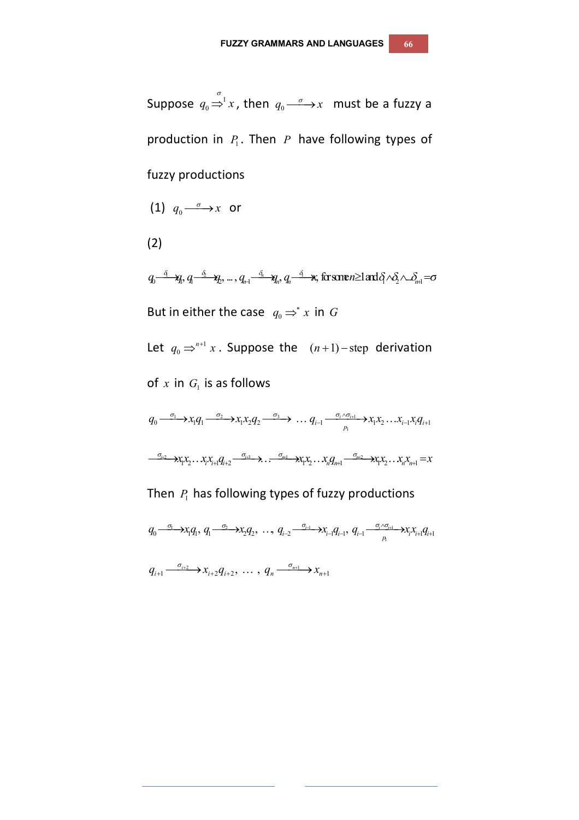Suppose  $q_0 \stackrel{\sigma}{\Rightarrow}^1 x$ , then  $q_0 \stackrel{\sigma}{\longrightarrow} x$  must be a fuzzy a production in  $P_1$ . Then  $P_1$  have following types of fuzzy productions

(1) 
$$
q_0 \xrightarrow{\sigma} x
$$
 or

(2)

 $q_0$ <sup> $\frac{\delta_1}{\delta_2}$ </sup> $\gamma$ <sub>*n*</sub>,  $q_1$ <sup> $\frac{\delta_2}{\delta_3}$ </sup> $\gamma$ <sub>*n*,  $q_n$ <sup> $\frac{\delta_1}{\delta_4}$ </sup> $\gamma$ , for some  $n \geq 1$  and  $\delta_1$   $\wedge \delta_2$   $\wedge$  ... $\delta_{n+1}$   $=$   $\sigma$ </sub> But in either the case  $q_0 \Rightarrow^* x$  in  $G$ Let  $q_0 \Rightarrow^{n+1}$  $q_0 \Rightarrow^{n+1} x$ . Suppose the  $(n+1)$ -step derivation of  $x$  in  $G_{\text{I}}$  is as follows 1 2 3 1  $q_0 \xrightarrow{\sigma_1} x_1 q_1 \xrightarrow{\sigma_2} x_1 x_2 q_2 \xrightarrow{\sigma_3} \cdots q_{i-1} \xrightarrow{\sigma_i \wedge \sigma_{i+1}} x_1 x_2 \cdots x_{i-1} x_i q_{i+1}$  $\longrightarrow X_1 X_2 \dots X_r X_{r+1} Q_{r+2} \longrightarrow \longrightarrow \longrightarrow \longrightarrow X_1 X_2 \dots X_n Q_{n+1} \longrightarrow X_1 X_2 \dots X_n X_{n+1} = x$ 

## Then  $P_1$  has following types of fuzzy productions

1 2 1 1  $q_0 \stackrel{\sigma_1}{\longrightarrow} x_i q_1, q_1 \stackrel{\sigma_2}{\longrightarrow} x_2 q_2, \ldots, q_{i-2} \stackrel{\sigma_{i-1}}{\longrightarrow} x_{i-1} q_{i-1}, q_{i-1} \stackrel{\sigma_i \wedge \sigma_{i+1}}{\longrightarrow} x_i x_{i+1} q_{i+1}$ 

 $q_{i+1} \xrightarrow{\sigma_{i+2}} x_{i+2} q_{i+2}, \dots, q_n \xrightarrow{\sigma_{n+1}} x_{n+1}$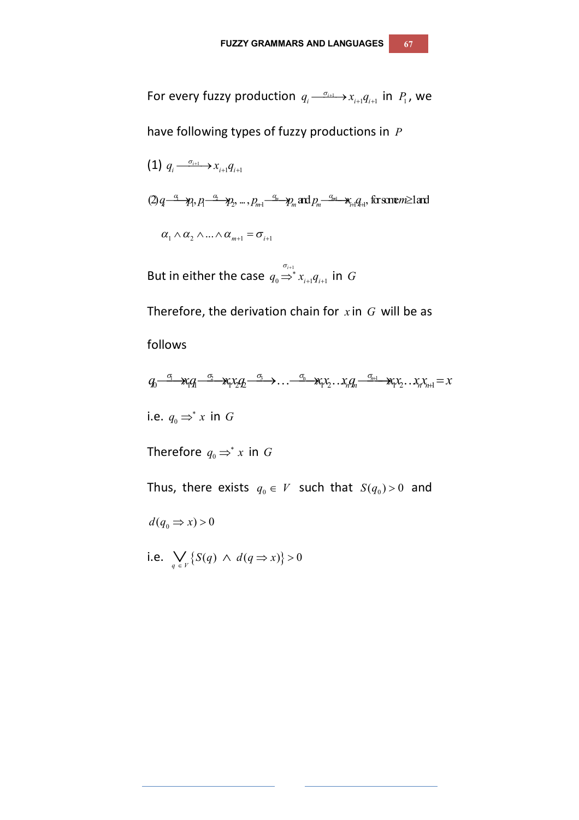For every fuzzy production  $q_i \xrightarrow{\sigma_{i+1}} x_{i+1} q_{i+1}$  in  $P_1$ , we

have following types of fuzzy productions in *P*

(1) 
$$
q_i \xrightarrow{\sigma_{i+1}} x_{i+1} q_{i+1}
$$
  
\n $(2) q \xrightarrow{\alpha} \gamma, p_i \xrightarrow{\alpha_2} p_2 \dots, p_{m+1} \xrightarrow{\alpha_m} p_m$  and  $p_m \xrightarrow{\alpha_{m+1}} x_{i+1} q_{i+1}$ , for some  $m \ge 1$  and  
\n $\alpha_1 \wedge \alpha_2 \wedge \dots \wedge \alpha_{m+1} = \sigma_{i+1}$ 

But in either the case  $q_0 \Rightarrow$  $0 \rightarrow \lambda_{i+1} \mathbf{y}_{i+1}$  $q_{\scriptscriptstyle 0}$   $\Rightarrow^*$   $x_{\scriptscriptstyle i+1}$  $q_{\scriptscriptstyle i+1}$  in  $G$ 

Therefore, the derivation chain for *x* in *G* will be as

follows

$$
q_0 \xrightarrow{\sigma_1} x_1 q_1 \xrightarrow{\sigma_2} x_1 x_2 q_2 \xrightarrow{\sigma_3} \dots \xrightarrow{\sigma_n} x_1 x_2 \dots x_n q_n \xrightarrow{\sigma_{n+1}} x_1 x_2 \dots x_n x_{n+1} = x
$$

i.e.  $q_0 \Rightarrow^* x$  in  $G$ 

Therefore  $q_0 \Rightarrow^* x$  in  $G$ 

Thus, there exists  $q_0 \in V$  such that  $S(q_0) > 0$  and

 $d(q_0 \Rightarrow x) > 0$ 

i.e.  $\bigvee_{q \in V} \{ S(q) \land d(q \Rightarrow x) \} > 0$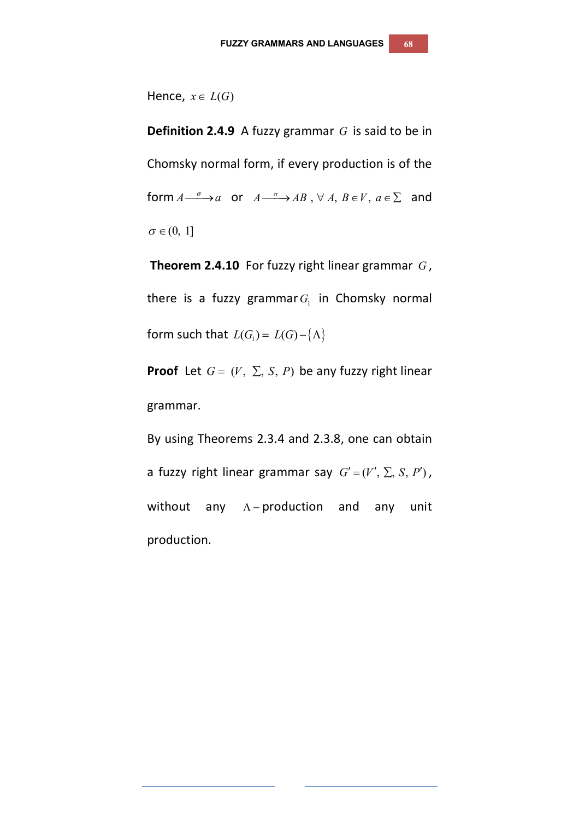Hence,  $x \in L(G)$ 

**Definition 2.4.9** A fuzzy grammar *G* is said to be in Chomsky normal form, if every production is of the form  $A \xrightarrow{\sigma} a$  or  $A \xrightarrow{\sigma} AB$ ,  $\forall A, B \in V, a \in \Sigma$  and  $\sigma \in (0, 1]$ 

**Theorem 2.4.10** For fuzzy right linear grammar *G* , there is a fuzzy grammar $G_{\text{I}}$  in Chomsky normal form such that  $L(G_1) = L(G) - \{\Lambda\}$ 

**Proof** Let  $G = (V, \Sigma, S, P)$  be any fuzzy right linear grammar.

By using Theorems 2.3.4 and 2.3.8, one can obtain a fuzzy right linear grammar say  $G' = (V', \Sigma, S, P')$ , without any  $A$ -production and any unit production.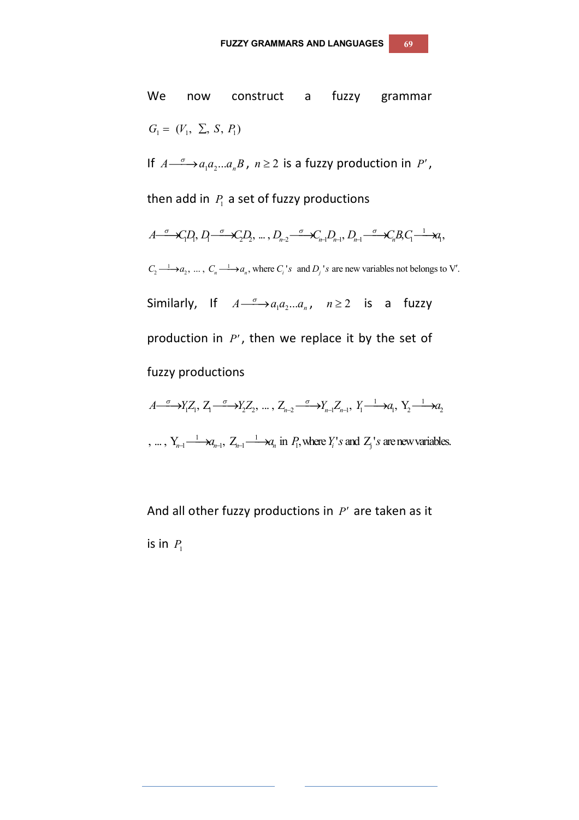We now construct a fuzzy grammar  $G_1 = (V_1, \Sigma, S, P_1)$ If  $A \longrightarrow a_1 a_2 ... a_n B$ ,  $n \ge 2$  is a fuzzy production in *P'*, then add in  $P_1$  a set of fuzzy productions  $A \xrightarrow{\sigma} \mathcal{L}_1 D, D_1 \xrightarrow{\sigma} \mathcal{L}_2 D, ..., D_{n-2} \xrightarrow{\sigma} \mathcal{L}_{n-1} D_{n-1}, D_{n-1} \xrightarrow{\sigma} \mathcal{L}_n B, C_1 \xrightarrow{1} \mathcal{L}_1 D,$  $C_2 \longrightarrow a_2, \dots, C_n \longrightarrow a_n$ , where  $C_i$ 's and  $D_j$ 's are new variables not belongs to V'. Similarly, If  $A \xrightarrow{\sigma} a_1 a_2 ... a_n$ ,  $n \ge 2$  is a fuzzy production in *P'*, then we replace it by the set of fuzzy productions  $A \xrightarrow{\sigma} Y_1 Z_1, Z_1 \xrightarrow{\sigma} Y_2 Z_2, ..., Z_{n-2} \xrightarrow{\sigma} Y_{n-1} Z_{n-1}, Y_1 \xrightarrow{1} A_1, Y_2 \xrightarrow{1} A_2$ , ... ,  $Y_{n-1} \xrightarrow{1} \mathcal{A}_{n-1}$ ,  $Z_{n-1} \xrightarrow{1} \mathcal{A}_n$  in  $P_1$ , where  $Y_i$ 's and  $Z_j$ 's are new variables.

And all other fuzzy productions in  $P'$  are taken as it is in  $P_1$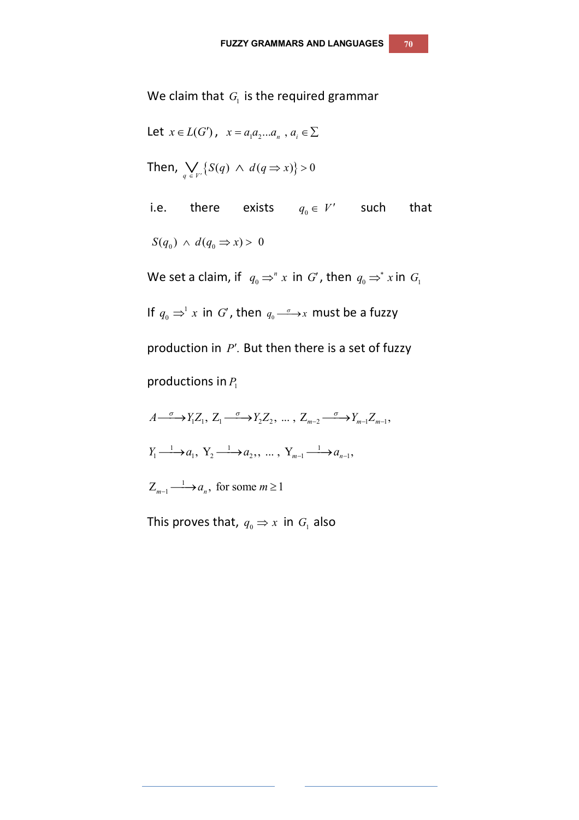We claim that  $G_{\!\scriptscriptstyle 1}$  is the required grammar

Let 
$$
x \in L(G')
$$
,  $x = a_1 a_2 ... a_n$ ,  $a_i \in \Sigma$   
\nThen,  $\bigvee_{q \in V'} \{S(q) \land d(q \Rightarrow x)\} > 0$   
\ni.e. there exists  $q_0 \in V'$  such that  
\n $S(q_0) \land d(q_0 \Rightarrow x) > 0$   
\nWe set a claim, if  $q_0 \Rightarrow^n x$  in  $G'$ , then  $q_0 \Rightarrow^* x$  in  $G_1$   
\nIf  $q_0 \Rightarrow^1 x$  in  $G'$ , then  $q_0 \xrightarrow{\sigma} x$  must be a fuzzy  
\nproduction in  $P'$ . But then there is a set of fuzzy

productions in  $P_1$ 

 $A \longrightarrow Y_1 Z_1, Z_1 \longrightarrow Y_2 Z_2, \dots, Z_{m-2} \longrightarrow Y_{m-1} Z_{m-1},$  $Y_1 \longrightarrow a_1, Y_2 \longrightarrow a_2, \dots, Y_{m-1} \longrightarrow a_{n-1},$  $Z_{m-1} \longrightarrow a_n$ , for some  $m \ge 1$ 

This proves that,  $q_{\scriptscriptstyle 0}$   $\Rightarrow$  x in  $G_{\scriptscriptstyle 1}$  also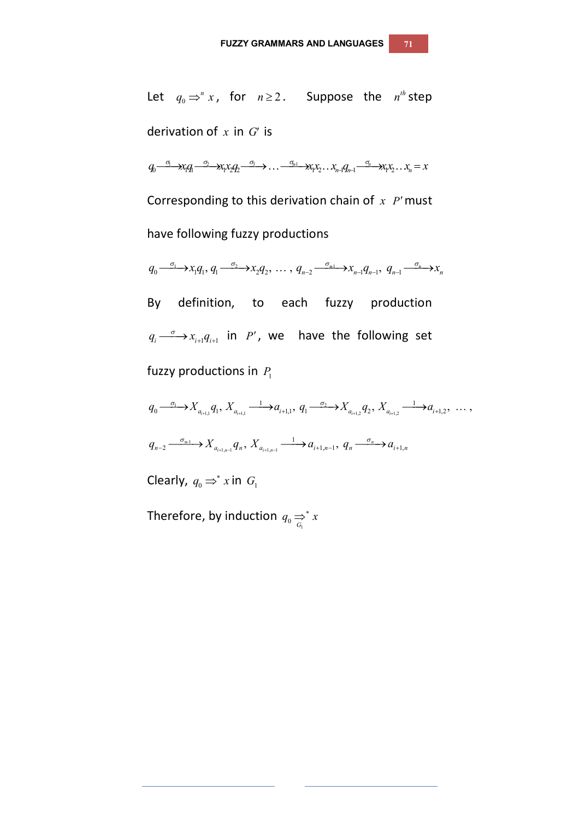Let  $q_0 \Rightarrow^n x$ , for  $n \ge 2$ . Suppose the  $n^{th}$  step derivation of  $x$  in  $G'$  is  $q_0 \xrightarrow{\sigma_1} x_1 q_1 \xrightarrow{\sigma_2} x_1 x_2 q_2 \xrightarrow{\sigma_3} \dots \xrightarrow{\sigma_{n_1}} x_1 x_2 \dots x_{n_1} q_{n_1} \xrightarrow{\sigma_n} x_1 x_2 \dots x_n = x$ 

Corresponding to this derivation chain of *x P'* must have following fuzzy productions

 $q_0 \xrightarrow{\sigma_1} x_1 q_1, q_1 \xrightarrow{\sigma_2} x_2 q_2, \ldots, q_{n-2} \xrightarrow{\sigma_{n-1}} x_{n-1} q_{n-1}, q_{n-1} \xrightarrow{\sigma_n} x_n$ 

By definition, to each fuzzy production  $q_i \stackrel{\sigma}{\longrightarrow} x_{i+1} q_{i+1}$  in *P'*, we have the following set fuzzy productions in  $P_1$ 

 $1 \rightarrow Y$  a  $Y$   $1 \rightarrow a$   $2$ 1,1  $u_{i+1,1}$   $u_{i+1,1}$   $u_{i+1,2}$   $u_{i+1,2}$  $q_0 \stackrel{\sigma_1}{\longrightarrow} X_{a_{i+1,1}} q_1, X_{a_{i+1,1}} \stackrel{1}{\longrightarrow} a_{i+1,1}, q_1 \stackrel{\sigma_2}{\longrightarrow} X_{a_{i+1,2}} q_2, X_{a_{i+1,2}} \stackrel{1}{\longrightarrow} a_{i+1,2}, \ldots,$ n-1  $1_{n-1}$  1  $n \leq a_{i+1,n-1}$  $q_{n-2} \xrightarrow{\sigma_{n-1}} X_{a_{i+1,n-1}} q_n, X_{a_{i+1,n-1}} \xrightarrow{1} a_{i+1,n-1}, q_n \xrightarrow{\sigma_n} a_{i+1,n}$ 

Clearly,  $q_0 \Rightarrow^* x$  in  $G_1$ 

Therefore, by induction  $q_{_0} \rightleftarrows^* x$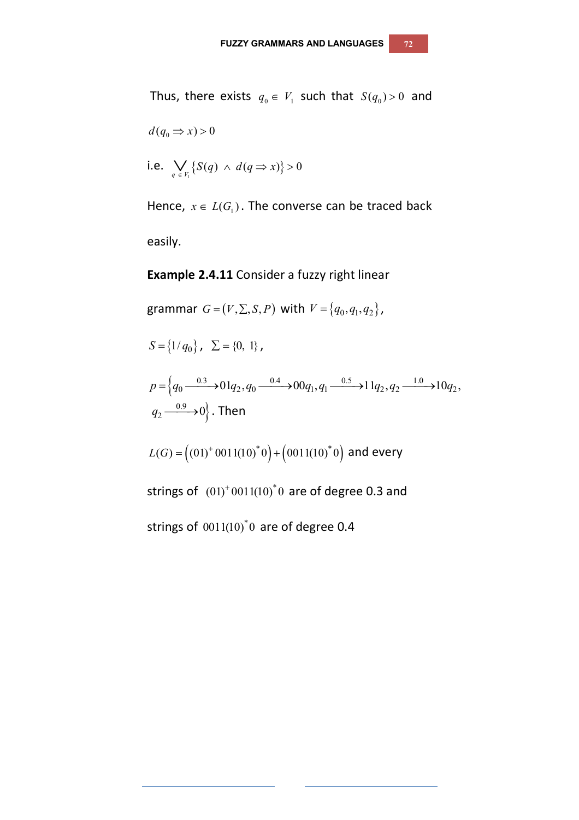Thus, there exists  $q_0 \in V_1$  such that  $S(q_0) > 0$  and  $d(q_0 \Rightarrow x) > 0$ i.e.  $\bigvee_{q \in V_1} \{ S(q) \land d(q \Rightarrow x) \} > 0$ Hence,  $x \in L(G_1)$ . The converse can be traced back

easily.

### **Example 2.4.11** Consider a fuzzy right linear

$$
\text{grammar } G = (V, \Sigma, S, P) \text{ with } V = \{q_0, q_1, q_2\},
$$

$$
S = \{1/q_0\}, \quad \Sigma = \{0, 1\},
$$
\n
$$
p = \left\{q_0 \xrightarrow{0.3} 0.01q_2, q_0 \xrightarrow{0.4} 0.0q_1, q_1 \xrightarrow{0.5} 0.1q_2, q_2 \xrightarrow{1.0} 1.0q_2, q_2 \xrightarrow{0.9} 0.0q_1, q_1 \xrightarrow{0.9} 0.0q_1, q_2 \xrightarrow{0.9} 0.0q_2, q_2 \xrightarrow{0.9} 0.0q_2, q_2 \xrightarrow{0.9} 0.0q_2, q_2 \xrightarrow{0.9} 0.0q_2, q_2 \xrightarrow{0.9} 0.0q_2, q_2 \xrightarrow{0.9} 0.0q_2, q_2 \xrightarrow{0.9} 0.0q_2, q_2 \xrightarrow{0.9} 0.0q_2, q_2 \xrightarrow{0.9} 0.0q_2, q_2 \xrightarrow{0.9} 0.0q_2, q_2 \xrightarrow{0.9} 0.0q_2, q_2 \xrightarrow{0.9} 0.0q_2, q_2 \xrightarrow{0.9} 0.0q_2, q_2 \xrightarrow{0.9} 0.0q_2, q_2 \xrightarrow{0.9} 0.0q_2, q_2 \xrightarrow{0.9} 0.0q_2, q_2 \xrightarrow{0.9} 0.0q_2, q_2 \xrightarrow{0.9} 0.0q_2, q_2 \xrightarrow{0.9} 0.0q_2, q_2 \xrightarrow{0.9} 0.0q_2, q_2 \xrightarrow{0.9} 0.0q_2, q_2 \xrightarrow{0.9} 0.0q_2, q_2 \xrightarrow{0.9} 0.0q_2, q_2 \xrightarrow{0.9} 0.0q_2, q_2 \xrightarrow{0.9} 0.0q_2, q_2 \xrightarrow{0.9} 0.0q_2, q_2 \xrightarrow{0.9} 0.0q_2, q_2 \xrightarrow{0.9} 0.0q_2, q_2 \xrightarrow{0.9} 0.0q_2, q_2 \xrightarrow{0.9} 0.0q_2, q_2 \xrightarrow{0.9} 0.0q_2, q_2 \xrightarrow{0.9} 0.0q
$$

 $L(G) = \left( \left( 01 \right)^{+} 001 \left( 10 \right)^{*} 0 \right) + \left( 001 \left( 10 \right)^{*} 0 \right)$  and every

strings of  $(01)^+0011(10)^*0$  are of degree 0.3 and

strings of  $~0011(10)^*0~$  are of degree 0.4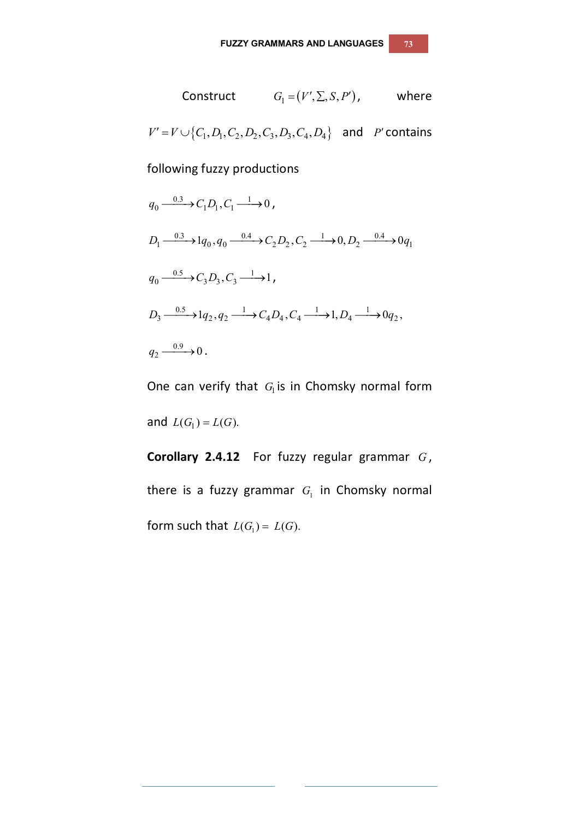Construct 
$$
G_1 = (V', \Sigma, S, P')
$$
, where  
\n
$$
V' = V \cup \{C_1, D_1, C_2, D_2, C_3, D_3, C_4, D_4\} \text{ and } P' \text{ contains}
$$

following fuzzy productions

$$
q_0 \xrightarrow{0.3} C_1 D_1, C_1 \xrightarrow{1} 0,
$$
  
\n
$$
D_1 \xrightarrow{0.3} 1 q_0, q_0 \xrightarrow{0.4} C_2 D_2, C_2 \xrightarrow{1} 0, D_2 \xrightarrow{0.4} 0 q_1
$$
  
\n
$$
q_0 \xrightarrow{0.5} C_3 D_3, C_3 \xrightarrow{1} 1,
$$
  
\n
$$
D_3 \xrightarrow{0.5} 1 q_2, q_2 \xrightarrow{1} C_4 D_4, C_4 \xrightarrow{1} 1, D_4 \xrightarrow{1} 0 q_2,
$$
  
\n
$$
q_2 \xrightarrow{0.9} 0.
$$

One can verify that  $G_{\rm l}$  is in Chomsky normal form and  $L(G_1) = L(G)$ .

**Corollary 2.4.12** For fuzzy regular grammar *G* , there is a fuzzy grammar  $G_{\text{I}}$  in Chomsky normal form such that  $L(G_1) = L(G)$ .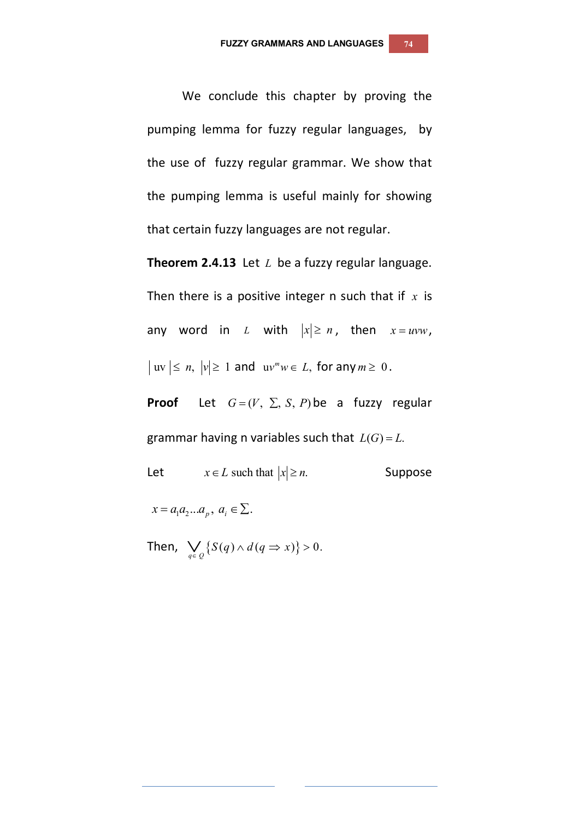We conclude this chapter by proving the pumping lemma for fuzzy regular languages, by the use of fuzzy regular grammar. We show that the pumping lemma is useful mainly for showing that certain fuzzy languages are not regular.

**Theorem 2.4.13** Let *L* be a fuzzy regular language. Then there is a positive integer n such that if *x* is any word in *L* with  $|x| \ge n$ , then  $x = uvw$ ,  $|uv| \le n$ ,  $|v| \ge 1$  and  $uv^m w \in L$ , for any  $m \ge 0$ .

**Proof** Let  $G = (V, \Sigma, S, P)$  be a fuzzy regular grammar having n variables such that  $L(G) = L$ .

Let  $x \in L$  such that  $|x| \ge n$ . Suppose

 $x = a_1 a_2 ... a_p, a_i \in \Sigma.$ 

Then,  $\bigvee_{q \in Q} \{ S(q) \wedge d(q \Rightarrow x) \} > 0.$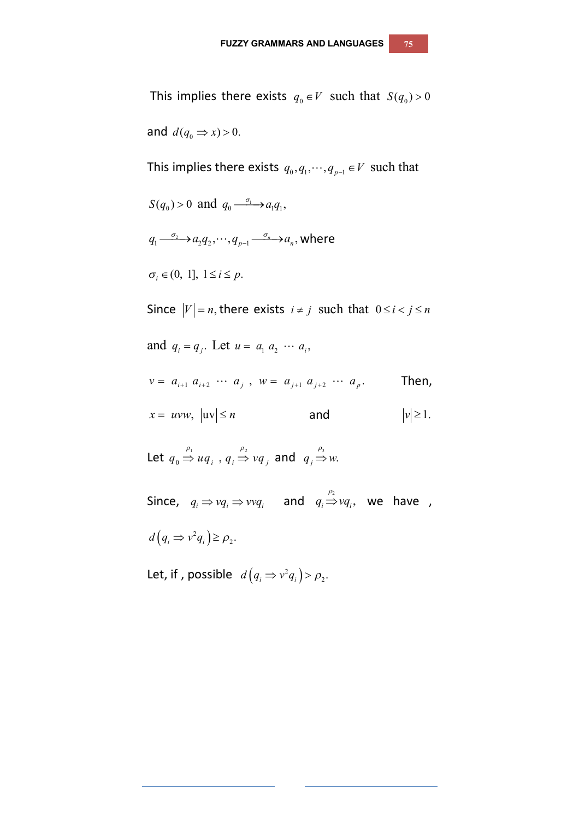This implies there exists  $q_0 \in V$  such that  $S(q_0) > 0$ and  $d(q_0 \Rightarrow x) > 0$ . This implies there exists  $q_0, q_1, \dots, q_{p-1} \in V$  such that  $S(q_0) > 0$  and  $q_0 \xrightarrow{\sigma_1} a_1 q_1$ ,  $q_1 \frac{\sigma_2}{\sigma_1}$   $\rightarrow$   $a_2 q_2$ ,  $\cdots$ ,  $q_{p-1}$   $\frac{\sigma_n}{\sigma_n}$   $\rightarrow$   $a_n$ , where  $\sigma_i \in (0, 1], 1 \le i \le p.$ Since  $|V| = n$ , there exists  $i \neq j$  such that  $0 \leq i < j \leq n$ and  $q_i = q_j$ . Let  $u = a_1 a_2 \cdots a_i$ , Then,  $x = uvw, \quad |uv| \le n$  and  $|v| \ge 1$ . Let  $q_0 \stackrel{p_1}{\Rightarrow} uq_i^-, q_i \stackrel{p_2}{\Rightarrow}$  $q_0 \stackrel{\rho_1}{\Rightarrow} uq_i^-, q_i \stackrel{\rho_2}{\Rightarrow} vq_j^-,$  and  $q_j \stackrel{\rho_3}{\Rightarrow} w$ . Since,  $q_i \Rightarrow vq_i \Rightarrow vvq_i$  and  $q_i \Rightarrow vq_i$ , we have ,  $v = a_{i+1} a_{i+2} \cdots a_j$ ,  $w = a_{j+1} a_{j+2} \cdots a_p$ .

 $(q_i \Rightarrow v^2 q_i)$  $d(q_i \Rightarrow v^2 q_i) \ge \rho_2$ .

Let, if , possible  $d(q_i \Rightarrow v^2 q_i)$  $d(q_i \Rightarrow v^2 q_i) > \rho_2.$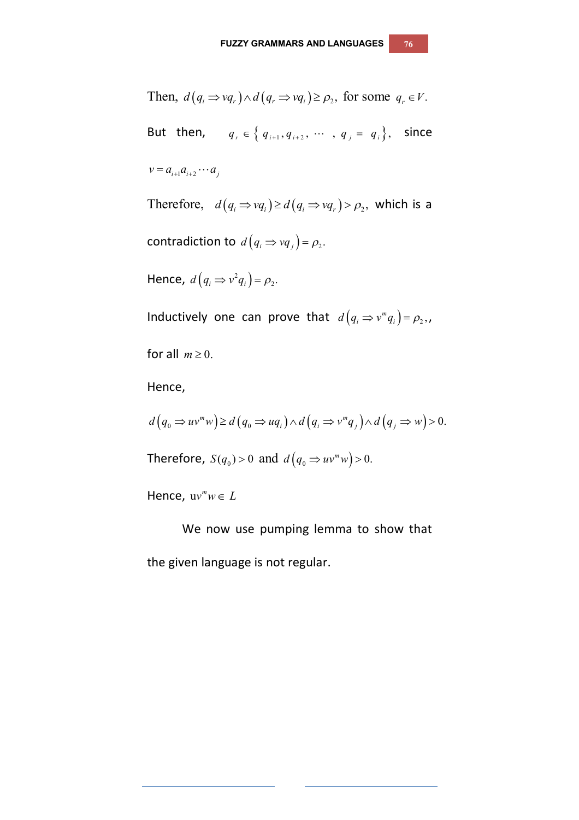Then,  $d(q_i \Rightarrow vq_r) \wedge d(q_r \Rightarrow vq_i) \ge \rho_2$ , for some  $q_r \in V$ . But then,  $q_r \in \{q_{i+1}, q_{i+2}, \cdots, q_j = q_i\}$ , since  $v = a_{i+1} a_{i+2} \cdots a_i$ Therefore,  $d(q_i \Rightarrow vq_i) \ge d(q_i \Rightarrow vq_r) > \rho_2$ , which is a contradiction to  $d\left(q_{i} \Rightarrow vq_{j}\right) = \rho_{2}.$ Hence,  $d(q_i \Rightarrow v^2 q_i)$  $d(q_i \Rightarrow v^2 q_i) = \rho_2.$ Inductively one can prove that  $d(q_i \Rightarrow v^m q_i) = \rho_2,$ ,

for all  $m \geq 0$ .

Hence,

$$
d(q_0 \Rightarrow uv^m w) \ge d(q_0 \Rightarrow uq_i) \land d(q_i \Rightarrow v^m q_j) \land d(q_j \Rightarrow w) > 0.
$$

Therefore,  $S(q_0) > 0$  and  $d(q_0 \Rightarrow uv^m w) > 0$ .

Hence,  $uv^m w \in L$ 

We now use pumping lemma to show that the given language is not regular.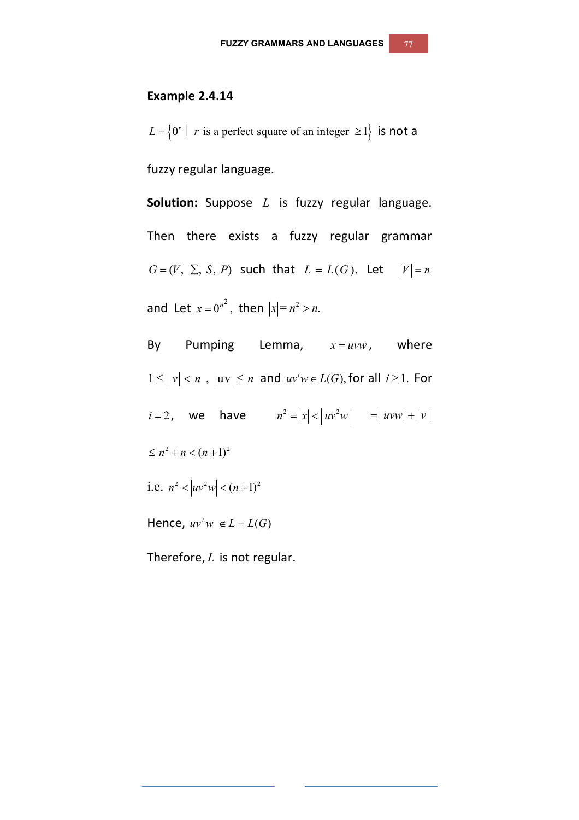#### **Example 2.4.14**

 $L = \{0^r \mid r \text{ is a perfect square of an integer } \ge 1\}$  is not a fuzzy regular language.

**Solution:** Suppose *L* is fuzzy regular language. Then there exists a fuzzy regular grammar  $G=(V, \Sigma, S, P)$  such that  $L = L(G)$ . Let  $|V|=n$ and Let  $x = 0^{n^2}$ , then  $|x| = n^2 > n$ .

By Pumping Lemma,  $x = uvw$ , where  $1 \leq |v| < n$ ,  $|uv| \leq n$  and  $uv^iw \in L(G)$ , for all  $i \geq 1$ . For  $i = 2$ , we have  $n^2 = |x| < |uv^2w| = |uvw| + |v|$  $\leq n^2 + n < (n+1)^2$ i.e.  $n^2 < |uv^2w| < (n+1)^2$ Hence,  $uv^2w \notin L = L(G)$ 

Therefore, *L* is not regular.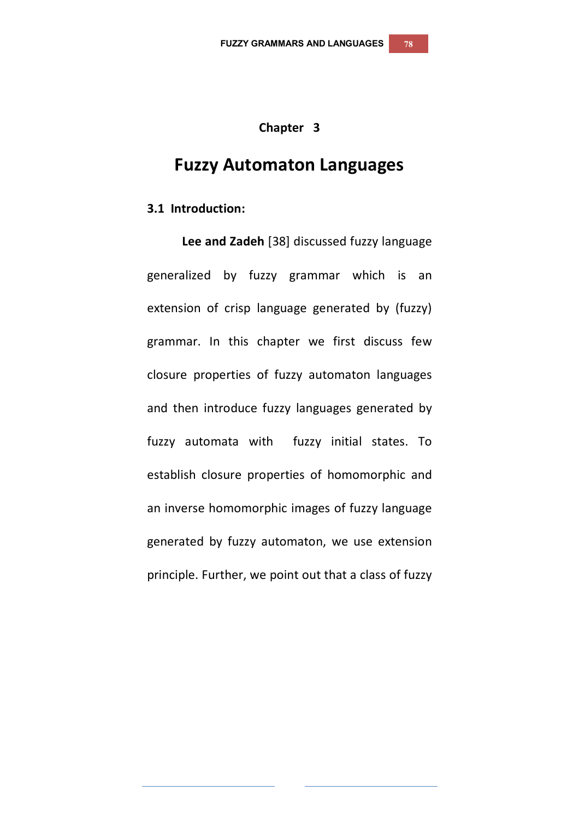## **Chapter 3**

# **Fuzzy Automaton Languages**

#### **3.1 Introduction:**

**Lee and Zadeh** [38] discussed fuzzy language generalized by fuzzy grammar which is an extension of crisp language generated by (fuzzy) grammar. In this chapter we first discuss few closure properties of fuzzy automaton languages and then introduce fuzzy languages generated by fuzzy automata with fuzzy initial states. To establish closure properties of homomorphic and an inverse homomorphic images of fuzzy language generated by fuzzy automaton, we use extension principle. Further, we point out that a class of fuzzy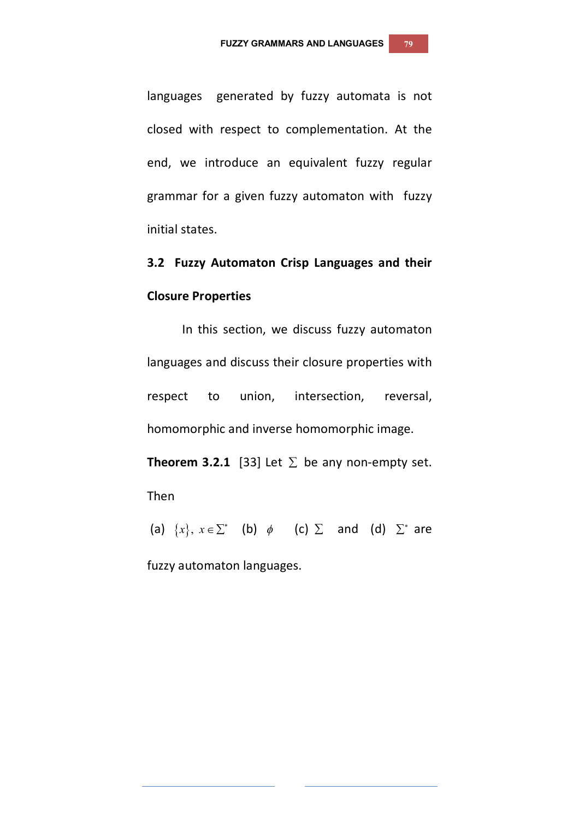languages generated by fuzzy automata is not closed with respect to complementation. At the end, we introduce an equivalent fuzzy regular grammar for a given fuzzy automaton with fuzzy initial states.

**3.2 Fuzzy Automaton Crisp Languages and their Closure Properties**

In this section, we discuss fuzzy automaton languages and discuss their closure properties with respect to union, intersection, reversal, homomorphic and inverse homomorphic image.

**Theorem 3.2.1** [33] Let  $\Sigma$  be any non-empty set.

Then

(a)  $\{x\}$ ,  $x \in \Sigma^*$  (b)  $\phi$  (c)  $\Sigma$  and (d)  $\Sigma^*$  are

fuzzy automaton languages.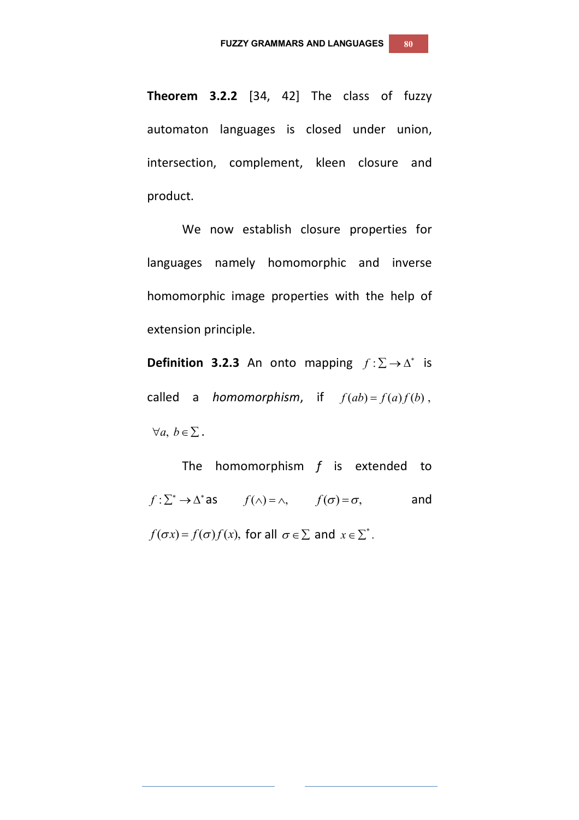**Theorem 3.2.2** [34, 42] The class of fuzzy automaton languages is closed under union, intersection, complement, kleen closure and product.

We now establish closure properties for languages namely homomorphic and inverse homomorphic image properties with the help of extension principle.

**Definition 3.2.3** An onto mapping  $f : \Sigma \to \Delta^*$  is called a *homomorphism*, if  $f(ab) = f(a)f(b)$ ,  $\forall a, b \in \Sigma$ .

The homomorphism *f* is extended to  $f: \sum^* \to \Delta^*$  as  $f(\wedge) = \wedge$ ,  $f(\sigma) = \sigma$ , and  $f(\sigma x) = f(\sigma) f(x)$ , for all  $\sigma \in \Sigma$  and  $x \in \Sigma^*$ .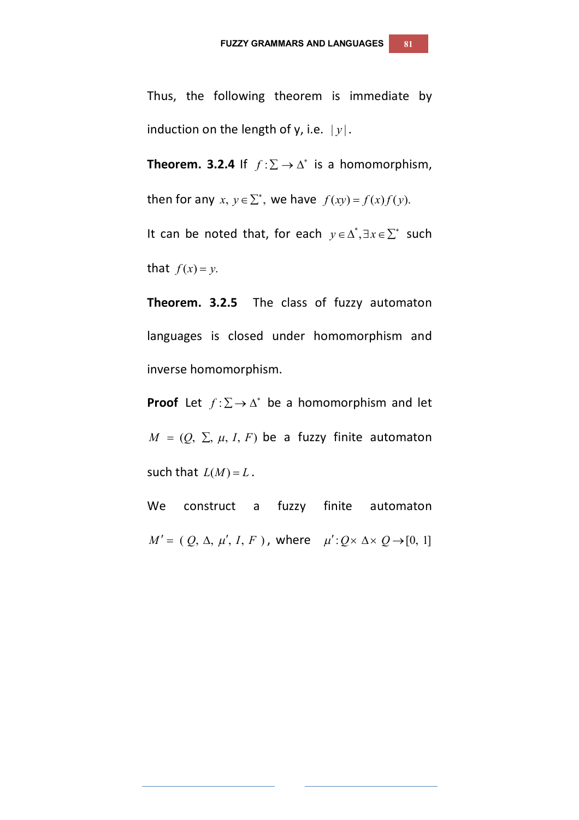Thus, the following theorem is immediate by induction on the length of y, i.e.  $|y|$ .

**Theorem. 3.2.4** If  $f : \Sigma \to \Delta^*$  is a homomorphism,

then for any  $x, y \in \sum^*$ , we have  $f(xy) = f(x)f(y)$ .

It can be noted that, for each  $y \in \Delta^*, \exists x \in \Sigma^*$  such that  $f(x) = y$ .

**Theorem. 3.2.5** The class of fuzzy automaton languages is closed under homomorphism and inverse homomorphism.

**Proof** Let  $f: \Sigma \to \Delta^*$  be a homomorphism and let  $M = (Q, \Sigma, \mu, I, F)$  be a fuzzy finite automaton such that  $L(M) = L$ .

We construct a fuzzy finite automaton  $M' = (Q, \Delta, \mu', I, F)$ , where  $\mu': Q \times \Delta \times Q \rightarrow [0, 1]$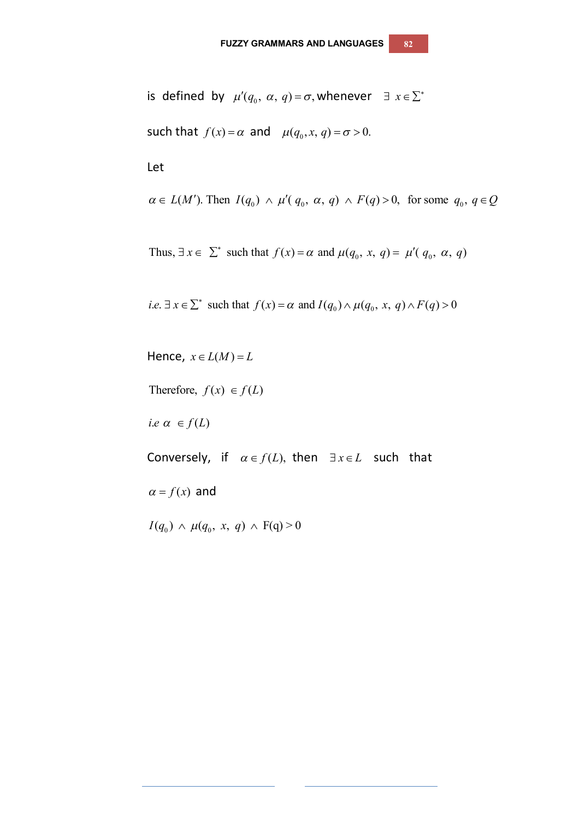is defined by  $\mu'(q_0, \alpha, q)$  =  $\sigma$ , whenever  $\exists x \in \sum^*$ such that  $f(x) = \alpha$  and  $\mu(q_0, x, q) = \sigma > 0$ .

 $\alpha \in L(M')$ . Then  $I(q_0) \wedge \mu'(q_0, \alpha, q) \wedge F(q) > 0$ , for some  $q_0, q \in Q$ 

Thus,  $\exists x \in \sum^*$  such that  $f(x) = \alpha$  and  $\mu(q_0, x, q) = \mu'(q_0, \alpha, q)$ 

*i.e.* 
$$
\exists x \in \sum^*
$$
 such that  $f(x) = \alpha$  and  $I(q_0) \wedge \mu(q_0, x, q) \wedge F(q) > 0$ 

Hence,  $x \in L(M) = L$ 

Therefore,  $f(x) \in f(L)$ 

*i.e*  $\alpha \in f(L)$ 

Let

Conversely, if  $\alpha \in f(L)$ , then  $\exists x \in L$  such that

 $\alpha = f(x)$  and

 $I(q_0) \wedge \mu(q_0, x, q) \wedge F(q) > 0$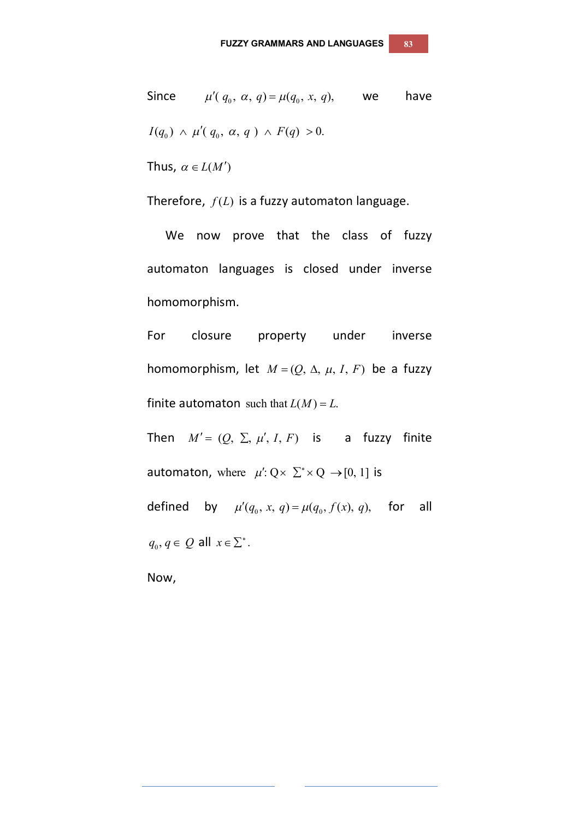Since  $\mu' ( q_0, \alpha, q) = \mu ( q_0, x, q),$  we have  $I(q_0) \wedge \mu'(q_0, \alpha, q) \wedge F(q) > 0.$ 

Thus,  $\alpha \in L(M')$ 

Therefore,  $f(L)$  is a fuzzy automaton language.

We now prove that the class of fuzzy automaton languages is closed under inverse homomorphism.

For closure property under inverse homomorphism, let  $M = (Q, \Delta, \mu, I, F)$  be a fuzzy finite automaton such that  $L(M) = L$ .

Then  $M' = (Q, \Sigma, \mu', I, F)$  is a fuzzy finite automaton, where  $\mu' : Q \times \sum^* \times Q \rightarrow [0, 1]$  is defined by  $\mu'(q_0, x, q) = \mu(q_0, f(x), q)$ , for all  $q_0, q \in Q$  all  $x \in \Sigma^*$ .

Now,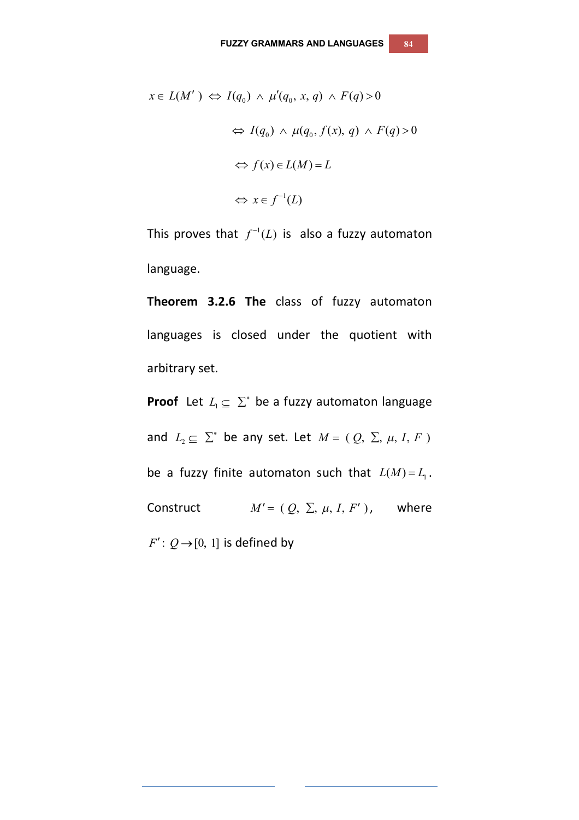$$
x \in L(M') \Leftrightarrow I(q_0) \wedge \mu'(q_0, x, q) \wedge F(q) > 0
$$
  

$$
\Leftrightarrow I(q_0) \wedge \mu(q_0, f(x), q) \wedge F(q) > 0
$$
  

$$
\Leftrightarrow f(x) \in L(M) = L
$$
  

$$
\Leftrightarrow x \in f^{-1}(L)
$$

This proves that  $f^{-1}(L)$  is also a fuzzy automaton language.

**Theorem 3.2.6 The** class of fuzzy automaton languages is closed under the quotient with arbitrary set.

**Proof** Let  $L_1 \subseteq \Sigma^*$  be a fuzzy automaton language and  $L_2 \subseteq \Sigma^*$  be any set. Let  $M = (Q, \Sigma, \mu, I, F)$ be a fuzzy finite automaton such that  $L(M) = L_1$ . Construct  $M' = (Q, \Sigma, \mu, I, F')$ , where  $F'$ :  $Q \rightarrow [0, 1]$  is defined by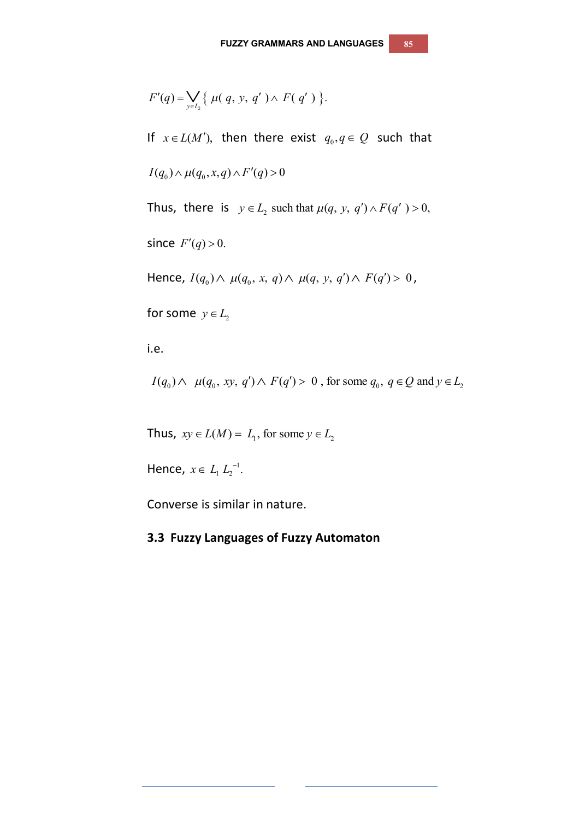$$
F'(q) = \bigvee_{y \in L_2} \{ \mu(q, y, q') \wedge F(q') \}.
$$

If  $x \in L(M')$ , then there exist  $q_0, q \in Q$  such that

$$
I(q_0) \wedge \mu(q_0, x, q) \wedge F'(q) > 0
$$

Thus, there is  $y \in L_2$  such that  $\mu(q, y, q') \wedge F(q') > 0$ ,

since  $F'(q) > 0$ .

Hence,  $I(q_0) \wedge \mu(q_0, x, q) \wedge \mu(q, y, q') \wedge F(q') > 0$ ,

for some  $y \in L_2$ 

i.e.

 $I(q_0) \wedge \mu(q_0, xy, q') \wedge F(q') > 0$ , for some  $q_0, q \in Q$  and  $y \in L_2$ 

Thus,  $xy \in L(M) = L_1$ , for some  $y \in L_2$ 

Hence,  $x \in L_1 L_2^{-1}$ .

Converse is similar in nature.

## **3.3 Fuzzy Languages of Fuzzy Automaton**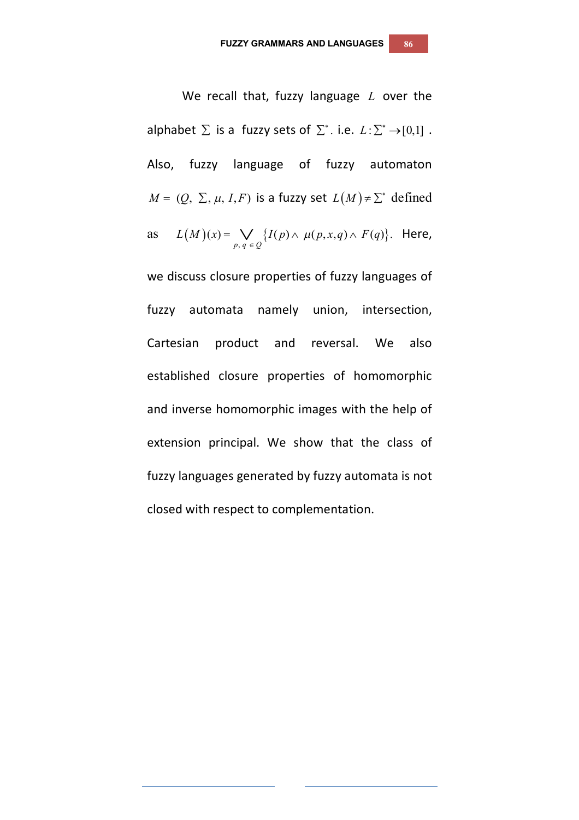We recall that, fuzzy language *L* over the alphabet  $\Sigma$  is a fuzzy sets of  $\Sigma^*$ . i.e.  $L:\Sigma^*\to [0,1]$ . Also, fuzzy language of fuzzy automaton  $M = (Q, \Sigma, \mu, I, F)$  is a fuzzy set  $L(M) \neq \Sigma^*$  defined as  $L(M)(x) = \bigvee_{p,q \in Q} \{ I(p) \wedge \mu(p,x,q) \wedge F(q) \}.$  $(x) = \bigvee \{ I(p) \wedge \mu(p, x, q) \wedge F(q) \}.$  $p, q \in Q$  $L(M)(x) = \bigvee \{I(p) \wedge \mu(p,x,q) \wedge F(q)\}$  $=\bigvee_{p,\,q\,\in\,\mathcal{Q}}\bigl\{I(p)\wedge\,\mu(p,x,q)\wedge\,F(q)\bigr\}.$  Here,

we discuss closure properties of fuzzy languages of fuzzy automata namely union, intersection, Cartesian product and reversal. We also established closure properties of homomorphic and inverse homomorphic images with the help of extension principal. We show that the class of fuzzy languages generated by fuzzy automata is not closed with respect to complementation.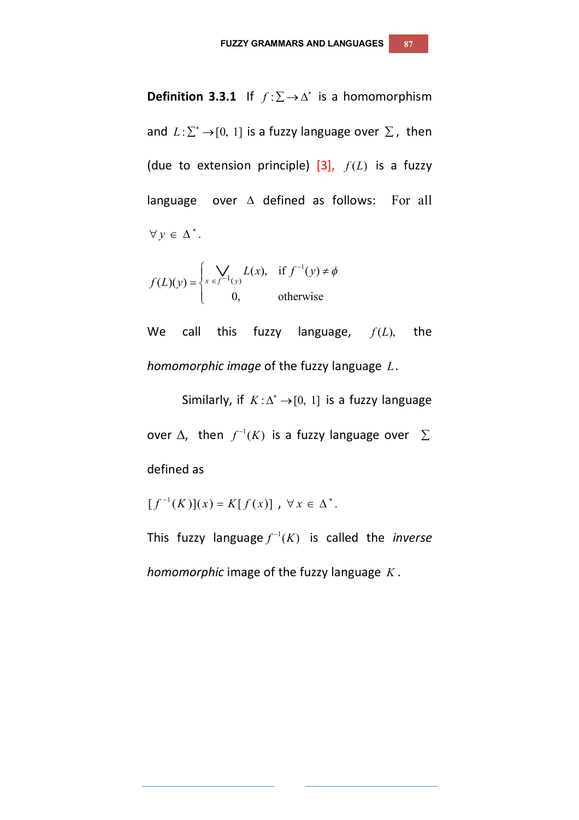**Definition 3.3.1** If  $f : \Sigma \to \Delta^*$  is a homomorphism and  $L: \sum^* \rightarrow [0, 1]$  is a fuzzy language over  $\Sigma$ , then (due to extension principle)  $[3]$ ,  $f(L)$  is a fuzzy language over  $\triangle$  defined as follows: For all  $\forall y \in \Delta^*$ .

$$
f(L)(y) = \begin{cases} \sum_{x \in f^{-1}(y)} L(x), & \text{if } f^{-1}(y) \neq \phi \\ 0, & \text{otherwise} \end{cases}
$$

We call this fuzzy language,  $f(L)$ , the *homomorphic image* of the fuzzy language *L*.

Similarly, if  $K: \Delta^* \rightarrow [0, 1]$  is a fuzzy language over  $\Delta$ , then  $f^{-1}(K)$  is a fuzzy language over  $\Sigma$ defined as

$$
[f^{-1}(K)](x) = K[f(x)], \forall x \in \Delta^*.
$$

This fuzzy language  $f^{-1}(K)$  is called the *inverse homomorphic* image of the fuzzy language *K* .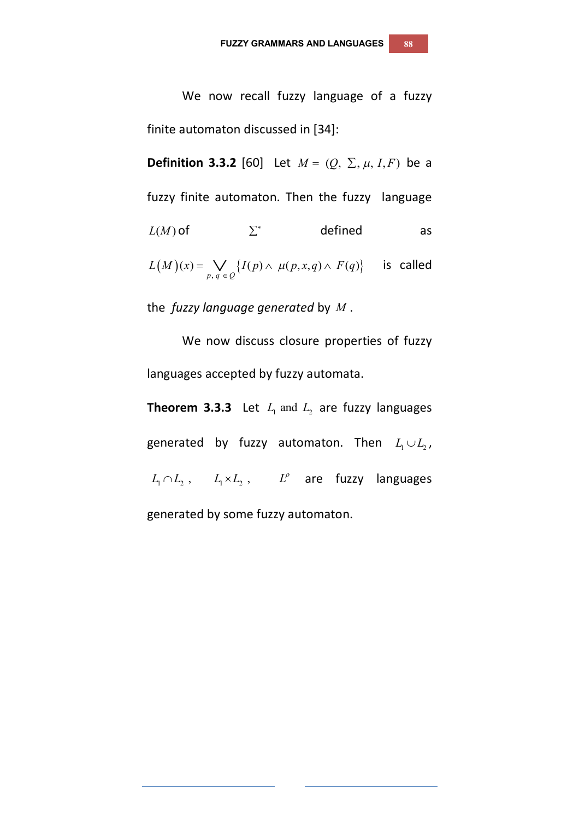We now recall fuzzy language of a fuzzy finite automaton discussed in [34]:

**Definition 3.3.2** [60] Let  $M = (Q, \Sigma, \mu, I, F)$  be a fuzzy finite automaton. Then the fuzzy language  $L(M)$  of  $\Sigma^*$  defined as  $(M)(x) = \bigvee_{p,q \in Q} \{I(p) \wedge \mu(p,x,q) \wedge F(q)\}\$  $(x) = \bigvee \{ I(p) \wedge \mu(p, x, q) \wedge F(q) \}$  $p, q \in Q$  $L(M)(x) = \bigvee \{I(p) \wedge \mu(p,x,q) \wedge F(q)\}$  $=\bigvee_{p,q\in Q}\{I(p)\wedge \mu(p,x,q)\wedge F(q)\}\$  is called

the *fuzzy language generated* by *M* .

We now discuss closure properties of fuzzy languages accepted by fuzzy automata.

**Theorem 3.3.3** Let  $L_1$  and  $L_2$  are fuzzy languages generated by fuzzy automaton. Then  $L_1 \cup L_2$ ,  $L_1 \cap L_2$ ,  $L_1 \times L_2$ ,  $L^{\rho}$  are fuzzy languages generated by some fuzzy automaton.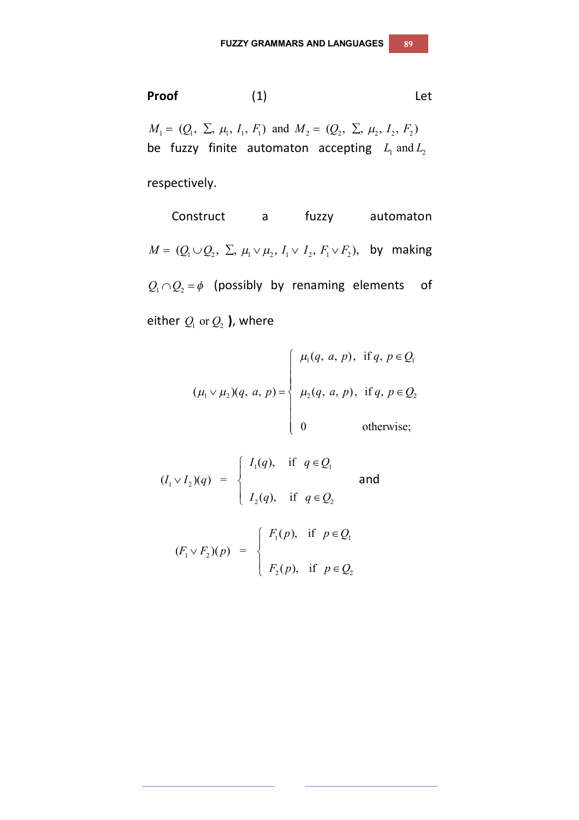**Proof** (1) Let

 $M_1 = (Q_1, \Sigma, \mu_1, I_1, F_1)$  and  $M_2 = (Q_2, \Sigma, \mu_2, I_2, F_2)$ be fuzzy finite automaton accepting  $L_1$  and  $L_2$ 

respectively.

**Construct** a fuzzy automaton  $M = (Q_1 \cup Q_2, \Sigma, \mu_1 \vee \mu_2, I_1 \vee I_2, F_1 \vee F_2)$ , by making  $Q_1 \cap Q_2 = \phi$  (possibly by renaming elements of either  $Q_1$  or  $Q_2$  ), where

$$
(\mu_1 \vee \mu_2)(q, a, p) = \begin{cases} \mu_1(q, a, p), & \text{if } q, p \in Q_1 \\ \mu_2(q, a, p), & \text{if } q, p \in Q_2 \\ 0 & \text{otherwise;} \end{cases}
$$

$$
(I_1 \vee I_2)(q) = \begin{cases} I_1(q), & \text{if } q \in Q_1 \\ I_2(q), & \text{if } q \in Q_2 \end{cases}
$$
 and  

$$
(F_1 \vee F_2)(p) = \begin{cases} F_1(p), & \text{if } p \in Q_1 \\ F_2(p), & \text{if } p \in Q_2 \end{cases}
$$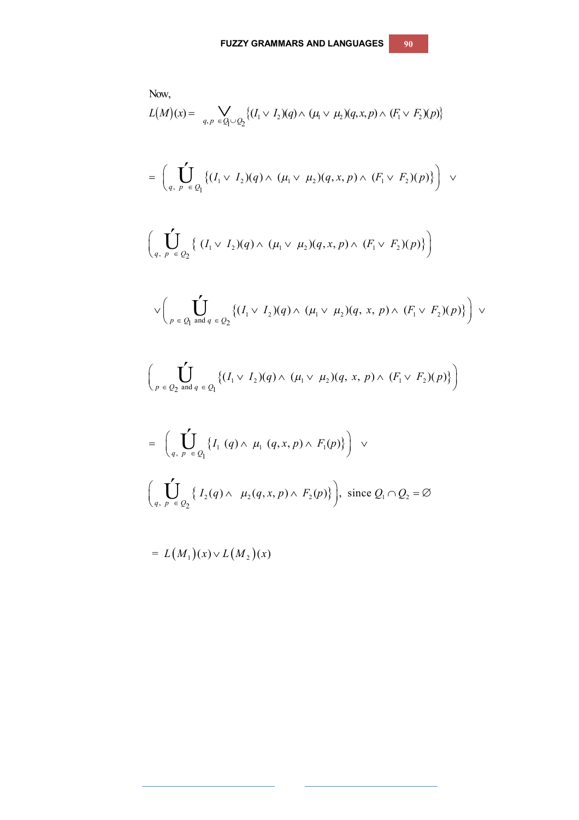Now,  
\n
$$
L(M)(x) = \bigvee_{q,p} \bigvee_{\in Q_1 \cup Q_2} \{ (I_1 \vee I_2)(q) \wedge (\mu_1 \vee \mu_2)(q, x, p) \wedge (F_1 \vee F_2)(p) \}
$$
\n
$$
= \bigg( \int_{q, p} \bigvee_{\in Q_1} \{ (I_1 \vee I_2)(q) \wedge (\mu_1 \vee \mu_2)(q, x, p) \wedge (F_1 \vee F_2)(p) \} \bigg) \vee \bigg( \int_{q, p} \bigvee_{\in Q_2} \{ (I_1 \vee I_2)(q) \wedge (\mu_1 \vee \mu_2)(q, x, p) \wedge (F_1 \vee F_2)(p) \} \bigg) \vee \bigg( \int_{p} \bigvee_{\in Q_1 \text{ and } q \in Q_2} \{ (I_1 \vee I_2)(q) \wedge (\mu_1 \vee \mu_2)(q, x, p) \wedge (F_1 \vee F_2)(p) \} \bigg) \vee \bigg( \int_{p} \bigvee_{\in Q_2 \text{ and } q \in Q_1} \{ (I_1 \vee I_2)(q) \wedge (\mu_1 \vee \mu_2)(q, x, p) \wedge (F_1 \vee F_2)(p) \} \bigg) \vee \bigg( \int_{q, p} \bigvee_{\in Q_1} \{ I_1(q) \wedge \mu_1(q, x, p) \wedge F_1(p) \} \bigg) \vee \bigg( \int_{q, p} \bigvee_{\in Q_2} \{ I_2(q) \wedge \mu_2(q, x, p) \wedge F_2(p) \} \bigg), \text{ since } Q_1 \cap Q_2 = \emptyset
$$
\n
$$
= L(M_1)(x) \vee L(M_2)(x)
$$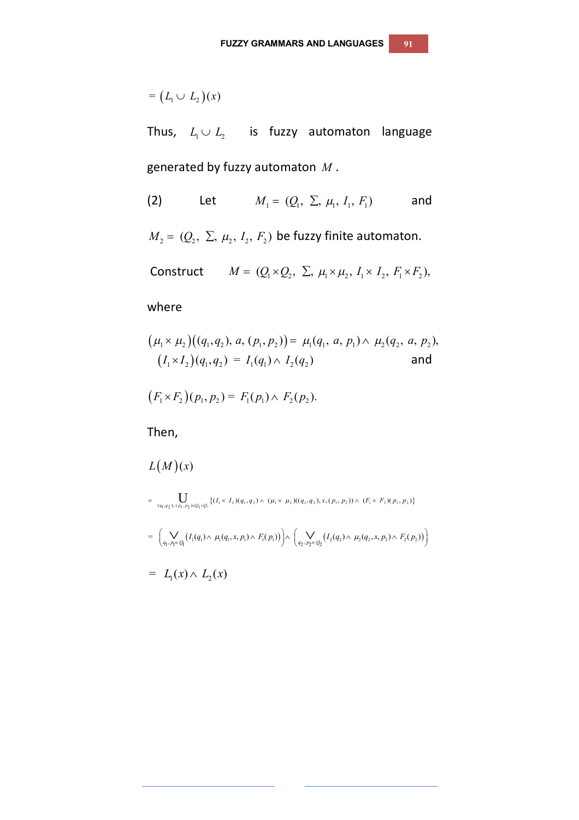$$
= (L_1 \cup L_2)(x)
$$

Thus,  $L_1 \cup L_2$  is fuzzy automaton language generated by fuzzy automaton *M* .

(2) Let 
$$
M_1 = (Q_1, \Sigma, \mu_1, I_1, F_1)
$$
 and

 $M_2 = (Q_2, \Sigma, \mu_2, I_2, F_2)$  be fuzzy finite automaton.

Construct 
$$
M = (Q_1 \times Q_2, \Sigma, \mu_1 \times \mu_2, I_1 \times I_2, F_1 \times F_2),
$$

where

$$
(\mu_1 \times \mu_2)((q_1, q_2), a, (p_1, p_2)) = \mu_1(q_1, a, p_1) \wedge \mu_2(q_2, a, p_2),
$$
  

$$
(I_1 \times I_2)(q_1, q_2) = I_1(q_1) \wedge I_2(q_2)
$$
 and

$$
(F_1 \times F_2)(p_1, p_2) = F_1(p_1) \wedge F_2(p_2).
$$

Then,

$$
L(M)(x)
$$
  
= 
$$
\bigcup_{(q_1,q_2), (p_1,p_2)\in Q_1\times Q_2} \{ (I_1 \times I_2)(q_1,q_2) \wedge (\mu_1 \times \mu_2)((q_1,q_2),x,(p_1,p_2)) \wedge (F_1 \times F_2)(p_1,p_2) \}
$$
  
= 
$$
\bigg( \bigvee_{q_1,p_1 \in Q_1} \big( I_1(q_1) \wedge \mu_1(q_1,x,p_1) \wedge F_1(p_1) \big) \bigg) \wedge \bigg( \bigvee_{q_2,p_2 \in Q_2} \big( I_2(q_2) \wedge \mu_2(q_2,x,p_2) \wedge F_2(p_2) \big) \bigg)
$$

$$
= L_1(x) \wedge L_2(x)
$$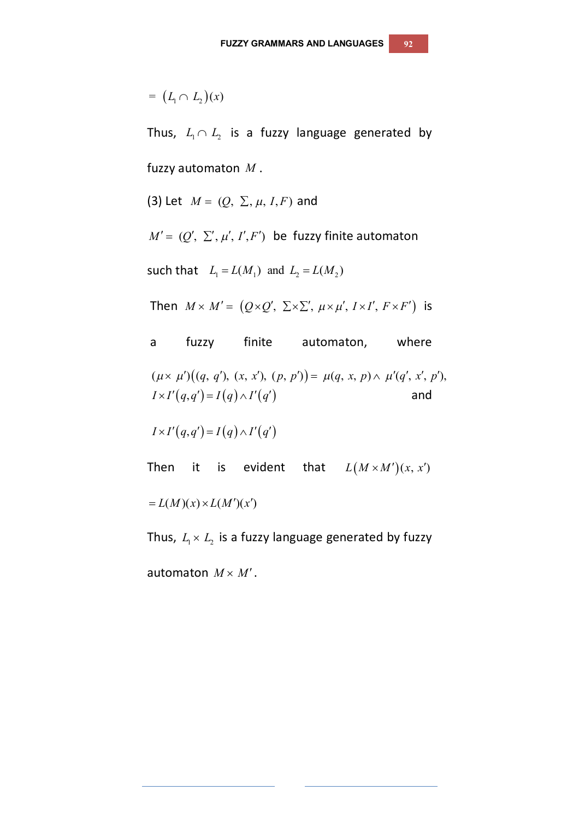$$
= (L_1 \cap L_2)(x)
$$

Thus,  $L_1 \cap L_2$  is a fuzzy language generated by fuzzy automaton *M* .

(3) Let 
$$
M = (Q, \Sigma, \mu, I, F)
$$
 and

 $M' = (Q', \Sigma', \mu', I', F')$  be fuzzy finite automaton

such that  $L_1 = L(M_1)$  and  $L_2 = L(M_2)$ 

Then  $M \times M' = (Q \times Q', \Sigma \times \Sigma', \mu \times \mu', I \times I', F \times F')$  is

a fuzzy finite automaton, where  $(\mu \times \mu')((q, q'), (x, x'), (p, p')) = \mu(q, x, p) \wedge \mu'(q', x', p'),$  $I \times I'(q,q') = I(q) \wedge I'(q')$  and

 $I \times I' (q,q') = I (q) \wedge I' (q')$ 

Then it is evident that  $L(M \times M')(x, x')$ 

 $= L(M)(x) \times L(M')(x')$ 

Thus,  $L_1 \times L_2$  is a fuzzy language generated by fuzzy

automaton  $M \times M'$ .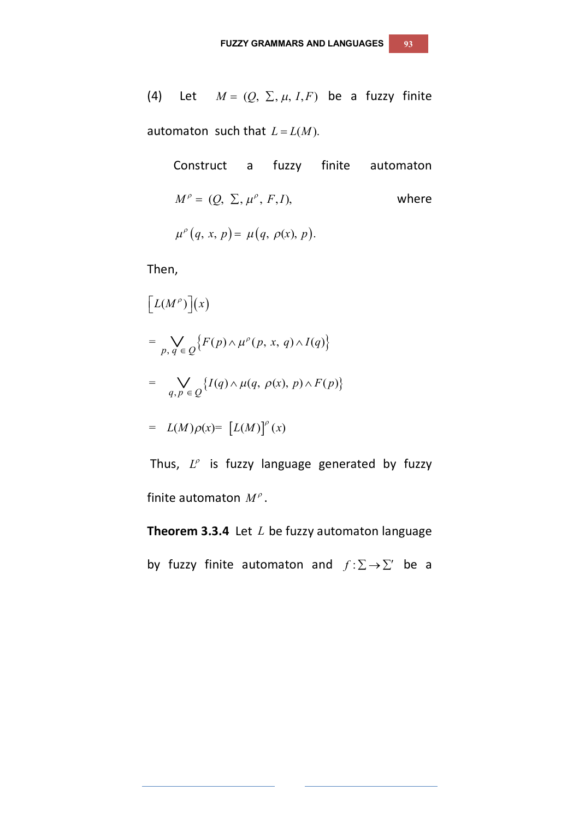(4) Let 
$$
M = (Q, \Sigma, \mu, I, F)
$$
 be a fuzzy finite

automaton such that  $L = L(M)$ .

Construct a fuzzy finite automaton  $M^{\rho} = (Q, \Sigma, \mu^{\rho}, F, I),$  where  $\mu^{\rho}(q, x, p) = \mu(q, \rho(x), p).$ 

Then,

$$
\begin{aligned}\n[L(M^{\rho})](x) \\
&= \bigvee_{p,\,q \,\in\, Q} \{F(p) \wedge \mu^{\rho}(p,\,x,\,q) \wedge I(q)\} \\
&= \bigvee_{q,\,p \,\in\, Q} \{I(q) \wedge \mu(q,\,\rho(x),\,p) \wedge F(p)\} \\
&= L(M)\rho(x) = [L(M)]^{\rho}(x)\n\end{aligned}
$$

Thus,  $L^{\rho}$  is fuzzy language generated by fuzzy finite automaton *M* .

**Theorem 3.3.4** Let *L* be fuzzy automaton language

by fuzzy finite automaton and  $f : \Sigma \to \Sigma'$  be a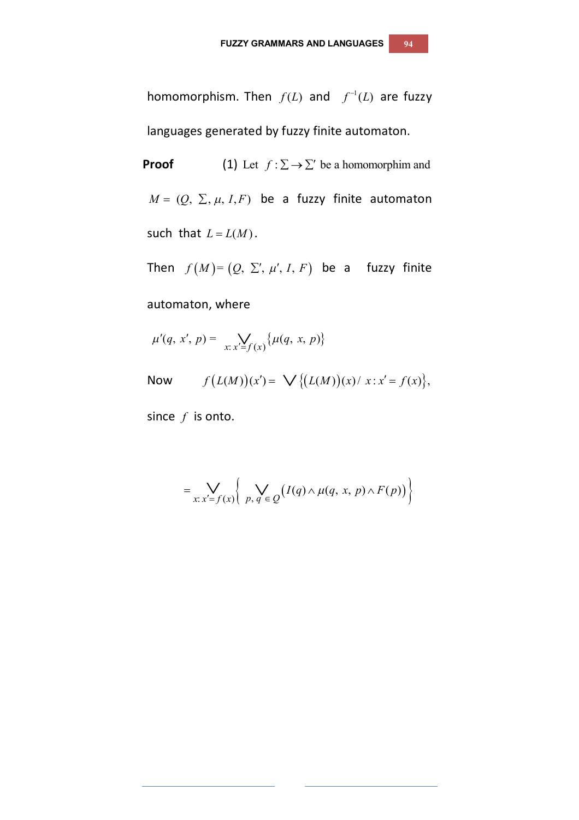homomorphism. Then  $f(L)$  and  $f^{-1}(L)$  are fuzzy languages generated by fuzzy finite automaton.

**Proof** (1) Let  $f : \Sigma \to \Sigma'$  be a homomorphim and  $M = (Q, \Sigma, \mu, I, F)$  be a fuzzy finite automaton such that  $L = L(M)$ .

Then  $f(M) = (Q, \Sigma', \mu', I, F)$  be a fuzzy finite

automaton, where

$$
\mu'(q, x', p) = \sum_{x: x' = f(x)} \{\mu(q, x, p)\}
$$

Now 
$$
f(L(M))(x') = \bigvee \{(L(M))(x) / x : x' = f(x)\},
$$

since *f* is onto.

$$
= \bigvee_{x:\,x'=f(x)} \left\{ \bigvee_{p,\,q \,\in\, Q} \big(I(q)\wedge \mu(q,\,x,\,p)\wedge F(p)\big)\right\}
$$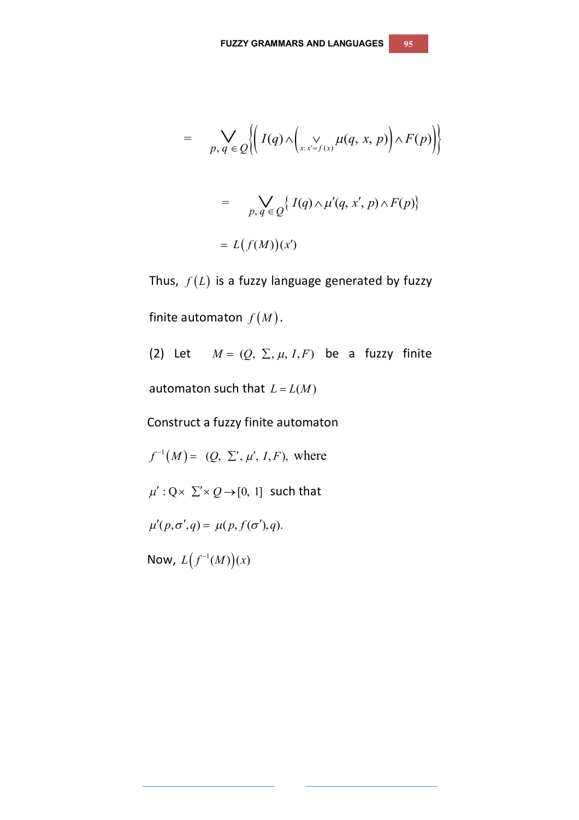$$
= \bigvee_{p,q \in Q} \left\{ \left( I(q) \wedge \left( \bigvee_{x:x'=f(x)} \mu(q, x, p) \right) \wedge F(p) \right) \right\}
$$

$$
= \bigvee_{p,q' \in Q} \left\{ I(q) \wedge \mu'(q, x', p) \wedge F(p) \right\}
$$

$$
= L(f(M))(x')
$$

Thus,  $f(L)$  is a fuzzy language generated by fuzzy finite automaton  $f(M)$ .

(2) Let  $M = (Q, \Sigma, \mu, I, F)$  be a fuzzy finite automaton such that  $L = L(M)$ Construct a fuzzy finite automaton  $f^{-1}(M) = (Q, \Sigma', \mu', I, F)$ , where  $\mu' : Q \times \Sigma' \times Q \rightarrow [0, 1]$  such that  $\mu'(p, \sigma', q) = \mu(p, f(\sigma'), q).$ Now,  $L\big(f^{-1}(M)\big)(x)$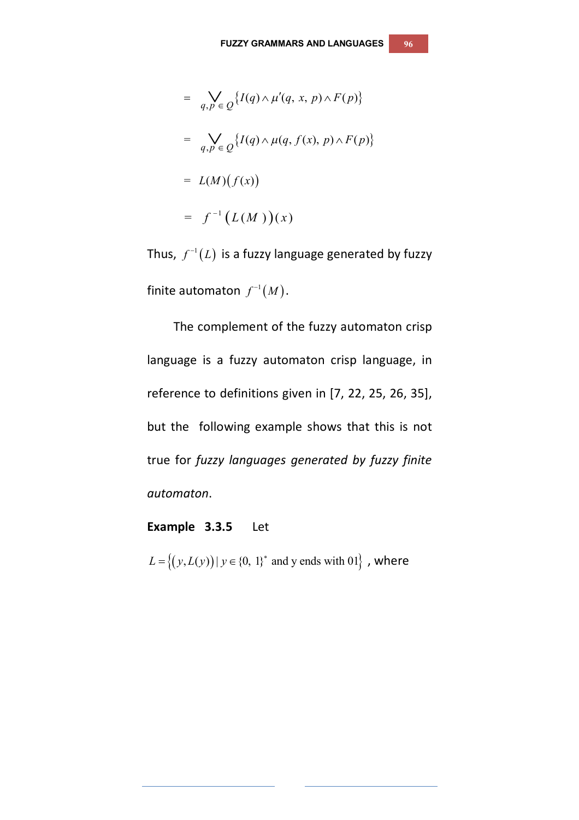$$
= \bigvee_{q,p \in Q} \{ I(q) \wedge \mu'(q, x, p) \wedge F(p) \}
$$

$$
= \bigvee_{q,p \in Q} \{ I(q) \wedge \mu(q, f(x), p) \wedge F(p) \}
$$

$$
= L(M)(f(x))
$$

$$
= f^{-1}(L(M))(x)
$$

Thus,  $f^{-1}(L)$  is a fuzzy language generated by fuzzy finite automaton  $f^{-1}(M)$ .

The complement of the fuzzy automaton crisp language is a fuzzy automaton crisp language, in reference to definitions given in [7, 22, 25, 26, 35], but the following example shows that this is not true for *fuzzy languages generated by fuzzy finite automaton*.

## **Example 3.3.5** Let

 $L = \{(y, L(y)) | y \in \{0, 1\}^* \text{ and } y \text{ ends with } 01\}$ , where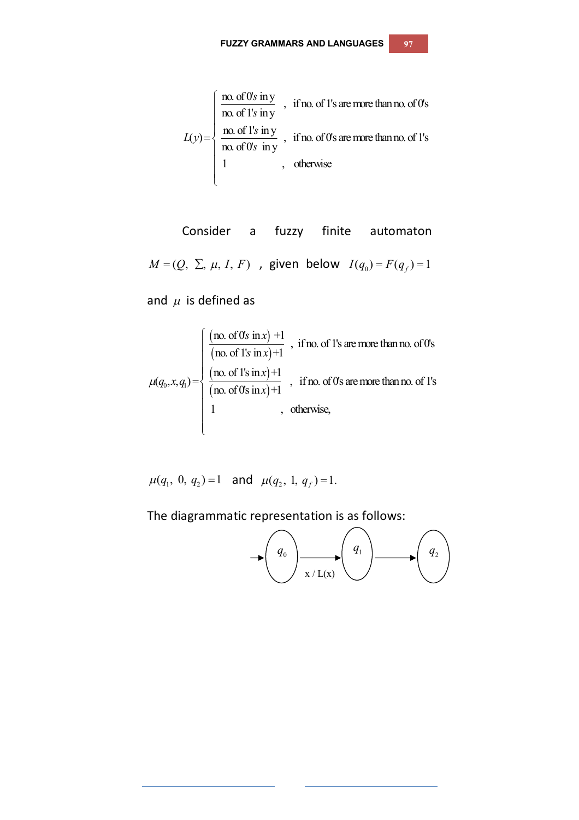$$
L(y) = \begin{cases} \frac{\text{no. of 0's in y}}{\text{no. of 1's in y}} , & \text{if no. of 1's are more than no. of 0's} \\ \frac{\text{no. of 1's in y}}{\text{no. of 0's in y}} , & \text{if no. of 0's are more than no. of 1's} \\ 1 , & \text{otherwise} \end{cases}
$$

Consider a fuzzy finite automaton  $M = (Q, \Sigma, \mu, I, F)$ , given below  $I(q_0) = F(q_f) = 1$ 

and  $\mu$  is defined as

$$
\mu(q_0, x, q_1) = \begin{cases}\n\frac{(\text{no. of 0's in } x) + 1}{(\text{no. of 1's in } x) + 1}, & \text{if no. of 1's are more than no. of 0's} \\
\frac{(\text{no. of 1's in } x) + 1}{(\text{no. of 0's in } x) + 1}, & \text{if no. of 0's are more than no. of 1's} \\
1, & \text{otherwise,} \n\end{cases}
$$

$$
\mu(q_1, 0, q_2) = 1
$$
 and  $\mu(q_2, 1, q_f) = 1$ .

The diagrammatic representation is as follows:

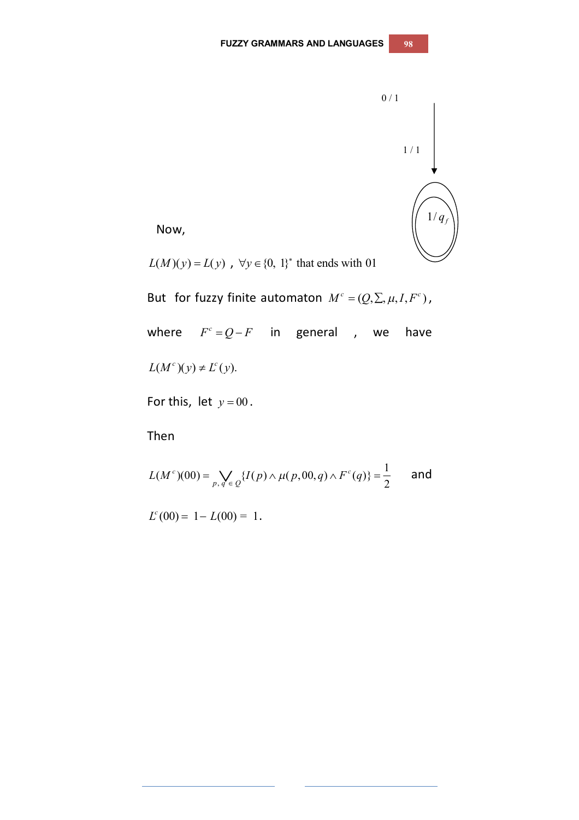

Now,

 $L(M)(y) = L(y)$ ,  $\forall y \in \{0, 1\}^*$  that ends with 01

But for fuzzy finite automaton  $M^c = (Q, \Sigma, \mu, I, F^c)$ , where  $F^c = Q - F$  in general , we have  $L(M<sup>c</sup>)(y) \neq L<sup>c</sup>(y)$ .

For this, let  $y = 00$ .

Then

$$
L(M^{c})(00) = \bigvee_{p,q' \in Q} \{ I(p) \wedge \mu(p,00,q) \wedge F^{c}(q) \} = \frac{1}{2} \quad \text{and}
$$

 $L^c(00) = 1 - L(00) = 1$ .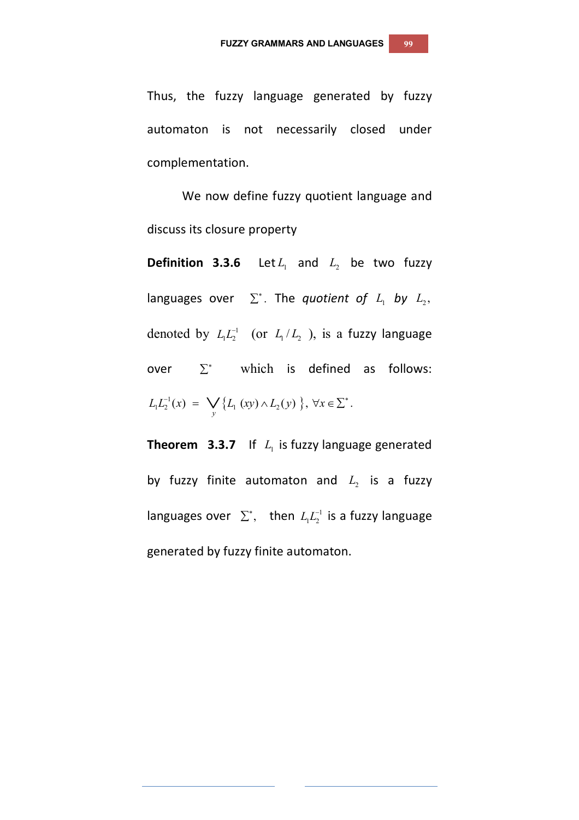Thus, the fuzzy language generated by fuzzy automaton is not necessarily closed under complementation.

We now define fuzzy quotient language and discuss its closure property

**Definition 3.3.6** Let  $L_1$  and  $L_2$  be two fuzzy languages over  $\Sigma^*$ . The *quotient of L*<sub>1</sub> *by L*<sub>2</sub>, denoted by  $L_1 L_2^{-1}$  (or  $L_1 / L_2$ ), is a fuzzy language over  $\Sigma^*$  which is defined as follows:  $L_1 L_2^{-1}(x) = \bigvee_{y} \{ L_1 (xy) \wedge L_2(y) \}, \forall x \in \Sigma^*$ .

**Theorem 3.3.7** If  $L_i$  is fuzzy language generated by fuzzy finite automaton and  $L_{2}$  is a fuzzy languages over  $\sum^*$ , then  $L_1 L_2^{-1}$  is a fuzzy language generated by fuzzy finite automaton.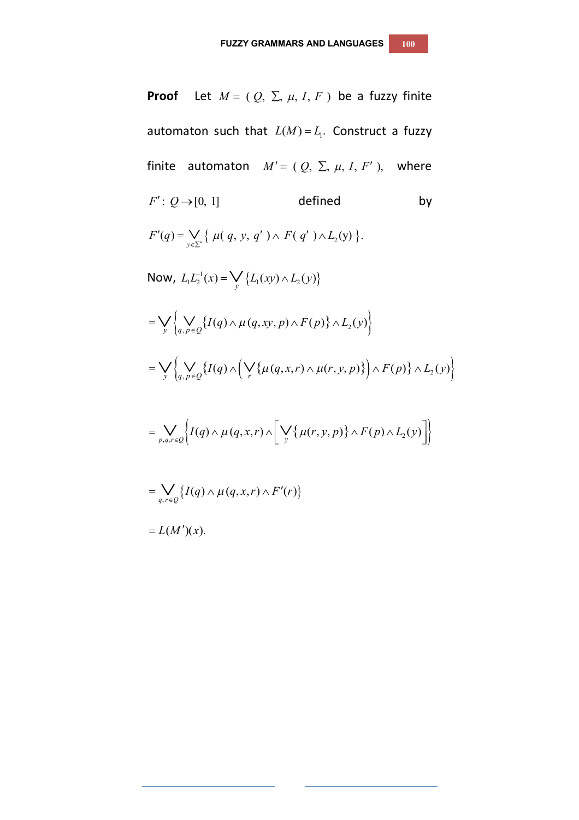**Proof** Let  $M = (Q, \Sigma, \mu, I, F)$  be a fuzzy finite automaton such that  $L(M) = L_1$ . Construct a fuzzy finite automaton  $M' = (Q, \Sigma, \mu, I, F')$ , where  $F' : Q \rightarrow [0, 1]$  defined by  $F'(q) = \bigvee_{y \in \Sigma^*} \{ \mu(q, y, q') \wedge F(q') \wedge L_2(y) \}.$ Now,  $L_1 L_2^{-1}(x) = \bigvee_{y} \{L_1(xy) \wedge L_2(y)\}$  $=\bigvee_{y}\left\{\bigvee_{q,p\in Q}\left\{I(q)\wedge\mu(q,xy,p)\wedge F(p)\right\}\wedge L_{2}(y)\right\}.$  $=\bigvee_{y}\left\{\bigvee_{q,p\in\mathcal{Q}}\left\{I(q)\wedge\left(\bigvee_{r}\left\{\mu(q,x,r)\wedge\mu(r,y,p)\right\}\right)\wedge F(p)\right\}\wedge L_{2}(y)\right\}.$  $=\bigvee_{p,q,r\in\mathcal{Q}}\biggl\{I(q)\wedge\mu(q,x,r)\wedge\biggl[\,\bigvee_y\bigl\{\mu(r,y,p)\bigr\}\wedge F(p)\wedge L_{_2}(y)\biggr]\biggr\}$  $=\bigvee_{q,r\in Q}\big\{I(q)\wedge\mu(q,x,r)\wedge F'(r)\big\}$  $= L(M')(x).$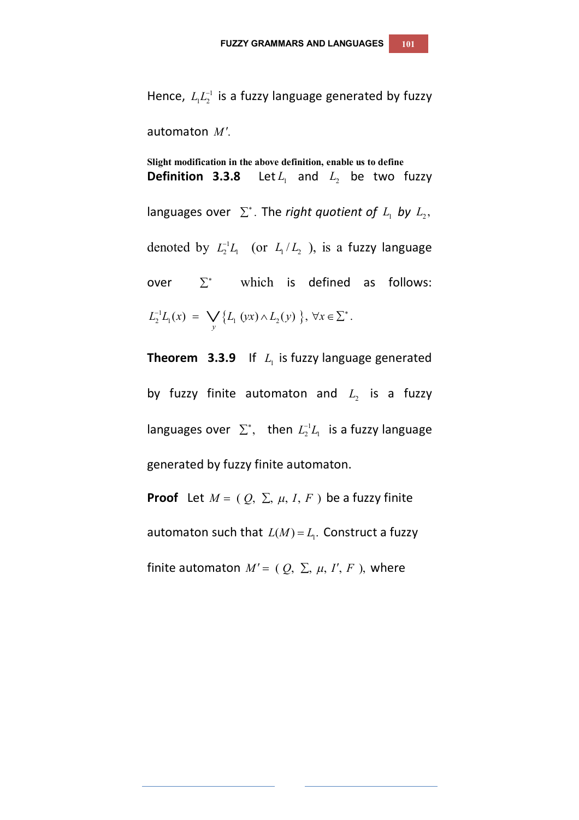Hence,  $L_1L_2^{-1}$  is a fuzzy language generated by fuzzy automaton *M* .

**Slight modification in the above definition, enable us to define Definition 3.3.8** Let  $L_1$  and  $L_2$  be two fuzzy languages over  $\Sigma^*$ . The *right quotient of*  $L_1$  *by*  $L_2$ , denoted by  $L_2^{-1}L_1$  (or  $L_1/L_2$ ), is a fuzzy language over  $\Sigma^*$  which is defined as follows:  $L_2^{-1}L_1(x) = \bigvee_{y} \{L_1(yx) \wedge L_2(y)\}\,$ ,  $\forall x \in \Sigma^*$ .

**Theorem 3.3.9** If  $L_i$  is fuzzy language generated by fuzzy finite automaton and  $L_{2}$  is a fuzzy languages over  $\sum^*$ , then  $L_2^{-1}L_1$  is a fuzzy language generated by fuzzy finite automaton.

**Proof** Let  $M = (Q, \Sigma, \mu, I, F)$  be a fuzzy finite automaton such that  $L(M) = L_1$ . Construct a fuzzy finite automaton  $M' = (Q, \Sigma, \mu, I', F)$ , where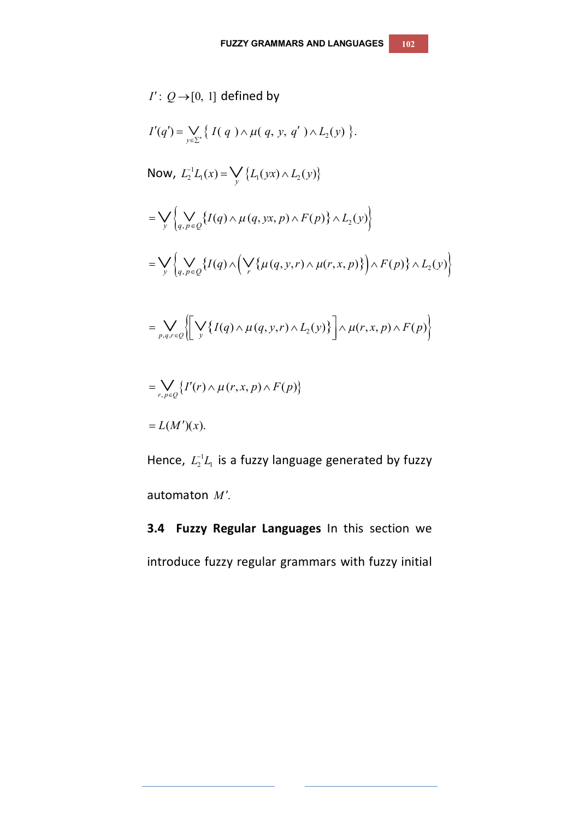$$
I': Q \rightarrow [0, 1] \text{ defined by}
$$
\n
$$
I'(q') = \bigvee_{y \in \Sigma'} \{ I(q) \land \mu(q, y, q') \land L_2(y) \}.
$$
\nNow,  $L_2^{-1}L_1(x) = \bigvee_{y} \{ L_1(yx) \land L_2(y) \}$ \n
$$
= \bigvee_{y} \left\{ \bigvee_{q, p \in Q} \{ I(q) \land \mu(q, yx, p) \land F(p) \} \land L_2(y) \right\}
$$
\n
$$
= \bigvee_{y} \left\{ \bigvee_{q, p \in Q} \{ I(q) \land \bigvee_{r} \{ \mu(q, y, r) \land \mu(r, x, p) \} \bigg) \land F(p) \} \land L_2(y) \right\}
$$
\n
$$
= \bigvee_{p, q, r \in Q} \left\{ \bigvee_{y} \{ I(q) \land \mu(q, y, r) \land L_2(y) \} \right\} \land \mu(r, x, p) \land F(p) \right\}
$$
\n
$$
= \bigvee_{r, p \in Q} \{ I'(r) \land \mu(r, x, p) \land F(p) \}
$$
\n
$$
= L(M')(x).
$$

Hence,  $L_2^{-1}L_1$  is a fuzzy language generated by fuzzy automaton M'.

**3.4 Fuzzy Regular Languages** In this section we introduce fuzzy regular grammars with fuzzy initial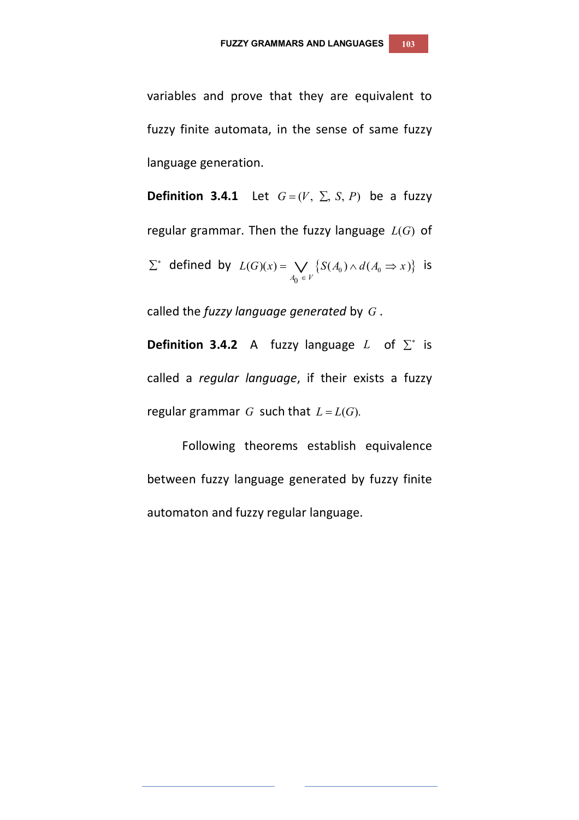variables and prove that they are equivalent to fuzzy finite automata, in the sense of same fuzzy language generation.

**Definition 3.4.1** Let  $G = (V, \Sigma, S, P)$  be a fuzzy regular grammar. Then the fuzzy language  $L(G)$  of  $\sum^*$  defined by  $L(G)(x) = \bigvee \{S(A_0) \wedge d(A_0 \Rightarrow x)\}$  $\mathbf{0}$  $(G)(x) = \bigvee \{ S(A_0) \wedge d(A_0 \Rightarrow x) \}$  $A_0 \in V$  $L(G)(x) = \bigvee \{S(A_0) \wedge d(A_0 \Rightarrow x)$  $=\bigvee_{A_0 \in V} \{S(A_0) \wedge d(A_0 \Rightarrow x)\}$  is

called the *fuzzy language generated* by *G* .

**Definition 3.4.2** A fuzzy language  $L$  of  $\Sigma^*$  is called a *regular language*, if their exists a fuzzy regular grammar *G* such that  $L = L(G)$ .

Following theorems establish equivalence between fuzzy language generated by fuzzy finite automaton and fuzzy regular language.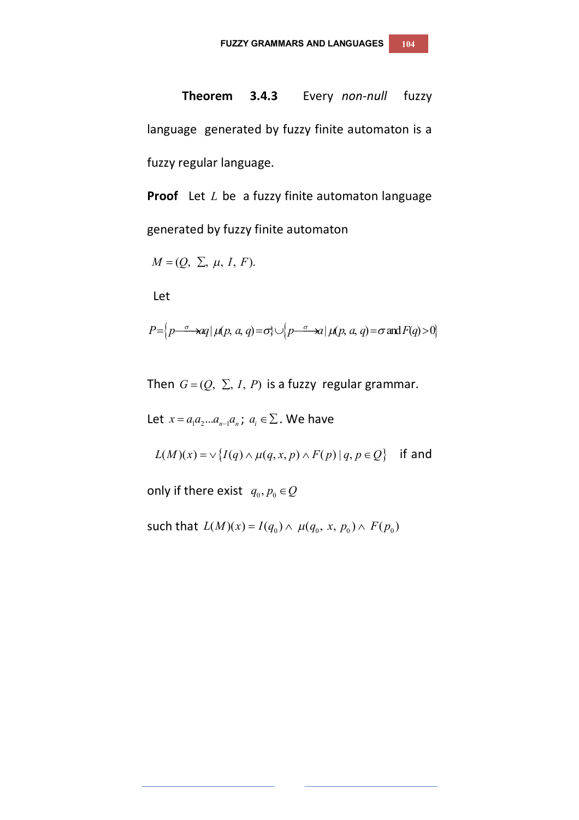## **Theorem 3.4.3** Every *non-null* fuzzy

language generated by fuzzy finite automaton is a fuzzy regular language.

**Proof** Let *L* be a fuzzy finite automaton language generated by fuzzy finite automaton

$$
M=(Q, \Sigma, \mu, I, F).
$$

Let

$$
P = \left\{ p \stackrel{\sigma}{\longrightarrow} aq \mid \mu(p, a, q) = \sigma \right\} \cup \left\{ p \stackrel{\sigma}{\longrightarrow} a \mid \mu(p, a, q) = \sigma \text{ and } F(q) > 0 \right\}
$$

Then  $G = (Q, \Sigma, I, P)$  is a fuzzy regular grammar.

Let  $x = a_1 a_2 ... a_{n-1} a_n$ ;  $a_i \in \Sigma$ . We have

 $L(M)(x) = \vee \{I(q) \wedge \mu(q, x, p) \wedge F(p) | q, p \in Q\}$  if and

only if there exist  $q_0, p_0 \in Q$ 

such that  $L(M)(x) = I(q_0) \wedge \mu(q_0, x, p_0) \wedge F(p_0)$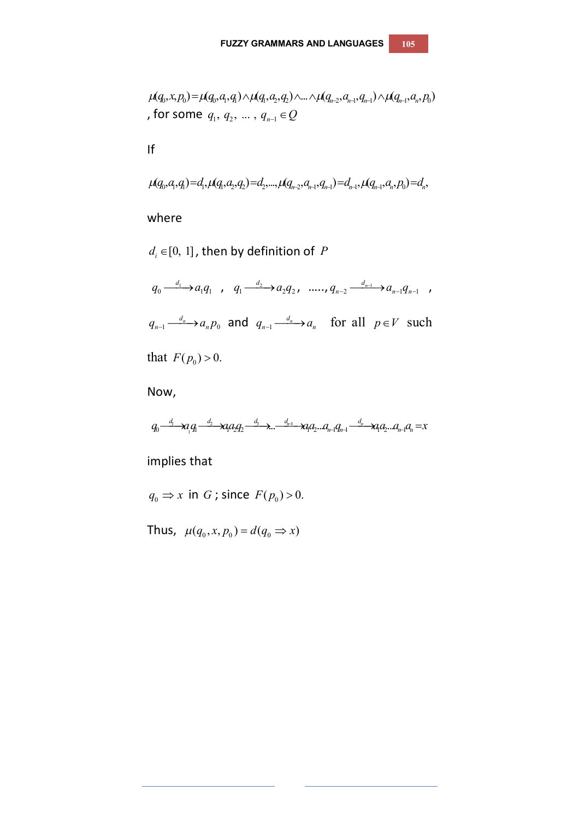$$
\mu(q_0, x, p_0) = \mu(q_0, a_1, q_1) \wedge \mu(q_1, a_2, q_2) \wedge \dots \wedge \mu(q_{n-2}, a_{n-1}, q_{n-1}) \wedge \mu(q_{n-1}, a_n, p_0)
$$
  
, for some  $q_1, q_2, \dots, q_{n-1} \in Q$ 

If

$$
\mu(q_0, q, q_1) = d_1, \mu(q_1, q_2, q_2) = d_2, \dots, \mu(q_{n-2}, q_{n-1}, q_{n-1}) = d_{n-1}, \mu(q_{n-1}, q_n, p_0) = d_n,
$$

where

 $d_i \in [0, 1]$  , then by definition of  $P$ 

 $_0 \longrightarrow a_1 q_1$  $q_0 \xrightarrow{d_1} a_1 q_1$ ,  $q_1 \xrightarrow{d_2} a_2 q_2$  $q_1 \xrightarrow{d_2} a_2 q_2$ , *.....,*  $q_{n-2} \xrightarrow{d_{n-1}} a_{n-1} q_{n-1}$  $q_{n-2} \stackrel{d_{n-1}}{\longrightarrow} a_{n-1} q_{n-1}$  ,  $a_n \rightarrow a_n p_0$  $q_{_{n-1}}$   $\overset{d_{_{n}}}{\longrightarrow}$   $a_{_{n}}p_{_{0}}$  and  $q_{_{n-1}}$   $\overset{d_{_{n}}}{\longrightarrow}$  $q_{n-1} \xrightarrow{d_n} a_n$  for all  $p \in V$  such

that  $F(p_0) > 0$ .

Now,

 $q_0$ <sup>-d</sup><sub>1</sub>  $\rightarrow$   $\alpha$ <sub>1</sub> $q_1$ <sup>-d<sub>2</sub>  $\rightarrow$   $\alpha$ <sub>4</sub> $\alpha$ <sub>2</sub>  $\rightarrow$   $\alpha$ <sub>n</sub><sup>-d<sub>n</sub>+</sub> $\alpha$ <sub>n</sub><sub>1</sub> $\alpha$ <sub>n</sub><sub>1</sub> $\alpha$ <sub>n</sub><sup>-d<sub>n</sub>+ $\alpha$ <sub>n</sub><sub>1</sub> $\alpha$ <sub>n</sub><sub>1</sub> $\alpha$ <sub>n</sub>= $x$ </sup></sup></sup>

implies that

 $q_0 \Rightarrow x$  in *G*; since  $F(p_0) > 0$ .

Thus,  $\mu(q_0, x, p_0) = d(q_0 \Rightarrow x)$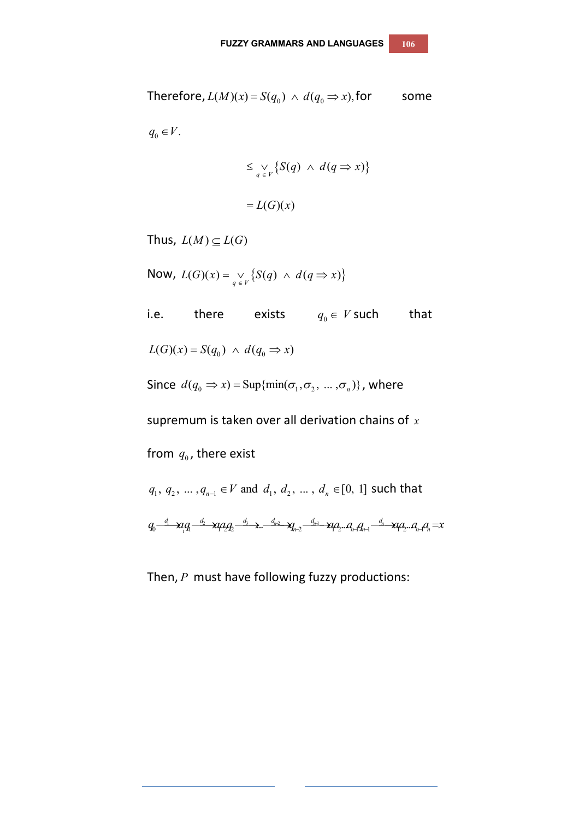Therefore, 
$$
L(M)(x) = S(q_0) \wedge d(q_0 \Rightarrow x)
$$
, for some  
\n
$$
q_0 \in V.
$$
\n
$$
\leq \bigvee_{q \in V} \{S(q) \wedge d(q \Rightarrow x)\}
$$
\n
$$
= L(G)(x)
$$
\nThus,  $L(M) \subseteq L(G)$   
\nNow,  $L(G)(x) = \bigvee_{q \in V} \{S(q) \wedge d(q \Rightarrow x)\}$   
\ni.e. there exists  $q_0 \in V$  such that  
\n $L(G)(x) = S(q_0) \wedge d(q_0 \Rightarrow x)$   
\nSince  $d(q_0 \Rightarrow x) = \sup\{\min(\sigma_1, \sigma_2, ..., \sigma_n)\}\}$ , where  
\nsupremum is taken over all derivation chains of x  
\nfrom  $q_0$ , there exist  
\n $q_1, q_2, ..., q_{n-1} \in V$  and  $d_1, d_2, ..., d_n \in [0, 1]$  such that  
\n $q_0 \xrightarrow{d} x_1 q_1 \xrightarrow{d_2} x_1 q_2 q_2 \xrightarrow{d_3} x_1 \xrightarrow{d_4} x_2 \xrightarrow{d_{n-1}} x_1 q_2 \xrightarrow{d_{n-1}} x_1 q_2 \xrightarrow{d_n} x_1 q_n = x$ 

Then, *P* must have following fuzzy productions: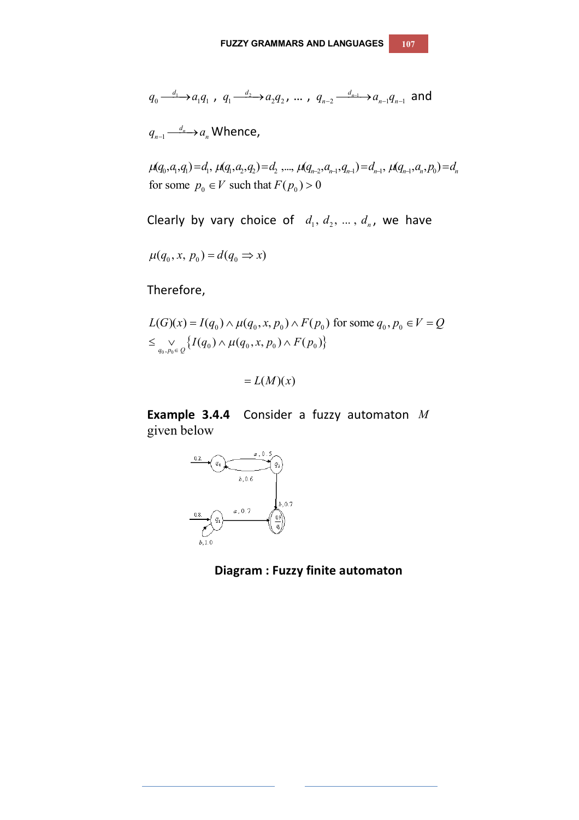$$
q_0 \xrightarrow{d_1} a_1 q_1 , q_1 \xrightarrow{d_2} a_2 q_2 , \dots , q_{n-2} \xrightarrow{d_{n-1}} a_{n-1} q_{n-1} \text{ and }
$$

 $\frac{d_n}{1}$  $q_{n-1} \stackrel{d_n}{\longrightarrow} a_n$  Whence,

 $\mu(q_0, a_1, q_1) = d_1, \ \mu(q_1, a_2, q_2) = d_2, \dots, \ \mu(q_{n-2}, a_{n-1}, q_{n-1}) = d_{n-1}, \ \mu(q_{n-1}, a_n, p_0) = d_n$ for some  $p_0 \in V$  such that  $F(p_0) > 0$ 

Clearly by vary choice of  $d_1, d_2, ..., d_n$ , we have

$$
\mu(q_0, x, p_0) = d(q_0 \Rightarrow x)
$$

Therefore,

$$
L(G)(x) = I(q_0) \wedge \mu(q_0, x, p_0) \wedge F(p_0) \text{ for some } q_0, p_0 \in V = Q
$$
  

$$
\leq \bigvee_{q_0, p_0 \in Q} \{ I(q_0) \wedge \mu(q_0, x, p_0) \wedge F(p_0) \}
$$

 $L(M)(x)$ 

**Example 3.4.4** Consider a fuzzy automaton *M* given below



 **Diagram : Fuzzy finite automaton**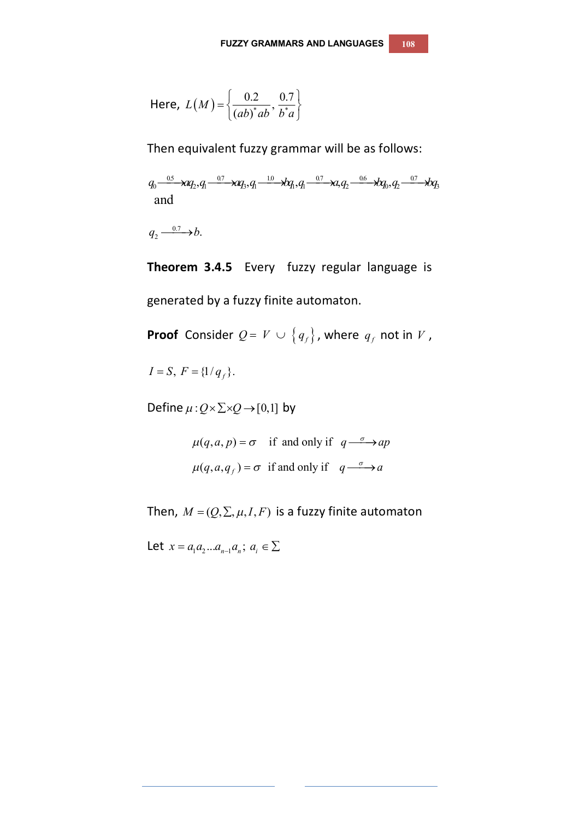Here, 
$$
L(M) = \left\{ \frac{0.2}{(ab)^*ab}, \frac{0.7}{b^*a} \right\}
$$

Then equivalent fuzzy grammar will be as follows:

 $q_0\frac{0.5}{2}\lambda q_2,q_1\frac{0.7}{2}\lambda q_3,q_1\frac{10}{2}\lambda q_1,q_1\frac{0.7}{2}\lambda a_1q_2\frac{0.6}{2}\lambda q_0,q_2\frac{0.7}{2}\lambda q_3$ and

0.7  $q_2 \xrightarrow{0.7} b.$ 

**Theorem 3.4.5** Every fuzzy regular language is generated by a fuzzy finite automaton.

**Proof** Consider  $Q = V \cup \left\{q_f\right\}$ , where  $q_f$  not in  $V$  ,

 $I = S, F = \{1/q_f\}.$ 

Define  $\mu$  :  $Q \times \Sigma \times Q \rightarrow [0,1]$  by

 $\mu(q, a, p) = \sigma$  if and only if  $q \rightarrow ap$  $\mu(q, a, q) = \sigma$  if and only if  $q \rightarrow a$ 

Then,  $M = (Q, \Sigma, \mu, I, F)$  is a fuzzy finite automaton

Let  $x = a_1 a_2 ... a_{n-1} a_n; a_i \in \Sigma$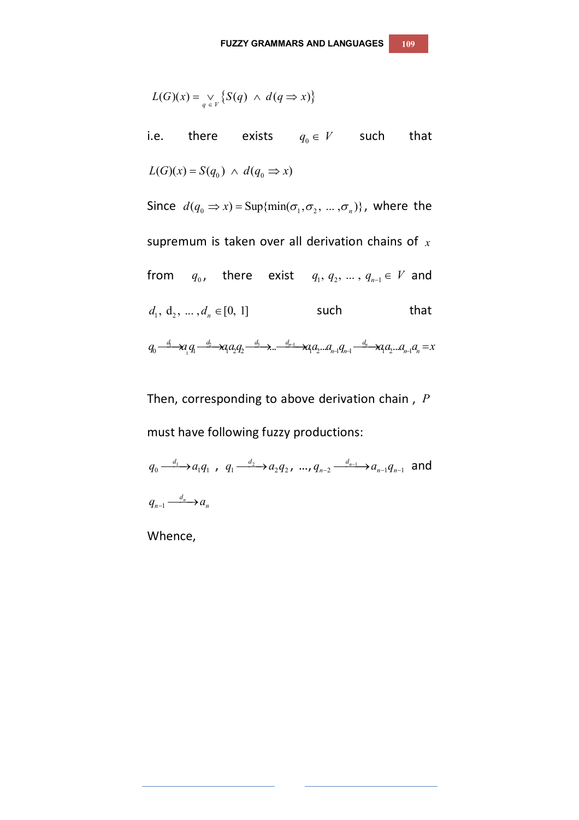$$
L(G)(x) = \bigvee_{q \in V} \{ S(q) \land d(q \Rightarrow x) \}
$$

i.e. there exists  $q_0 \in V$  such that  $L(G)(x) = S(q_0) \land d(q_0 \Rightarrow x)$ Since  $d(q_0 \Rightarrow x) = \text{Sup}\{\min(\sigma_1, \sigma_2, ..., \sigma_n)\}\)$ , where the supremum is taken over all derivation chains of *x* from *q*<sub>0</sub>, there exist  $q_1, q_2, ..., q_{n-1} \in V$  and  $d_1, d_2, ..., d_n \in [0, 1]$  such that  $q_0 \frac{d_1}{dt} \mathcal{A}_1 q_1 \frac{d_2}{dt} \mathcal{A}_2 q_2 \frac{d_3}{dt} \lambda \dots \frac{d_{n-1}}{dt} \mathcal{A}_l q_2 \dots q_{n-1} q_{n-1} \frac{d_n}{dt} \mathcal{A}_l q_2 \dots q_{n-1} q_n = x$ 

Then, corresponding to above derivation chain , *P* must have following fuzzy productions:

 $a_0 \longrightarrow a_1 q_1$  $q_0 \xrightarrow{d_1} a_1 q_1$ ,  $q_1 \xrightarrow{d_2} a_2 q_2$  $q_1 \xrightarrow{d_2} q_2 q_2$ , ...,  $q_{n-2} \xrightarrow{d_{n-1}} q_{n-1} q_{n-1}$  $q_{n-2} \xrightarrow{d_{n-1}} a_{n-1} q_{n-1}$  and  $\frac{d_n}{1}$  $q_{n-1} \xrightarrow{d_n} a_n$ 

Whence,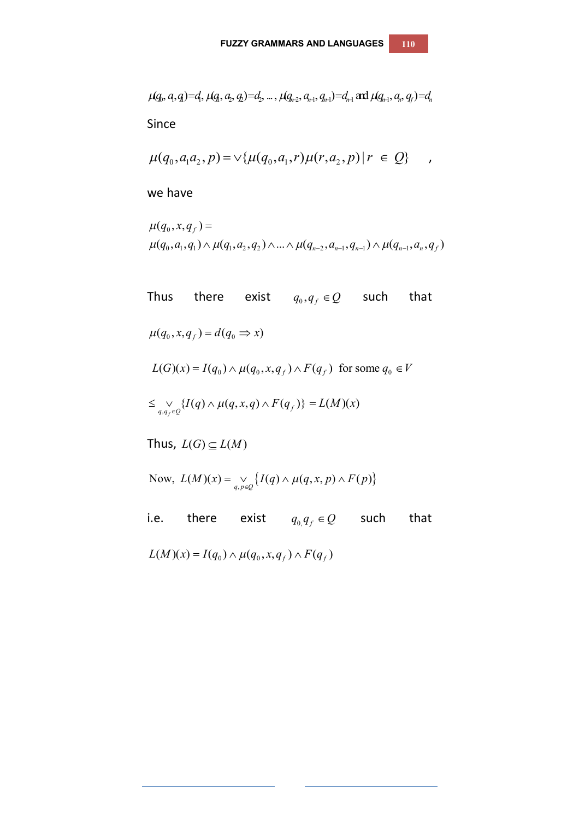$$
\mu(q_0, q, q) = d_1, \mu(q_1, q_2, q_1) = d_2, ..., \mu(q_{n-2}, q_{n-1}, q_{n-1}) = d_{n-1}
$$
 and  $\mu(q_{n-1}, q_n, q_n) = d_n$ 

Since

$$
\mu(q_0, a_1 a_2, p) = \vee \{ \mu(q_0, a_1, r) \mu(r, a_2, p) | r \in Q \} \quad ,
$$

we have

$$
\mu(q_0, x, q_f) =
$$
  
 
$$
\mu(q_0, a_1, q_1) \wedge \mu(q_1, a_2, q_2) \wedge ... \wedge \mu(q_{n-2}, a_{n-1}, q_{n-1}) \wedge \mu(q_{n-1}, a_n, q_f)
$$

Thus there exist  $q_0, q_f \in Q$  such that  $\mu(q_0, x, q_f) = d(q_0 \Rightarrow x)$  $L(G)(x) = I(q_0) \wedge \mu(q_0, x, q_f) \wedge F(q_f)$  for some  $q_0 \in V$  $\leq \bigvee_{q,q_f \in Q} \{I(q) \wedge \mu(q,x,q) \wedge F(q_f)\} = L(M)(x)$ Thus,  $L(G) \subseteq L(M)$ Now,  $L(M)(x) = \bigvee_{q, p \in Q} \{ I(q) \wedge \mu(q, x, p) \wedge F(p) \}$ 

i.e. there exist  $q_{0,}q_{f} \in Q$  such that  $L(M)(x) = I(q_0) \wedge \mu(q_0, x, q_f) \wedge F(q_f)$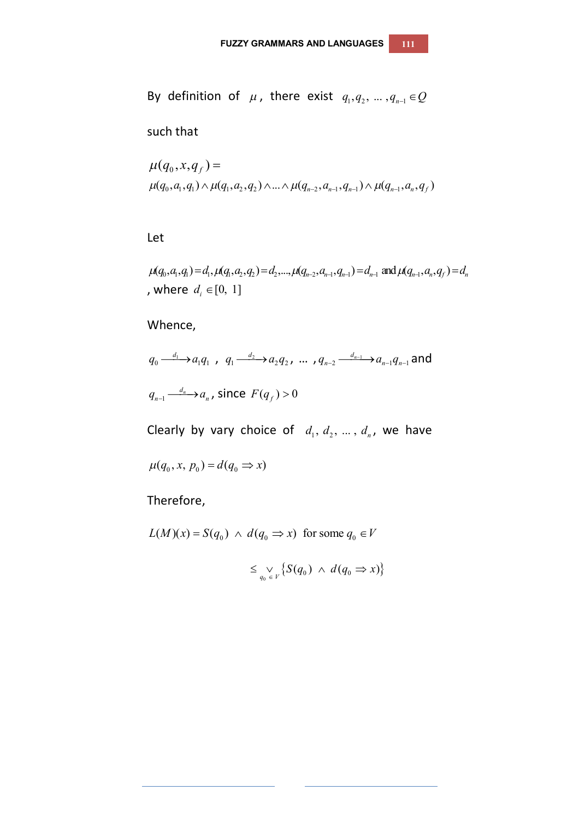By definition of  $\mu$ , there exist  $q_{_1},q_{_2},\,...\,,q_{_{n-1}}\!\in\!\mathcal{Q}$ 

such that

$$
\mu(q_0, x, q_f) =
$$
  

$$
\mu(q_0, a_1, q_1) \wedge \mu(q_1, a_2, q_2) \wedge ... \wedge \mu(q_{n-2}, a_{n-1}, q_{n-1}) \wedge \mu(q_{n-1}, a_n, q_f)
$$

Let

 $\mu(q_0, a_1, q_1) = d_1, \mu(q_1, a_2, q_2) = d_2, ..., \mu(q_{n-2}, a_{n-1}, q_{n-1}) = d_{n-1}$  and  $\mu(q_{n-1}, a_n, q_1) = d_n$ , where  $d_i \in [0, 1]$ 

Whence,

$$
q_0 \xrightarrow{d_1} a_1 q_1, q_1 \xrightarrow{d_2} a_2 q_2, \dots, q_{n-2} \xrightarrow{d_{n-1}} a_{n-1} q_{n-1}
$$
 and  

$$
q_{n-1} \xrightarrow{d_n} a_n, \text{ since } F(q_f) > 0
$$

Clearly by vary choice of  $d_1, d_2, ..., d_n$ , we have

 $\mu(q_0, x, p_0) = d(q_0 \Rightarrow x)$ 

Therefore,

 $L(M)(x) = S(q_0) \land d(q_0 \implies x)$  for some  $q_0 \in V$ 

$$
\leq \mathop{\vee}\limits_{q_0 \in V} \{ S(q_0) \; \wedge \; d(q_0 \Rightarrow x) \}
$$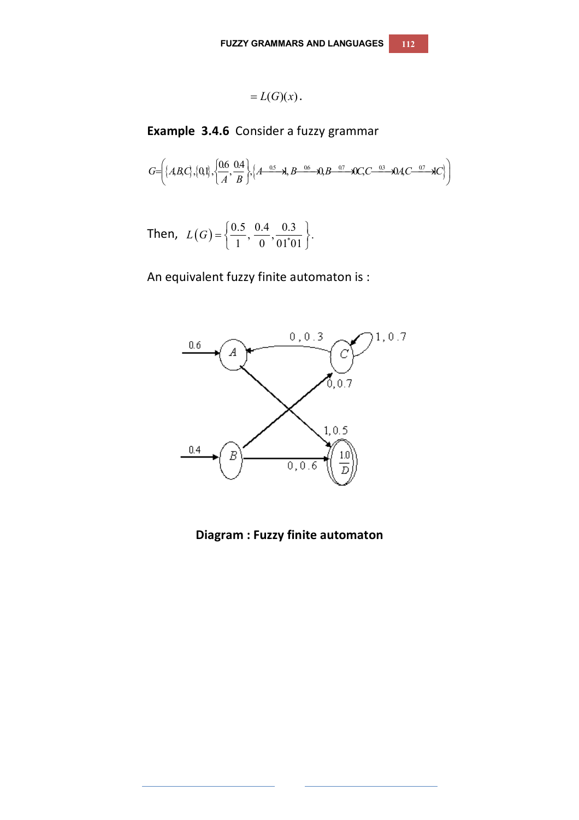$$
=L(G)(x).
$$

**Example 3.4.6** Consider a fuzzy grammar

$$
G=\left\{\left\{ABC\right\},\left\{0,1\right\},\left\{\frac{0.66}{A},\frac{0.4}{B}\right\},\left\{A-\frac{0.5}{A},B-\frac{0.6}{A},0,B-\frac{0.7}{A}\right\},QC-C-\frac{0.3}{A}A\right\}
$$

Then, 
$$
L(G) = \left\{ \frac{0.5}{1}, \frac{0.4}{0}, \frac{0.3}{01 \text{ }01} \right\}.
$$

An equivalent fuzzy finite automaton is :



**Diagram : Fuzzy finite automaton**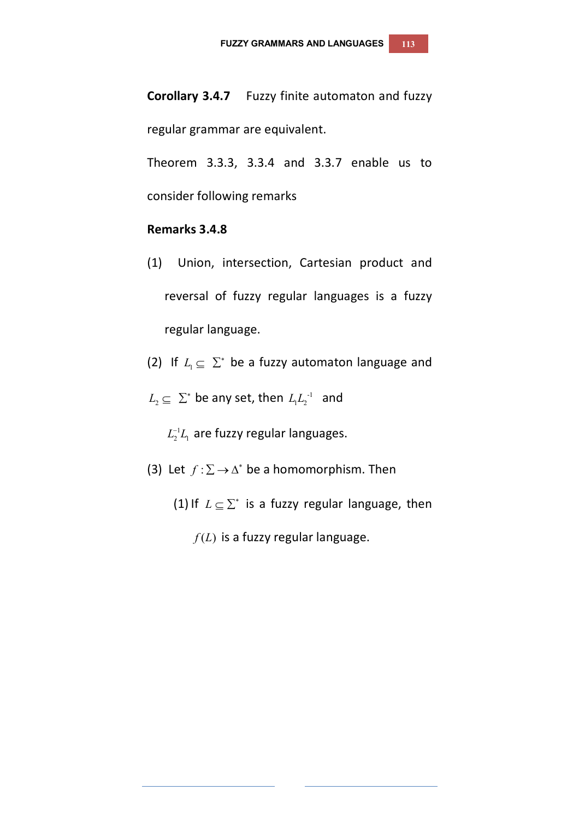**Corollary 3.4.7** Fuzzy finite automaton and fuzzy regular grammar are equivalent.

Theorem 3.3.3, 3.3.4 and 3.3.7 enable us to consider following remarks

## **Remarks 3.4.8**

- (1)Union, intersection, Cartesian product and reversal of fuzzy regular languages is a fuzzy regular language.
- (2) If  $L_1 \subseteq \Sigma^*$  be a fuzzy automaton language and
- $L_2 \subseteq \sum^*$  be any set, then  $L_1 L_2^{-1}$  and

 $L_2^{-1}L_1$  are fuzzy regular languages.

- (3) Let  $f : \Sigma \to \Delta^*$  be a homomorphism. Then
	- (1) If  $L \subseteq \Sigma^*$  is a fuzzy regular language, then
		- $f(L)$  is a fuzzy regular language.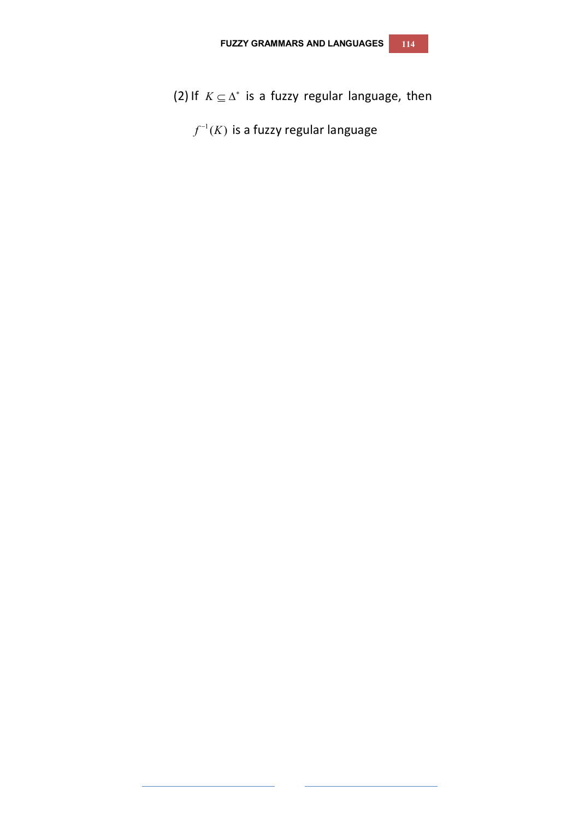- (2) If  $K \subseteq \Delta^*$  is a fuzzy regular language, then
	- $f^{-1}(K)$  is a fuzzy regular language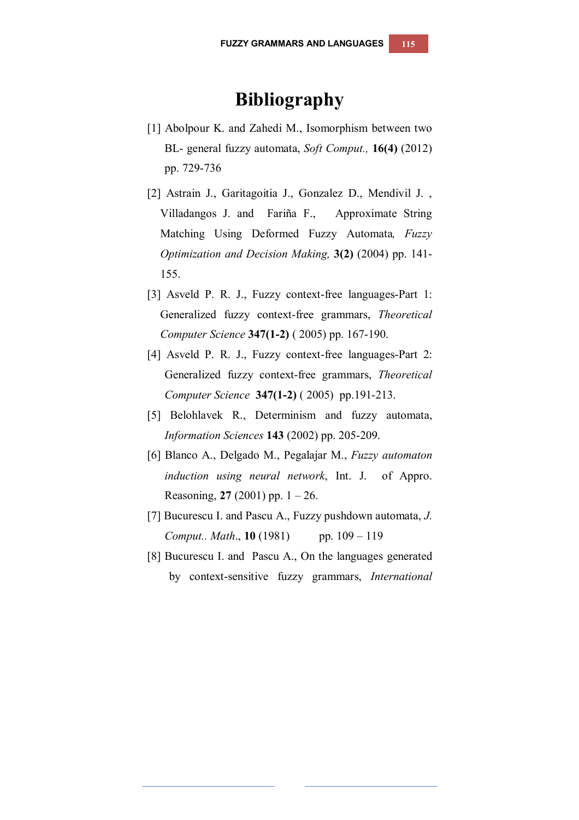## **Bibliography**

- [1] Abolpour K. and Zahedi M., Isomorphism between two BL- general fuzzy automata, *Soft Comput.,* **16(4)** (2012) pp. 729-736
- [2] Astrain J., Garitagoitia J., Gonzalez D., Mendivil J. , Villadangos J. and Fariña F., Approximate String Matching Using Deformed Fuzzy Automata*, Fuzzy Optimization and Decision Making,* **3(2)** (2004) pp. 141- 155.
- [3] Asveld P. R. J., Fuzzy context-free languages-Part 1: Generalized fuzzy context-free grammars, *Theoretical Computer Science* **347(1-2)** ( 2005) pp. 167-190.
- [4] Asveld P. R. J., Fuzzy context-free languages-Part 2: Generalized fuzzy context-free grammars, *Theoretical Computer Science* **347(1-2)** ( 2005) pp.191-213.
- [5] Belohlavek R., Determinism and fuzzy automata, *Information Sciences* **143** (2002) pp. 205-209.
- [6] Blanco A., Delgado M., Pegalajar M., *Fuzzy automaton induction using neural network*, Int. J. of Appro. Reasoning, **27** (2001) pp. 1 – 26.
- [7] Bucurescu I. and Pascu A., Fuzzy pushdown automata, *J. Comput.. Math.*, **10** (1981) pp. 109 – 119
- [8] Bucurescu I. and Pascu A., On the languages generated by context-sensitive fuzzy grammars, *International*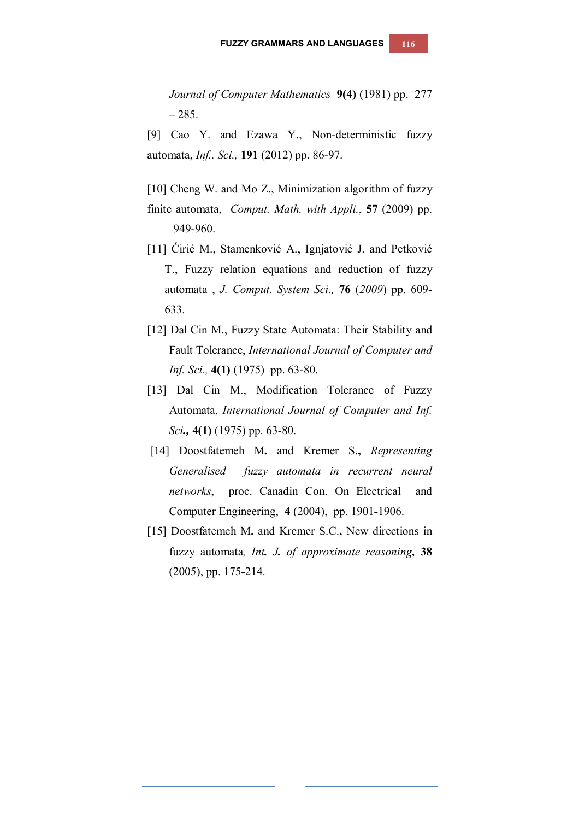*Journal of Computer Mathematics* **9(4)** (1981) pp. 277  $-285.$ 

[9] Cao Y. and Ezawa Y., Non-deterministic fuzzy automata, *Inf.. Sci.,* **191** (2012) pp. 86-97.

[10] Cheng W. and Mo Z., Minimization algorithm of fuzzy

- finite automata, *Comput. Math. with Appli.*, **57** (2009) pp. 949-960.
- [11] Ćirić M., Stamenković A., Ignjatović J. and Petković T., Fuzzy relation equations and reduction of fuzzy automata , *J. Comput. System Sci.,* **76** (*2009*) pp. 609- 633.
- [12] Dal Cin M., Fuzzy State Automata: Their Stability and Fault Tolerance, *International Journal of Computer and Inf. Sci.,* **4(1)** (1975) pp. 63-80.
- [13] Dal Cin M., Modification Tolerance of Fuzzy Automata, *International Journal of Computer and Inf. Sci.,* **4(1)** (1975) pp. 63-80.
- [14] Doostfatemeh M**.** and Kremer S.**,** *Representing Generalised fuzzy automata in recurrent neural networks*,proc. Canadin Con. On Electrical and Computer Engineering, **4** (2004), pp. 1901**-**1906.
- [15] Doostfatemeh M**.** and Kremer S.C.**,** New directions in fuzzy automata*, Int. J. of approximate reasoning,* **38** (2005), pp. 175**-**214.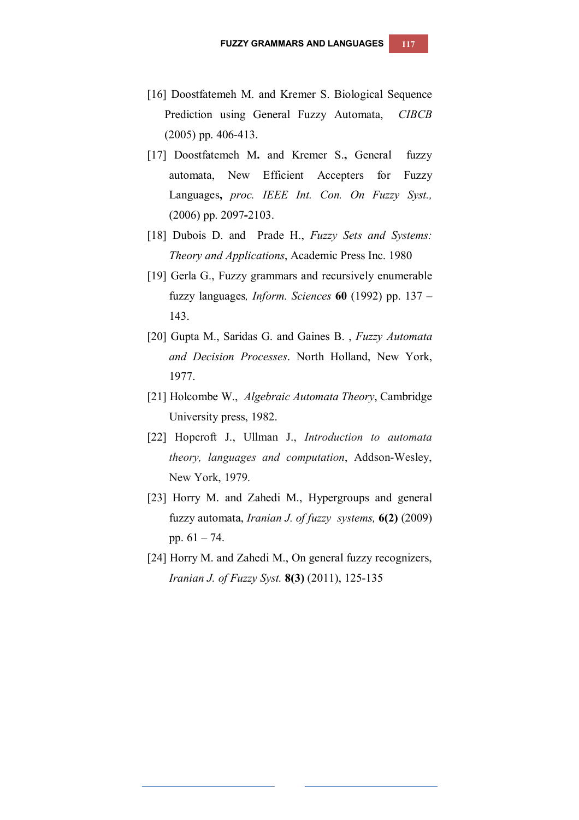- [16] Doostfatemeh M. and Kremer S. Biological Sequence Prediction using General Fuzzy Automata, *CIBCB* (2005) pp. 406-413.
- [17] Doostfatemeh M**.** and Kremer S.**,** General fuzzy automata, New Efficient Accepters for Fuzzy Languages**,** *proc. IEEE Int. Con. On Fuzzy Syst.,* (2006) pp. 2097**-**2103.
- [18] Dubois D. and Prade H., *Fuzzy Sets and Systems: Theory and Applications*, Academic Press Inc. 1980
- [19] Gerla G., Fuzzy grammars and recursively enumerable fuzzy languages*, Inform. Sciences* **60** (1992) pp. 137 – 143.
- [20] Gupta M., Saridas G. and Gaines B. , *Fuzzy Automata and Decision Processes*. North Holland, New York, 1977.
- [21] Holcombe W., *Algebraic Automata Theory*, Cambridge University press, 1982.
- [22] Hopcroft J., Ullman J., *Introduction to automata theory, languages and computation*, Addson-Wesley, New York, 1979.
- [23] Horry M. and Zahedi M., Hypergroups and general fuzzy automata, *Iranian J. of fuzzy systems,* **6(2)** (2009) pp. 61 – 74.
- [24] Horry M. and Zahedi M., On general fuzzy recognizers, *Iranian J. of Fuzzy Syst.* **8(3)** (2011), 125-135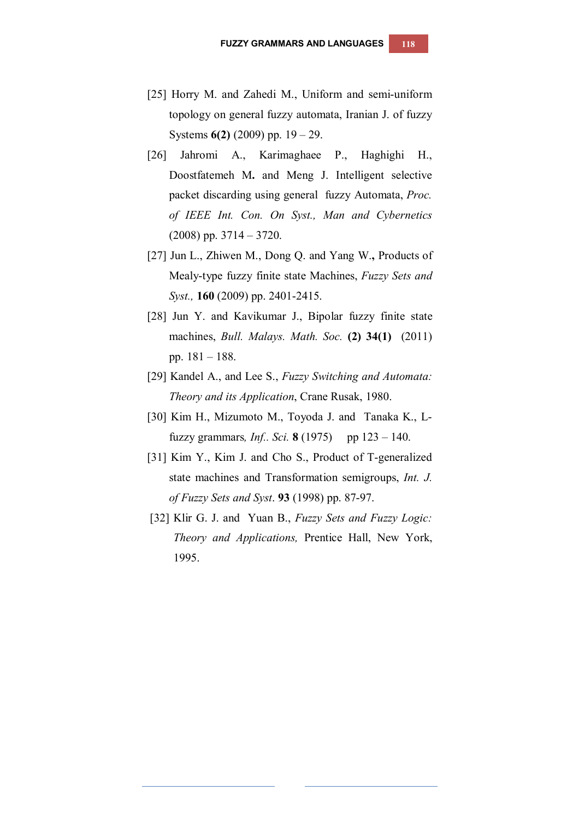- [25] Horry M. and Zahedi M., Uniform and semi-uniform topology on general fuzzy automata, Iranian J. of fuzzy Systems **6(2)** (2009) pp. 19 – 29.
- [26] Jahromi A., Karimaghaee P., Haghighi H., Doostfatemeh M**.** and Meng J. Intelligent selective packet discarding using general fuzzy Automata, *Proc. of IEEE Int. Con. On Syst., Man and Cybernetics*  (2008) pp. 3714 – 3720.
- [27] Jun L., Zhiwen M., Dong Q. and Yang W.**,** Products of Mealy-type fuzzy finite state Machines, *Fuzzy Sets and Syst.,* **160** (2009) pp. 2401-2415.
- [28] Jun Y. and Kavikumar J., Bipolar fuzzy finite state machines, *Bull. Malays. Math. Soc.* **(2) 34(1)** (2011) pp. 181 – 188.
- [29] Kandel A., and Lee S., *Fuzzy Switching and Automata: Theory and its Application*, Crane Rusak, 1980.
- [30] Kim H., Mizumoto M., Toyoda J. and Tanaka K., Lfuzzy grammars, *Inf.. Sci.* **8** (1975) pp  $123 - 140$ .
- [31] Kim Y., Kim J. and Cho S., Product of T-generalized state machines and Transformation semigroups, *Int. J. of Fuzzy Sets and Syst*. **93** (1998) pp. 87-97.
- [32] Klir G. J. and Yuan B., *Fuzzy Sets and Fuzzy Logic: Theory and Applications,* Prentice Hall, New York, 1995.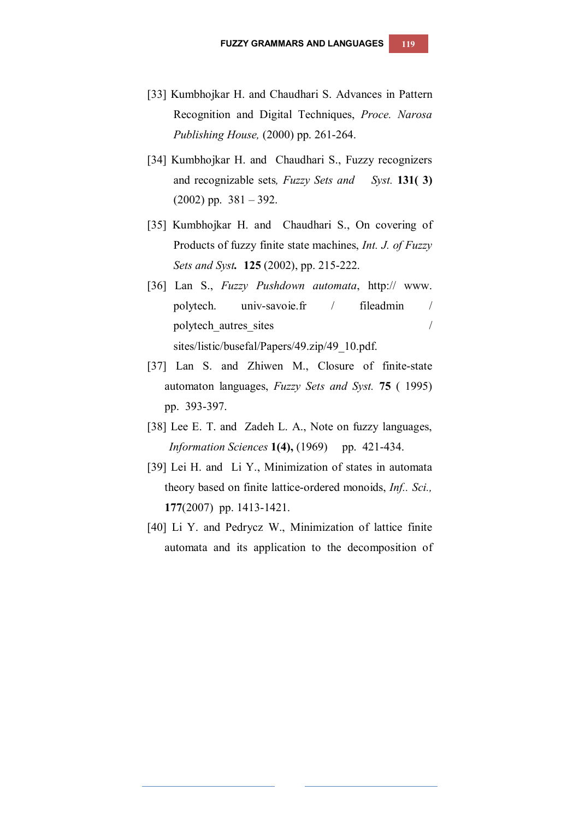- [33] Kumbhojkar H. and Chaudhari S. Advances in Pattern Recognition and Digital Techniques, *Proce. Narosa Publishing House,* (2000) pp. 261-264.
- [34] Kumbhojkar H. and Chaudhari S., Fuzzy recognizers and recognizable sets*, Fuzzy Sets and Syst.* **131( 3)**  $(2002)$  pp.  $381 - 392$ .
- [35] Kumbhojkar H. and Chaudhari S., On covering of Products of fuzzy finite state machines, *Int. J. of Fuzzy Sets and Syst.* **125** (2002), pp. 215-222.
- [36] Lan S., *Fuzzy Pushdown automata*, http:// www. polytech. univ-savoie.fr / fileadmin / polytech autres sites / sites/listic/busefal/Papers/49.zip/49\_10.pdf.
- [37] Lan S. and Zhiwen M., Closure of finite-state automaton languages, *Fuzzy Sets and Syst.* **75** ( 1995) pp. 393-397.
- [38] Lee E. T. and Zadeh L. A., Note on fuzzy languages, *Information Sciences* **1(4)**, (1969) pp. 421-434.
- [39] Lei H. and Li Y., Minimization of states in automata theory based on finite lattice-ordered monoids, *Inf.. Sci.,* **177**(2007) pp. 1413-1421.
- [40] Li Y. and Pedrycz W., Minimization of lattice finite automata and its application to the decomposition of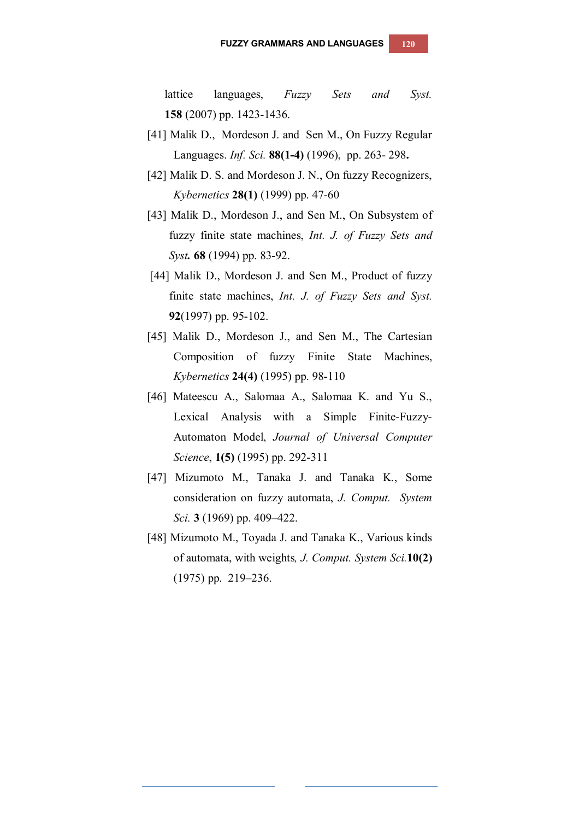lattice languages, *Fuzzy Sets and Syst.* **158** (2007) pp. 1423-1436.

- [41] Malik D., Mordeson J. and Sen M., On Fuzzy Regular Languages. *Inf. Sci.* **88(1-4)** (1996), pp. 263- 298**.**
- [42] Malik D. S. and Mordeson J. N., On fuzzy Recognizers, *Kybernetics* **28(1)** (1999) pp. 47-60
- [43] Malik D., Mordeson J., and Sen M., On Subsystem of fuzzy finite state machines, *Int. J. of Fuzzy Sets and Syst.* **68** (1994) pp. 83-92.
- [44] Malik D., Mordeson J. and Sen M., Product of fuzzy finite state machines, *Int. J. of Fuzzy Sets and Syst.* **92**(1997) pp. 95-102.
- [45] Malik D., Mordeson J., and Sen M., The Cartesian Composition of fuzzy Finite State Machines, *Kybernetics* **24(4)** (1995) pp. 98-110
- [46] Mateescu A., Salomaa A., Salomaa K. and Yu S., Lexical Analysis with a Simple Finite-Fuzzy-Automaton Model, *Journal of Universal Computer Science*, **1(5)** (1995) pp. 292-311
- [47] Mizumoto M., Tanaka J. and Tanaka K., Some consideration on fuzzy automata, *J. Comput. System Sci.* **3** (1969) pp. 409–422.
- [48] Mizumoto M., Toyada J. and Tanaka K., Various kinds of automata, with weights*, J. Comput. System Sci.***10(2)** (1975) pp. 219–236.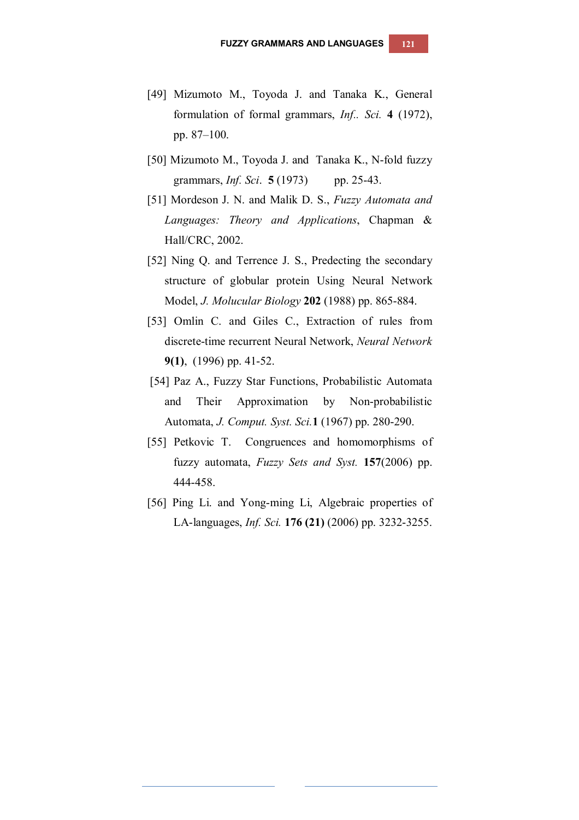- [49] Mizumoto M., Toyoda J. and Tanaka K., General formulation of formal grammars, *Inf.. Sci.* **4** (1972), pp. 87–100.
- [50] Mizumoto M., Toyoda J. and Tanaka K., N-fold fuzzy grammars, *Inf. Sci*. **5** (1973) pp. 25-43.
- [51] Mordeson J. N. and Malik D. S., *Fuzzy Automata and Languages: Theory and Applications*, Chapman & Hall/CRC, 2002.
- [52] Ning Q. and Terrence J. S., Predecting the secondary structure of globular protein Using Neural Network Model, *J. Molucular Biology* **202** (1988) pp. 865-884.
- [53] Omlin C. and Giles C., Extraction of rules from discrete-time recurrent Neural Network, *Neural Network* **9(1)**, (1996) pp. 41-52.
- [54] Paz A., Fuzzy Star Functions, Probabilistic Automata and Their Approximation by Non-probabilistic Automata, *J. Comput. Syst. Sci.***1** (1967) pp. 280-290.
- [55] Petkovic T. Congruences and homomorphisms of fuzzy automata, *Fuzzy Sets and Syst.* **157**(2006) pp. 444-458.
- [56] Ping Li. and Yong-ming Li, Algebraic properties of LA-languages, *Inf. Sci.* **176 (21)** (2006) pp. 3232-3255.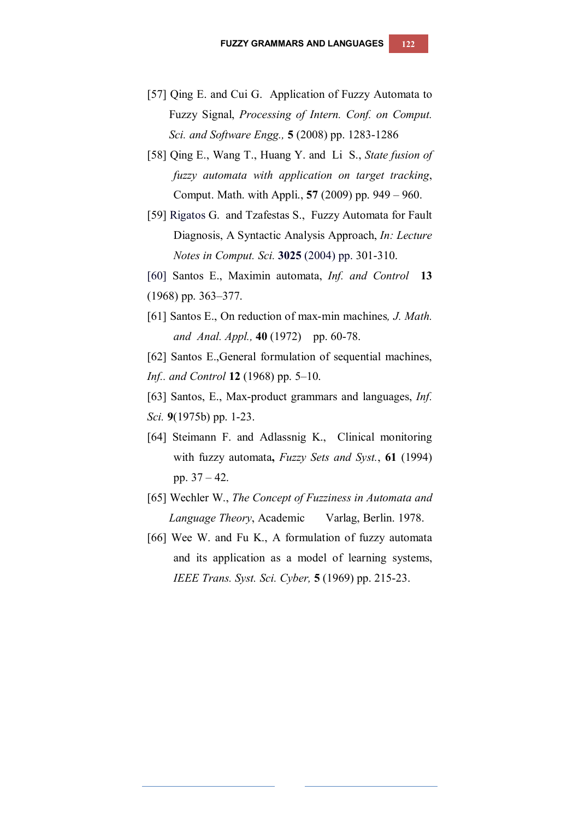- [57] Qing E. and Cui G. Application of Fuzzy Automata to Fuzzy Signal, *Processing of Intern. Conf. on Comput. Sci. and Software Engg.,* **5** (2008) pp. 1283-1286
- [58] Qing E., Wang T., Huang Y. and Li S., *State fusion of fuzzy automata with application on target tracking*, Comput. Math. with Appli., **57** (2009) pp. 949 – 960.
- [59] Rigatos G. and Tzafestas S., Fuzzy Automata for Fault Diagnosis, A Syntactic Analysis Approach, *In: Lecture Notes in Comput. Sci.* **3025** (2004) pp. 301-310.
- [60] Santos E., Maximin automata, *Inf. and Control* **13**
- (1968) pp. 363–377.
- [61] Santos E., On reduction of max-min machines*, J. Math. and Anal. Appl.,* **40** (1972) pp. 60-78.
- [62] Santos E.,General formulation of sequential machines,
- *Inf.. and Control* **12** (1968) pp. 5–10.
- [63] Santos, E., Max-product grammars and languages, *Inf. Sci.* **9**(1975b) pp. 1-23.
- [64] Steimann F. and Adlassnig K., Clinical monitoring with fuzzy automata**,** *Fuzzy Sets and Syst.*, **61** (1994) pp. 37 – 42.
- [65] Wechler W., *The Concept of Fuzziness in Automata and Language Theory*, Academic Varlag, Berlin. 1978.
- [66] Wee W. and Fu K., A formulation of fuzzy automata and its application as a model of learning systems, *IEEE Trans. Syst. Sci. Cyber,* **5** (1969) pp. 215-23.